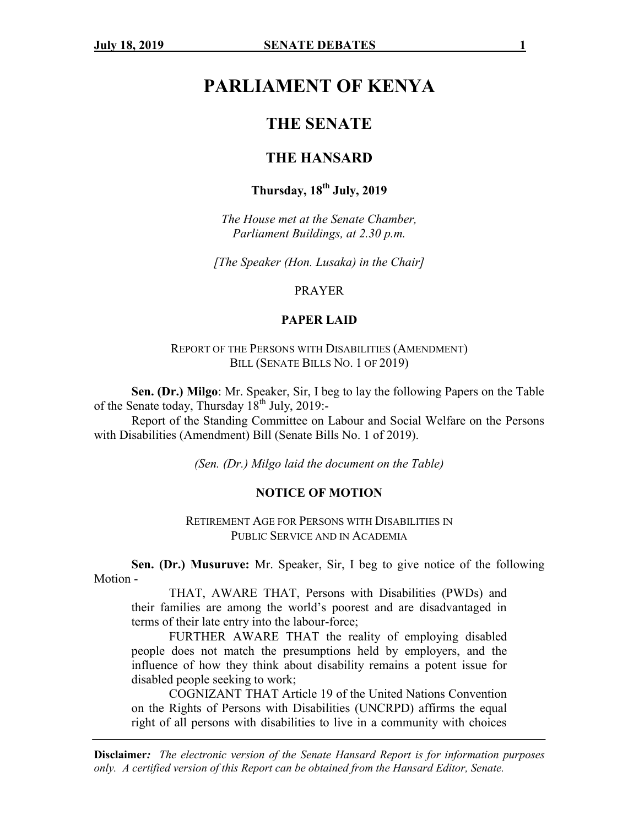# **PARLIAMENT OF KENYA**

## **THE SENATE**

### **THE HANSARD**

# **Thursday, 18th July, 2019**

*The House met at the Senate Chamber, Parliament Buildings, at 2.30 p.m.*

*[The Speaker (Hon. Lusaka) in the Chair]*

#### PRAYER

#### **PAPER LAID**

REPORT OF THE PERSONS WITH DISABILITIES (AMENDMENT) BILL (SENATE BILLS NO. 1 OF 2019)

**Sen. (Dr.) Milgo**: Mr. Speaker, Sir, I beg to lay the following Papers on the Table of the Senate today, Thursday  $18^{th}$  July, 2019:-

Report of the Standing Committee on Labour and Social Welfare on the Persons with Disabilities (Amendment) Bill (Senate Bills No. 1 of 2019).

*(Sen. (Dr.) Milgo laid the document on the Table)*

#### **NOTICE OF MOTION**

RETIREMENT AGE FOR PERSONS WITH DISABILITIES IN PUBLIC SERVICE AND IN ACADEMIA

**Sen. (Dr.) Musuruve:** Mr. Speaker, Sir, I beg to give notice of the following Motion -

THAT, AWARE THAT, Persons with Disabilities (PWDs) and their families are among the world's poorest and are disadvantaged in terms of their late entry into the labour-force;

FURTHER AWARE THAT the reality of employing disabled people does not match the presumptions held by employers, and the influence of how they think about disability remains a potent issue for disabled people seeking to work;

COGNIZANT THAT Article 19 of the United Nations Convention on the Rights of Persons with Disabilities (UNCRPD) affirms the equal right of all persons with disabilities to live in a community with choices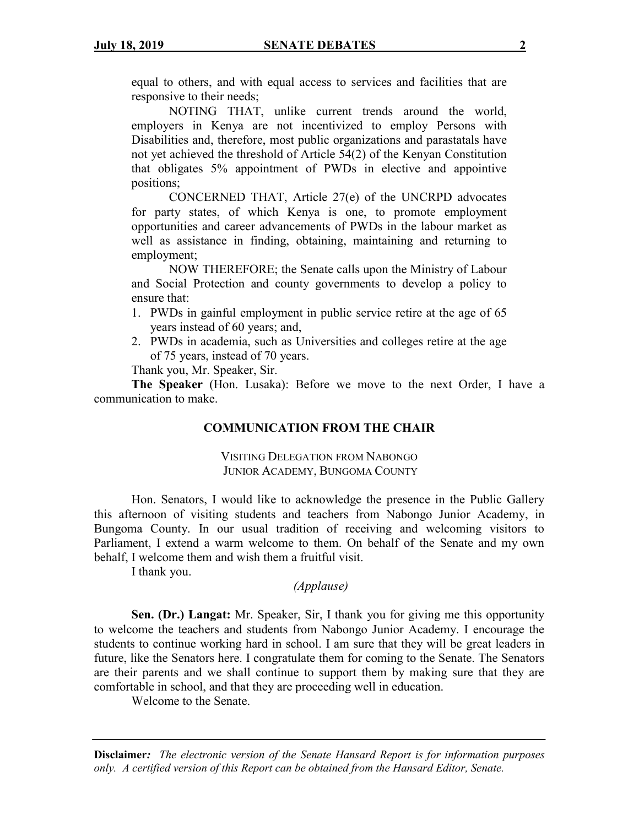equal to others, and with equal access to services and facilities that are responsive to their needs;

NOTING THAT, unlike current trends around the world, employers in Kenya are not incentivized to employ Persons with Disabilities and, therefore, most public organizations and parastatals have not yet achieved the threshold of Article 54(2) of the Kenyan Constitution that obligates 5% appointment of PWDs in elective and appointive positions;

CONCERNED THAT, Article 27(e) of the UNCRPD advocates for party states, of which Kenya is one, to promote employment opportunities and career advancements of PWDs in the labour market as well as assistance in finding, obtaining, maintaining and returning to employment;

NOW THEREFORE; the Senate calls upon the Ministry of Labour and Social Protection and county governments to develop a policy to ensure that:

- 1. PWDs in gainful employment in public service retire at the age of 65 years instead of 60 years; and,
- 2. PWDs in academia, such as Universities and colleges retire at the age of 75 years, instead of 70 years.

Thank you, Mr. Speaker, Sir.

**The Speaker** (Hon. Lusaka): Before we move to the next Order, I have a communication to make.

#### **COMMUNICATION FROM THE CHAIR**

VISITING DELEGATION FROM NABONGO JUNIOR ACADEMY, BUNGOMA COUNTY

Hon. Senators, I would like to acknowledge the presence in the Public Gallery this afternoon of visiting students and teachers from Nabongo Junior Academy, in Bungoma County. In our usual tradition of receiving and welcoming visitors to Parliament, I extend a warm welcome to them. On behalf of the Senate and my own behalf, I welcome them and wish them a fruitful visit.

I thank you.

### *(Applause)*

**Sen. (Dr.) Langat:** Mr. Speaker, Sir, I thank you for giving me this opportunity to welcome the teachers and students from Nabongo Junior Academy. I encourage the students to continue working hard in school. I am sure that they will be great leaders in future, like the Senators here. I congratulate them for coming to the Senate. The Senators are their parents and we shall continue to support them by making sure that they are comfortable in school, and that they are proceeding well in education.

Welcome to the Senate.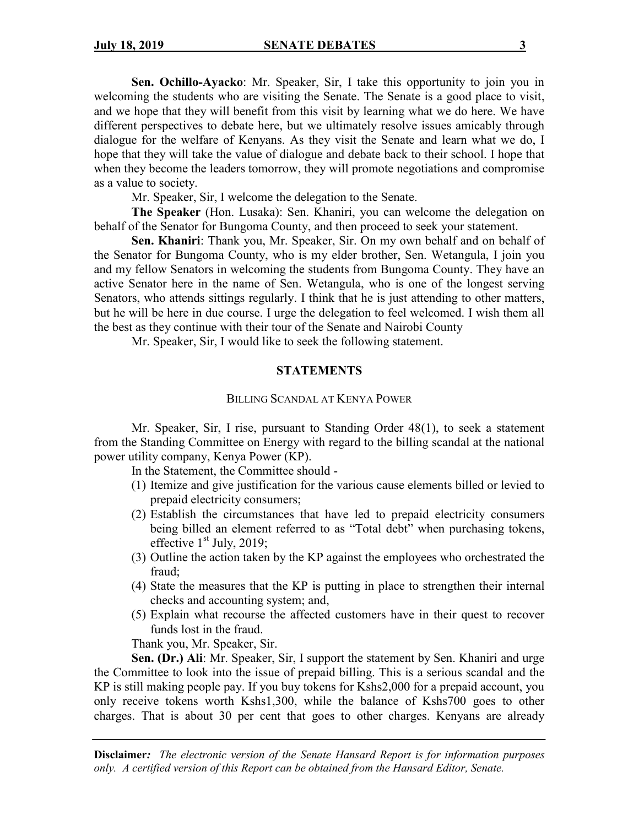**Sen. Ochillo-Ayacko**: Mr. Speaker, Sir, I take this opportunity to join you in welcoming the students who are visiting the Senate. The Senate is a good place to visit, and we hope that they will benefit from this visit by learning what we do here. We have different perspectives to debate here, but we ultimately resolve issues amicably through dialogue for the welfare of Kenyans. As they visit the Senate and learn what we do, I hope that they will take the value of dialogue and debate back to their school. I hope that when they become the leaders tomorrow, they will promote negotiations and compromise as a value to society.

Mr. Speaker, Sir, I welcome the delegation to the Senate.

**The Speaker** (Hon. Lusaka): Sen. Khaniri, you can welcome the delegation on behalf of the Senator for Bungoma County, and then proceed to seek your statement.

**Sen. Khaniri**: Thank you, Mr. Speaker, Sir. On my own behalf and on behalf of the Senator for Bungoma County, who is my elder brother, Sen. Wetangula, I join you and my fellow Senators in welcoming the students from Bungoma County. They have an active Senator here in the name of Sen. Wetangula, who is one of the longest serving Senators, who attends sittings regularly. I think that he is just attending to other matters, but he will be here in due course. I urge the delegation to feel welcomed. I wish them all the best as they continue with their tour of the Senate and Nairobi County

Mr. Speaker, Sir, I would like to seek the following statement.

#### **STATEMENTS**

#### BILLING SCANDAL AT KENYA POWER

Mr. Speaker, Sir, I rise, pursuant to Standing Order 48(1), to seek a statement from the Standing Committee on Energy with regard to the billing scandal at the national power utility company, Kenya Power (KP).

In the Statement, the Committee should -

- (1) Itemize and give justification for the various cause elements billed or levied to prepaid electricity consumers;
- (2) Establish the circumstances that have led to prepaid electricity consumers being billed an element referred to as "Total debt" when purchasing tokens, effective  $1<sup>st</sup>$  July, 2019;
- (3) Outline the action taken by the KP against the employees who orchestrated the fraud;
- (4) State the measures that the KP is putting in place to strengthen their internal checks and accounting system; and,
- (5) Explain what recourse the affected customers have in their quest to recover funds lost in the fraud.

Thank you, Mr. Speaker, Sir.

**Sen. (Dr.) Ali**: Mr. Speaker, Sir, I support the statement by Sen. Khaniri and urge the Committee to look into the issue of prepaid billing. This is a serious scandal and the KP is still making people pay. If you buy tokens for Kshs2,000 for a prepaid account, you only receive tokens worth Kshs1,300, while the balance of Kshs700 goes to other charges. That is about 30 per cent that goes to other charges. Kenyans are already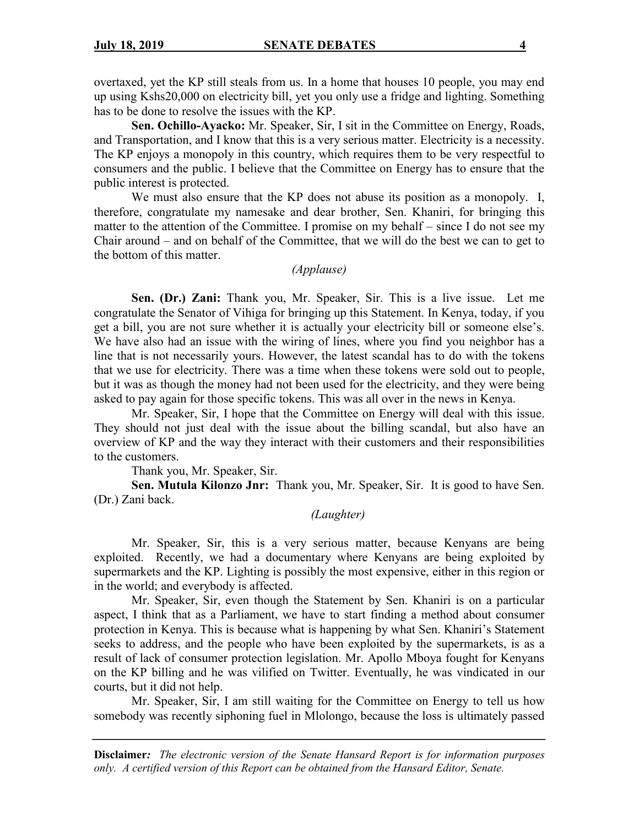overtaxed, yet the KP still steals from us. In a home that houses 10 people, you may end up using Kshs20,000 on electricity bill, yet you only use a fridge and lighting. Something has to be done to resolve the issues with the KP.

**Sen. Ochillo-Ayacko:** Mr. Speaker, Sir, I sit in the Committee on Energy, Roads, and Transportation, and I know that this is a very serious matter. Electricity is a necessity. The KP enjoys a monopoly in this country, which requires them to be very respectful to consumers and the public. I believe that the Committee on Energy has to ensure that the public interest is protected.

We must also ensure that the KP does not abuse its position as a monopoly. I, therefore, congratulate my namesake and dear brother, Sen. Khaniri, for bringing this matter to the attention of the Committee. I promise on my behalf – since I do not see my Chair around – and on behalf of the Committee, that we will do the best we can to get to the bottom of this matter.

### *(Applause)*

**Sen. (Dr.) Zani:** Thank you, Mr. Speaker, Sir. This is a live issue. Let me congratulate the Senator of Vihiga for bringing up this Statement. In Kenya, today, if you get a bill, you are not sure whether it is actually your electricity bill or someone else's. We have also had an issue with the wiring of lines, where you find you neighbor has a line that is not necessarily yours. However, the latest scandal has to do with the tokens that we use for electricity. There was a time when these tokens were sold out to people, but it was as though the money had not been used for the electricity, and they were being asked to pay again for those specific tokens. This was all over in the news in Kenya.

Mr. Speaker, Sir, I hope that the Committee on Energy will deal with this issue. They should not just deal with the issue about the billing scandal, but also have an overview of KP and the way they interact with their customers and their responsibilities to the customers.

Thank you, Mr. Speaker, Sir.

**Sen. Mutula Kilonzo Jnr:** Thank you, Mr. Speaker, Sir. It is good to have Sen. (Dr.) Zani back.

### *(Laughter)*

Mr. Speaker, Sir, this is a very serious matter, because Kenyans are being exploited. Recently, we had a documentary where Kenyans are being exploited by supermarkets and the KP. Lighting is possibly the most expensive, either in this region or in the world; and everybody is affected.

Mr. Speaker, Sir, even though the Statement by Sen. Khaniri is on a particular aspect, I think that as a Parliament, we have to start finding a method about consumer protection in Kenya. This is because what is happening by what Sen. Khaniri's Statement seeks to address, and the people who have been exploited by the supermarkets, is as a result of lack of consumer protection legislation. Mr. Apollo Mboya fought for Kenyans on the KP billing and he was vilified on Twitter. Eventually, he was vindicated in our courts, but it did not help.

Mr. Speaker, Sir, I am still waiting for the Committee on Energy to tell us how somebody was recently siphoning fuel in Mlolongo, because the loss is ultimately passed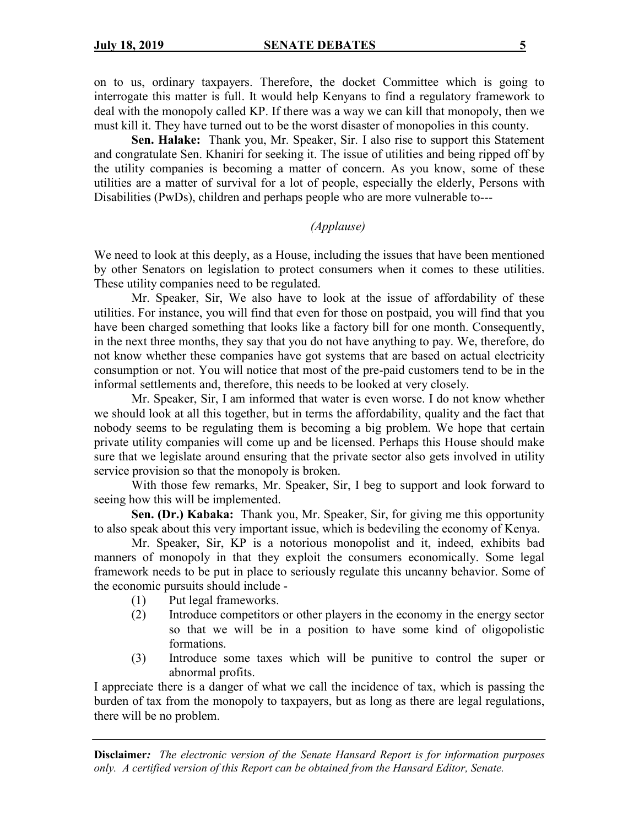on to us, ordinary taxpayers. Therefore, the docket Committee which is going to interrogate this matter is full. It would help Kenyans to find a regulatory framework to deal with the monopoly called KP. If there was a way we can kill that monopoly, then we must kill it. They have turned out to be the worst disaster of monopolies in this county.

**Sen. Halake:** Thank you, Mr. Speaker, Sir. I also rise to support this Statement and congratulate Sen. Khaniri for seeking it. The issue of utilities and being ripped off by the utility companies is becoming a matter of concern. As you know, some of these utilities are a matter of survival for a lot of people, especially the elderly, Persons with Disabilities (PwDs), children and perhaps people who are more vulnerable to---

### *(Applause)*

We need to look at this deeply, as a House, including the issues that have been mentioned by other Senators on legislation to protect consumers when it comes to these utilities. These utility companies need to be regulated.

Mr. Speaker, Sir, We also have to look at the issue of affordability of these utilities. For instance, you will find that even for those on postpaid, you will find that you have been charged something that looks like a factory bill for one month. Consequently, in the next three months, they say that you do not have anything to pay. We, therefore, do not know whether these companies have got systems that are based on actual electricity consumption or not. You will notice that most of the pre-paid customers tend to be in the informal settlements and, therefore, this needs to be looked at very closely.

Mr. Speaker, Sir, I am informed that water is even worse. I do not know whether we should look at all this together, but in terms the affordability, quality and the fact that nobody seems to be regulating them is becoming a big problem. We hope that certain private utility companies will come up and be licensed. Perhaps this House should make sure that we legislate around ensuring that the private sector also gets involved in utility service provision so that the monopoly is broken.

With those few remarks, Mr. Speaker, Sir, I beg to support and look forward to seeing how this will be implemented.

**Sen. (Dr.) Kabaka:** Thank you, Mr. Speaker, Sir, for giving me this opportunity to also speak about this very important issue, which is bedeviling the economy of Kenya.

Mr. Speaker, Sir, KP is a notorious monopolist and it, indeed, exhibits bad manners of monopoly in that they exploit the consumers economically. Some legal framework needs to be put in place to seriously regulate this uncanny behavior. Some of the economic pursuits should include -

- (1) Put legal frameworks.
- (2) Introduce competitors or other players in the economy in the energy sector so that we will be in a position to have some kind of oligopolistic formations.
- (3) Introduce some taxes which will be punitive to control the super or abnormal profits.

I appreciate there is a danger of what we call the incidence of tax, which is passing the burden of tax from the monopoly to taxpayers, but as long as there are legal regulations, there will be no problem.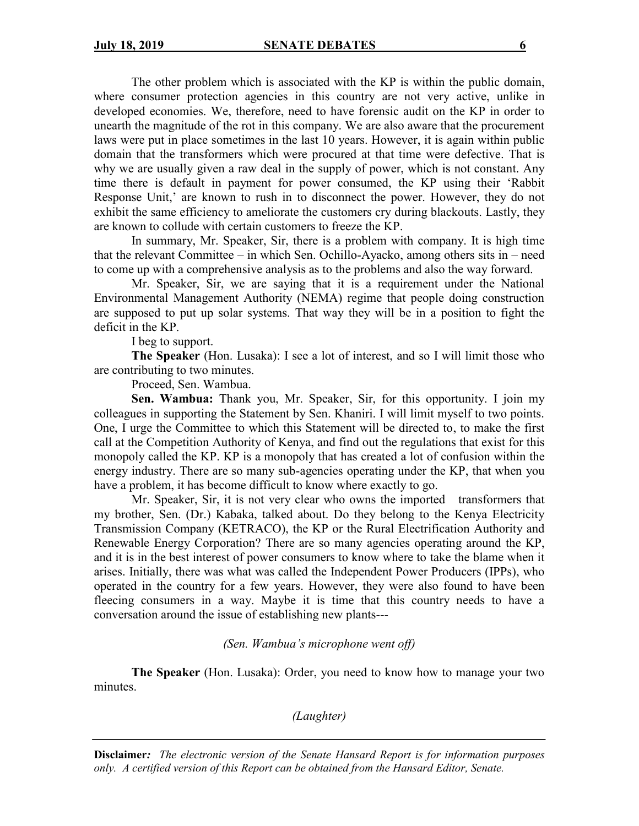The other problem which is associated with the KP is within the public domain, where consumer protection agencies in this country are not very active, unlike in developed economies. We, therefore, need to have forensic audit on the KP in order to unearth the magnitude of the rot in this company. We are also aware that the procurement laws were put in place sometimes in the last 10 years. However, it is again within public domain that the transformers which were procured at that time were defective. That is why we are usually given a raw deal in the supply of power, which is not constant. Any time there is default in payment for power consumed, the KP using their 'Rabbit Response Unit,' are known to rush in to disconnect the power. However, they do not exhibit the same efficiency to ameliorate the customers cry during blackouts. Lastly, they are known to collude with certain customers to freeze the KP.

In summary, Mr. Speaker, Sir, there is a problem with company. It is high time that the relevant Committee – in which Sen. Ochillo-Ayacko, among others sits in – need to come up with a comprehensive analysis as to the problems and also the way forward.

Mr. Speaker, Sir, we are saying that it is a requirement under the National Environmental Management Authority (NEMA) regime that people doing construction are supposed to put up solar systems. That way they will be in a position to fight the deficit in the KP.

### I beg to support.

**The Speaker** (Hon. Lusaka): I see a lot of interest, and so I will limit those who are contributing to two minutes.

Proceed, Sen. Wambua.

**Sen. Wambua:** Thank you, Mr. Speaker, Sir, for this opportunity. I join my colleagues in supporting the Statement by Sen. Khaniri. I will limit myself to two points. One, I urge the Committee to which this Statement will be directed to, to make the first call at the Competition Authority of Kenya, and find out the regulations that exist for this monopoly called the KP. KP is a monopoly that has created a lot of confusion within the energy industry. There are so many sub-agencies operating under the KP, that when you have a problem, it has become difficult to know where exactly to go.

Mr. Speaker, Sir, it is not very clear who owns the imported transformers that my brother, Sen. (Dr.) Kabaka, talked about. Do they belong to the Kenya Electricity Transmission Company (KETRACO), the KP or the Rural Electrification Authority and Renewable Energy Corporation? There are so many agencies operating around the KP, and it is in the best interest of power consumers to know where to take the blame when it arises. Initially, there was what was called the Independent Power Producers (IPPs), who operated in the country for a few years. However, they were also found to have been fleecing consumers in a way. Maybe it is time that this country needs to have a conversation around the issue of establishing new plants---

#### *(Sen. Wambua's microphone went off)*

**The Speaker** (Hon. Lusaka): Order, you need to know how to manage your two minutes.

*(Laughter)*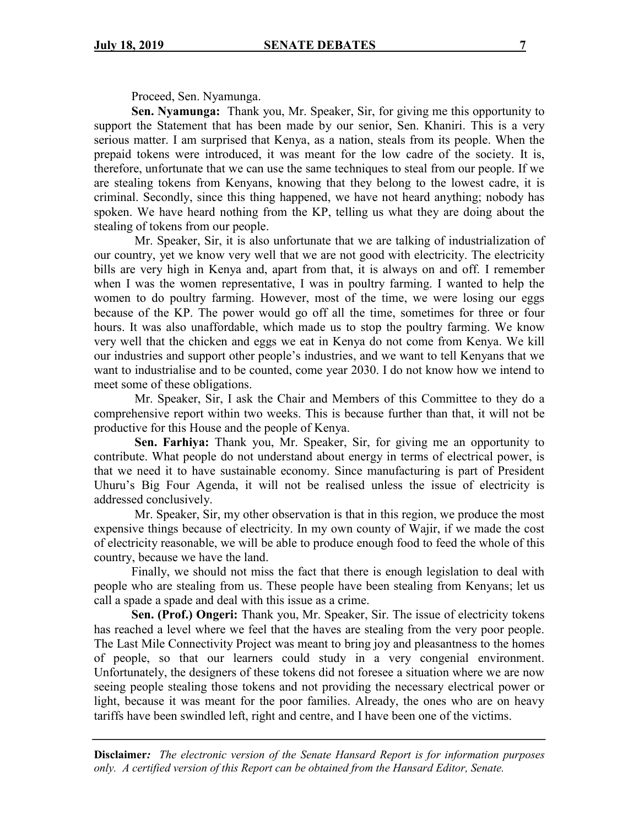Proceed, Sen. Nyamunga.

**Sen. Nyamunga:** Thank you, Mr. Speaker, Sir, for giving me this opportunity to support the Statement that has been made by our senior, Sen. Khaniri. This is a very serious matter. I am surprised that Kenya, as a nation, steals from its people. When the prepaid tokens were introduced, it was meant for the low cadre of the society. It is, therefore, unfortunate that we can use the same techniques to steal from our people. If we are stealing tokens from Kenyans, knowing that they belong to the lowest cadre, it is criminal. Secondly, since this thing happened, we have not heard anything; nobody has spoken. We have heard nothing from the KP, telling us what they are doing about the stealing of tokens from our people.

Mr. Speaker, Sir, it is also unfortunate that we are talking of industrialization of our country, yet we know very well that we are not good with electricity. The electricity bills are very high in Kenya and, apart from that, it is always on and off. I remember when I was the women representative, I was in poultry farming. I wanted to help the women to do poultry farming. However, most of the time, we were losing our eggs because of the KP. The power would go off all the time, sometimes for three or four hours. It was also unaffordable, which made us to stop the poultry farming. We know very well that the chicken and eggs we eat in Kenya do not come from Kenya. We kill our industries and support other people's industries, and we want to tell Kenyans that we want to industrialise and to be counted, come year 2030. I do not know how we intend to meet some of these obligations.

Mr. Speaker, Sir, I ask the Chair and Members of this Committee to they do a comprehensive report within two weeks. This is because further than that, it will not be productive for this House and the people of Kenya.

**Sen. Farhiya:** Thank you, Mr. Speaker, Sir, for giving me an opportunity to contribute. What people do not understand about energy in terms of electrical power, is that we need it to have sustainable economy. Since manufacturing is part of President Uhuru's Big Four Agenda, it will not be realised unless the issue of electricity is addressed conclusively.

Mr. Speaker, Sir, my other observation is that in this region, we produce the most expensive things because of electricity. In my own county of Wajir, if we made the cost of electricity reasonable, we will be able to produce enough food to feed the whole of this country, because we have the land.

Finally, we should not miss the fact that there is enough legislation to deal with people who are stealing from us. These people have been stealing from Kenyans; let us call a spade a spade and deal with this issue as a crime.

**Sen. (Prof.) Ongeri:** Thank you, Mr. Speaker, Sir. The issue of electricity tokens has reached a level where we feel that the haves are stealing from the very poor people. The Last Mile Connectivity Project was meant to bring joy and pleasantness to the homes of people, so that our learners could study in a very congenial environment. Unfortunately, the designers of these tokens did not foresee a situation where we are now seeing people stealing those tokens and not providing the necessary electrical power or light, because it was meant for the poor families. Already, the ones who are on heavy tariffs have been swindled left, right and centre, and I have been one of the victims.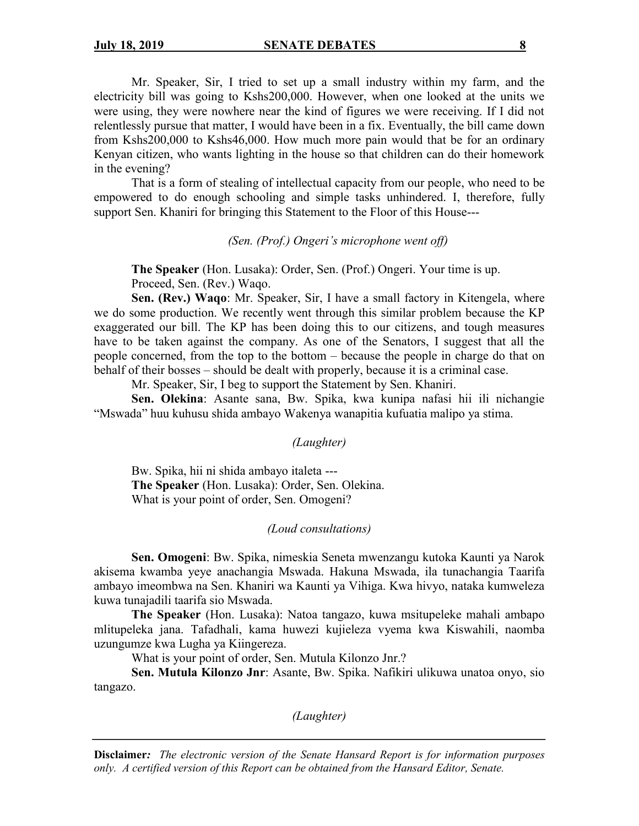Mr. Speaker, Sir, I tried to set up a small industry within my farm, and the electricity bill was going to Kshs200,000. However, when one looked at the units we were using, they were nowhere near the kind of figures we were receiving. If I did not relentlessly pursue that matter, I would have been in a fix. Eventually, the bill came down from Kshs200,000 to Kshs46,000. How much more pain would that be for an ordinary Kenyan citizen, who wants lighting in the house so that children can do their homework in the evening?

That is a form of stealing of intellectual capacity from our people, who need to be empowered to do enough schooling and simple tasks unhindered. I, therefore, fully support Sen. Khaniri for bringing this Statement to the Floor of this House---

*(Sen. (Prof.) Ongeri's microphone went off)*

**The Speaker** (Hon. Lusaka): Order, Sen. (Prof.) Ongeri. Your time is up. Proceed, Sen. (Rev.) Waqo.

**Sen. (Rev.) Waqo**: Mr. Speaker, Sir, I have a small factory in Kitengela, where we do some production. We recently went through this similar problem because the KP exaggerated our bill. The KP has been doing this to our citizens, and tough measures have to be taken against the company. As one of the Senators, I suggest that all the people concerned, from the top to the bottom – because the people in charge do that on behalf of their bosses – should be dealt with properly, because it is a criminal case.

Mr. Speaker, Sir, I beg to support the Statement by Sen. Khaniri.

**Sen. Olekina**: Asante sana, Bw. Spika, kwa kunipa nafasi hii ili nichangie "Mswada" huu kuhusu shida ambayo Wakenya wanapitia kufuatia malipo ya stima.

*(Laughter)*

Bw. Spika, hii ni shida ambayo italeta --- **The Speaker** (Hon. Lusaka): Order, Sen. Olekina. What is your point of order, Sen. Omogeni?

#### *(Loud consultations)*

**Sen. Omogeni**: Bw. Spika, nimeskia Seneta mwenzangu kutoka Kaunti ya Narok akisema kwamba yeye anachangia Mswada. Hakuna Mswada, ila tunachangia Taarifa ambayo imeombwa na Sen. Khaniri wa Kaunti ya Vihiga. Kwa hivyo, nataka kumweleza kuwa tunajadili taarifa sio Mswada.

**The Speaker** (Hon. Lusaka): Natoa tangazo, kuwa msitupeleke mahali ambapo mlitupeleka jana. Tafadhali, kama huwezi kujieleza vyema kwa Kiswahili, naomba uzungumze kwa Lugha ya Kiingereza.

What is your point of order, Sen. Mutula Kilonzo Jnr.?

**Sen. Mutula Kilonzo Jnr**: Asante, Bw. Spika. Nafikiri ulikuwa unatoa onyo, sio tangazo.

*(Laughter)*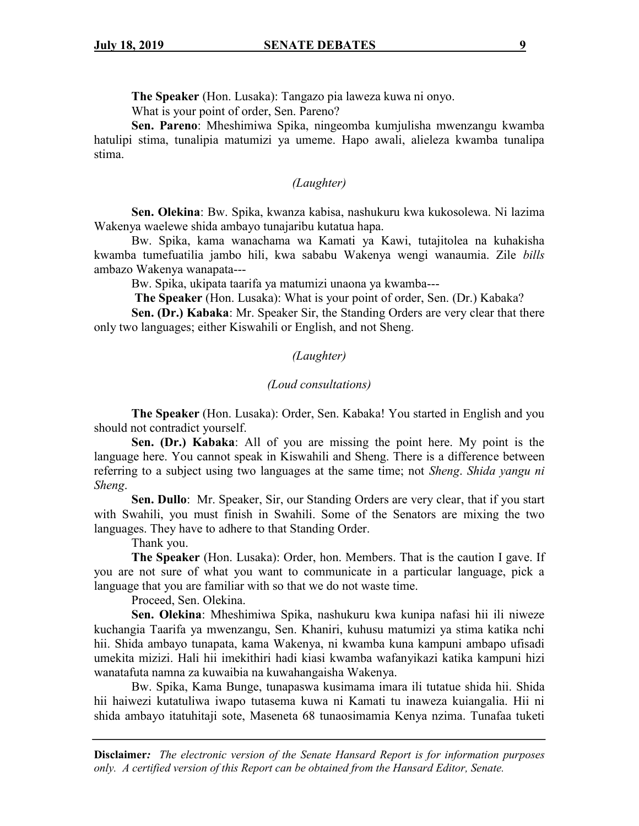**The Speaker** (Hon. Lusaka): Tangazo pia laweza kuwa ni onyo.

What is your point of order, Sen. Pareno?

**Sen. Pareno**: Mheshimiwa Spika, ningeomba kumjulisha mwenzangu kwamba hatulipi stima, tunalipia matumizi ya umeme. Hapo awali, alieleza kwamba tunalipa stima.

#### *(Laughter)*

**Sen. Olekina**: Bw. Spika, kwanza kabisa, nashukuru kwa kukosolewa. Ni lazima Wakenya waelewe shida ambayo tunajaribu kutatua hapa.

Bw. Spika, kama wanachama wa Kamati ya Kawi, tutajitolea na kuhakisha kwamba tumefuatilia jambo hili, kwa sababu Wakenya wengi wanaumia. Zile *bills*  ambazo Wakenya wanapata---

Bw. Spika, ukipata taarifa ya matumizi unaona ya kwamba---

**The Speaker** (Hon. Lusaka): What is your point of order, Sen. (Dr.) Kabaka?

**Sen. (Dr.) Kabaka**: Mr. Speaker Sir, the Standing Orders are very clear that there only two languages; either Kiswahili or English, and not Sheng.

### *(Laughter)*

#### *(Loud consultations)*

**The Speaker** (Hon. Lusaka): Order, Sen. Kabaka! You started in English and you should not contradict yourself.

**Sen. (Dr.) Kabaka**: All of you are missing the point here. My point is the language here. You cannot speak in Kiswahili and Sheng. There is a difference between referring to a subject using two languages at the same time; not *Sheng*. *Shida yangu ni Sheng*.

**Sen. Dullo**: Mr. Speaker, Sir, our Standing Orders are very clear, that if you start with Swahili, you must finish in Swahili. Some of the Senators are mixing the two languages. They have to adhere to that Standing Order.

Thank you.

**The Speaker** (Hon. Lusaka): Order, hon. Members. That is the caution I gave. If you are not sure of what you want to communicate in a particular language, pick a language that you are familiar with so that we do not waste time.

Proceed, Sen. Olekina.

**Sen. Olekina**: Mheshimiwa Spika, nashukuru kwa kunipa nafasi hii ili niweze kuchangia Taarifa ya mwenzangu, Sen. Khaniri, kuhusu matumizi ya stima katika nchi hii. Shida ambayo tunapata, kama Wakenya, ni kwamba kuna kampuni ambapo ufisadi umekita mizizi. Hali hii imekithiri hadi kiasi kwamba wafanyikazi katika kampuni hizi wanatafuta namna za kuwaibia na kuwahangaisha Wakenya.

Bw. Spika, Kama Bunge, tunapaswa kusimama imara ili tutatue shida hii. Shida hii haiwezi kutatuliwa iwapo tutasema kuwa ni Kamati tu inaweza kuiangalia. Hii ni shida ambayo itatuhitaji sote, Maseneta 68 tunaosimamia Kenya nzima. Tunafaa tuketi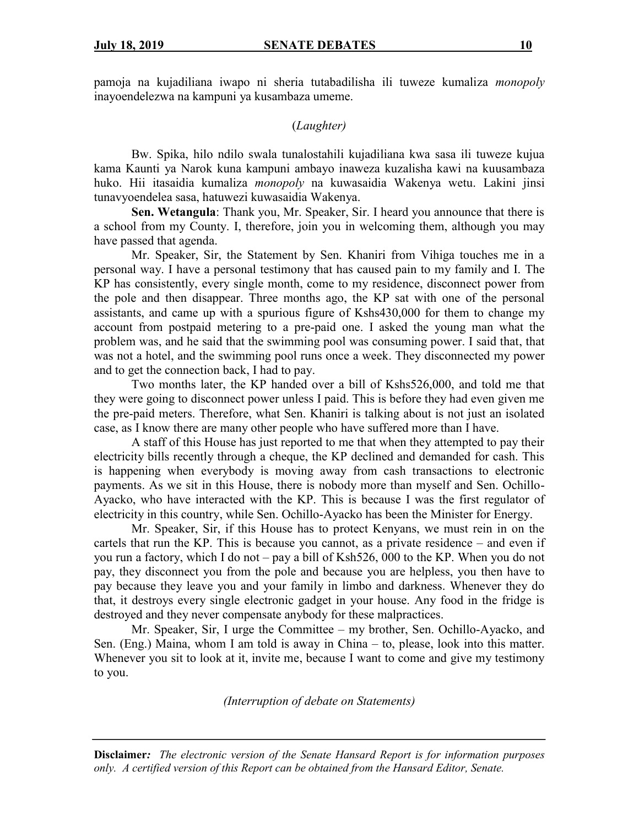pamoja na kujadiliana iwapo ni sheria tutabadilisha ili tuweze kumaliza *monopoly*  inayoendelezwa na kampuni ya kusambaza umeme.

### (*Laughter)*

Bw. Spika, hilo ndilo swala tunalostahili kujadiliana kwa sasa ili tuweze kujua kama Kaunti ya Narok kuna kampuni ambayo inaweza kuzalisha kawi na kuusambaza huko. Hii itasaidia kumaliza *monopoly* na kuwasaidia Wakenya wetu. Lakini jinsi tunavyoendelea sasa, hatuwezi kuwasaidia Wakenya.

**Sen. Wetangula**: Thank you, Mr. Speaker, Sir. I heard you announce that there is a school from my County. I, therefore, join you in welcoming them, although you may have passed that agenda.

Mr. Speaker, Sir, the Statement by Sen. Khaniri from Vihiga touches me in a personal way. I have a personal testimony that has caused pain to my family and I. The KP has consistently, every single month, come to my residence, disconnect power from the pole and then disappear. Three months ago, the KP sat with one of the personal assistants, and came up with a spurious figure of Kshs430,000 for them to change my account from postpaid metering to a pre-paid one. I asked the young man what the problem was, and he said that the swimming pool was consuming power. I said that, that was not a hotel, and the swimming pool runs once a week. They disconnected my power and to get the connection back, I had to pay.

Two months later, the KP handed over a bill of Kshs526,000, and told me that they were going to disconnect power unless I paid. This is before they had even given me the pre-paid meters. Therefore, what Sen. Khaniri is talking about is not just an isolated case, as I know there are many other people who have suffered more than I have.

A staff of this House has just reported to me that when they attempted to pay their electricity bills recently through a cheque, the KP declined and demanded for cash. This is happening when everybody is moving away from cash transactions to electronic payments. As we sit in this House, there is nobody more than myself and Sen. Ochillo-Ayacko, who have interacted with the KP. This is because I was the first regulator of electricity in this country, while Sen. Ochillo-Ayacko has been the Minister for Energy.

Mr. Speaker, Sir, if this House has to protect Kenyans, we must rein in on the cartels that run the KP. This is because you cannot, as a private residence – and even if you run a factory, which I do not – pay a bill of Ksh526, 000 to the KP. When you do not pay, they disconnect you from the pole and because you are helpless, you then have to pay because they leave you and your family in limbo and darkness. Whenever they do that, it destroys every single electronic gadget in your house. Any food in the fridge is destroyed and they never compensate anybody for these malpractices.

Mr. Speaker, Sir, I urge the Committee – my brother, Sen. Ochillo-Ayacko, and Sen. (Eng.) Maina, whom I am told is away in China – to, please, look into this matter. Whenever you sit to look at it, invite me, because I want to come and give my testimony to you.

*(Interruption of debate on Statements)*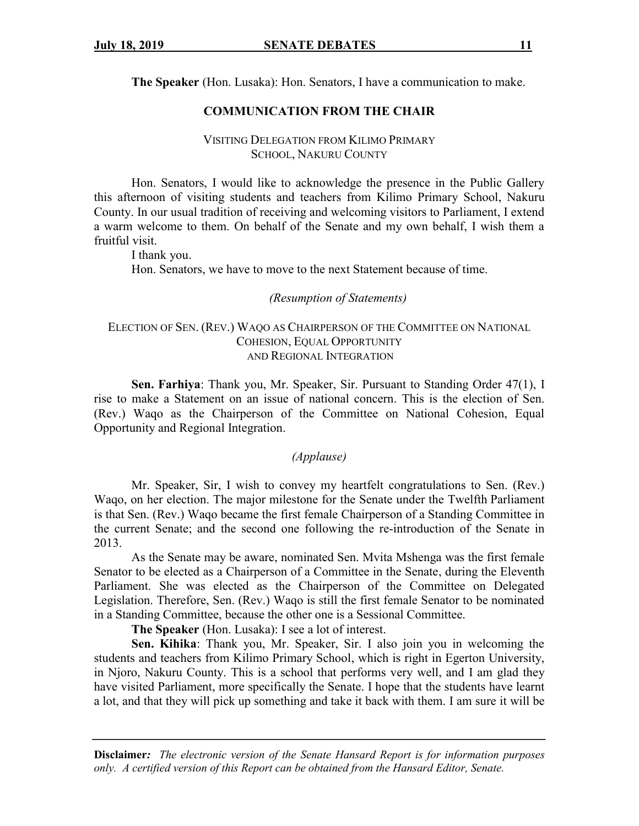**The Speaker** (Hon. Lusaka): Hon. Senators, I have a communication to make.

### **COMMUNICATION FROM THE CHAIR**

### VISITING DELEGATION FROM KILIMO PRIMARY SCHOOL, NAKURU COUNTY

Hon. Senators, I would like to acknowledge the presence in the Public Gallery this afternoon of visiting students and teachers from Kilimo Primary School, Nakuru County. In our usual tradition of receiving and welcoming visitors to Parliament, I extend a warm welcome to them. On behalf of the Senate and my own behalf, I wish them a fruitful visit.

I thank you.

Hon. Senators, we have to move to the next Statement because of time.

*(Resumption of Statements)*

### ELECTION OF SEN. (REV.) WAQO AS CHAIRPERSON OF THE COMMITTEE ON NATIONAL COHESION, EQUAL OPPORTUNITY AND REGIONAL INTEGRATION

**Sen. Farhiya**: Thank you, Mr. Speaker, Sir. Pursuant to Standing Order 47(1), I rise to make a Statement on an issue of national concern. This is the election of Sen. (Rev.) Waqo as the Chairperson of the Committee on National Cohesion, Equal Opportunity and Regional Integration.

#### *(Applause)*

Mr. Speaker, Sir, I wish to convey my heartfelt congratulations to Sen. (Rev.) Waqo, on her election. The major milestone for the Senate under the Twelfth Parliament is that Sen. (Rev.) Waqo became the first female Chairperson of a Standing Committee in the current Senate; and the second one following the re-introduction of the Senate in 2013.

As the Senate may be aware, nominated Sen. Mvita Mshenga was the first female Senator to be elected as a Chairperson of a Committee in the Senate, during the Eleventh Parliament. She was elected as the Chairperson of the Committee on Delegated Legislation. Therefore, Sen. (Rev.) Waqo is still the first female Senator to be nominated in a Standing Committee, because the other one is a Sessional Committee.

**The Speaker** (Hon. Lusaka): I see a lot of interest.

**Sen. Kihika**: Thank you, Mr. Speaker, Sir. I also join you in welcoming the students and teachers from Kilimo Primary School, which is right in Egerton University, in Njoro, Nakuru County. This is a school that performs very well, and I am glad they have visited Parliament, more specifically the Senate. I hope that the students have learnt a lot, and that they will pick up something and take it back with them. I am sure it will be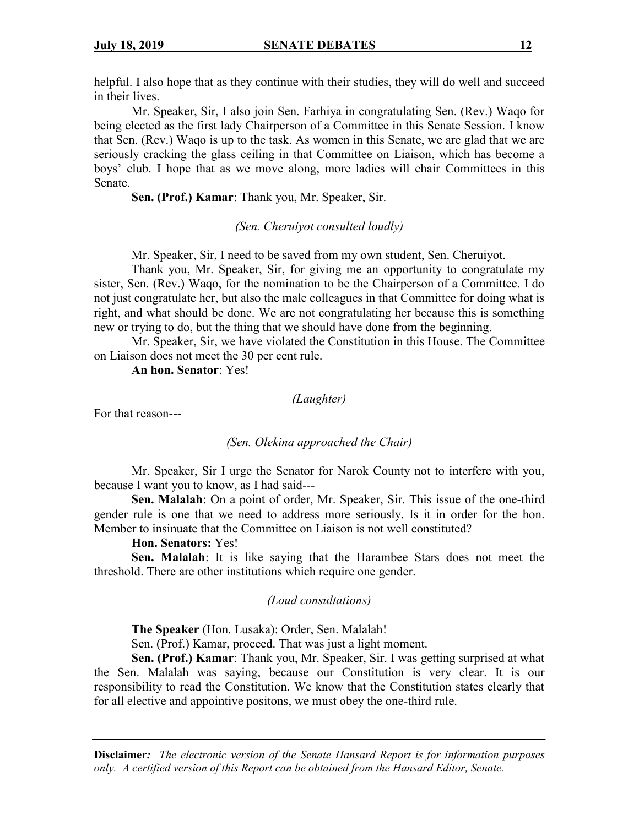helpful. I also hope that as they continue with their studies, they will do well and succeed in their lives.

Mr. Speaker, Sir, I also join Sen. Farhiya in congratulating Sen. (Rev.) Waqo for being elected as the first lady Chairperson of a Committee in this Senate Session. I know that Sen. (Rev.) Waqo is up to the task. As women in this Senate, we are glad that we are seriously cracking the glass ceiling in that Committee on Liaison, which has become a boys' club. I hope that as we move along, more ladies will chair Committees in this Senate.

**Sen. (Prof.) Kamar**: Thank you, Mr. Speaker, Sir.

*(Sen. Cheruiyot consulted loudly)*

Mr. Speaker, Sir, I need to be saved from my own student, Sen. Cheruiyot.

Thank you, Mr. Speaker, Sir, for giving me an opportunity to congratulate my sister, Sen. (Rev.) Waqo, for the nomination to be the Chairperson of a Committee. I do not just congratulate her, but also the male colleagues in that Committee for doing what is right, and what should be done. We are not congratulating her because this is something new or trying to do, but the thing that we should have done from the beginning.

Mr. Speaker, Sir, we have violated the Constitution in this House. The Committee on Liaison does not meet the 30 per cent rule.

**An hon. Senator**: Yes!

*(Laughter)*

For that reason---

#### *(Sen. Olekina approached the Chair)*

Mr. Speaker, Sir I urge the Senator for Narok County not to interfere with you, because I want you to know, as I had said---

**Sen. Malalah**: On a point of order, Mr. Speaker, Sir. This issue of the one-third gender rule is one that we need to address more seriously. Is it in order for the hon. Member to insinuate that the Committee on Liaison is not well constituted?

#### **Hon. Senators:** Yes!

**Sen. Malalah**: It is like saying that the Harambee Stars does not meet the threshold. There are other institutions which require one gender.

### *(Loud consultations)*

**The Speaker** (Hon. Lusaka): Order, Sen. Malalah!

Sen. (Prof.) Kamar, proceed. That was just a light moment.

**Sen. (Prof.) Kamar**: Thank you, Mr. Speaker, Sir. I was getting surprised at what the Sen. Malalah was saying, because our Constitution is very clear. It is our responsibility to read the Constitution. We know that the Constitution states clearly that for all elective and appointive positons, we must obey the one-third rule.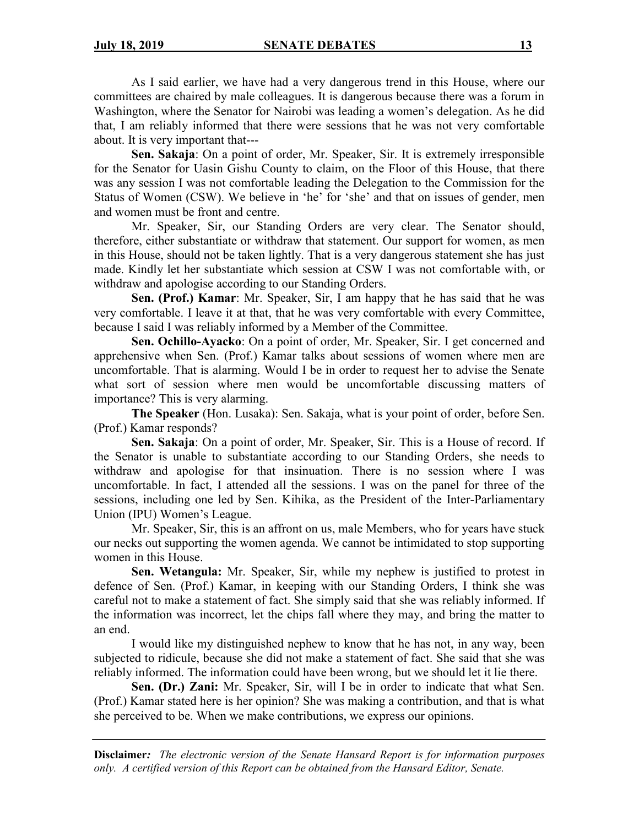As I said earlier, we have had a very dangerous trend in this House, where our committees are chaired by male colleagues. It is dangerous because there was a forum in Washington, where the Senator for Nairobi was leading a women's delegation. As he did that, I am reliably informed that there were sessions that he was not very comfortable about. It is very important that---

**Sen. Sakaja**: On a point of order, Mr. Speaker, Sir. It is extremely irresponsible for the Senator for Uasin Gishu County to claim, on the Floor of this House, that there was any session I was not comfortable leading the Delegation to the Commission for the Status of Women (CSW). We believe in 'he' for 'she' and that on issues of gender, men and women must be front and centre.

Mr. Speaker, Sir, our Standing Orders are very clear. The Senator should, therefore, either substantiate or withdraw that statement. Our support for women, as men in this House, should not be taken lightly. That is a very dangerous statement she has just made. Kindly let her substantiate which session at CSW I was not comfortable with, or withdraw and apologise according to our Standing Orders.

**Sen. (Prof.) Kamar**: Mr. Speaker, Sir, I am happy that he has said that he was very comfortable. I leave it at that, that he was very comfortable with every Committee, because I said I was reliably informed by a Member of the Committee.

**Sen. Ochillo-Ayacko**: On a point of order, Mr. Speaker, Sir. I get concerned and apprehensive when Sen. (Prof.) Kamar talks about sessions of women where men are uncomfortable. That is alarming. Would I be in order to request her to advise the Senate what sort of session where men would be uncomfortable discussing matters of importance? This is very alarming.

**The Speaker** (Hon. Lusaka): Sen. Sakaja, what is your point of order, before Sen. (Prof.) Kamar responds?

**Sen. Sakaja**: On a point of order, Mr. Speaker, Sir. This is a House of record. If the Senator is unable to substantiate according to our Standing Orders, she needs to withdraw and apologise for that insinuation. There is no session where I was uncomfortable. In fact, I attended all the sessions. I was on the panel for three of the sessions, including one led by Sen. Kihika, as the President of the Inter-Parliamentary Union (IPU) Women's League.

Mr. Speaker, Sir, this is an affront on us, male Members, who for years have stuck our necks out supporting the women agenda. We cannot be intimidated to stop supporting women in this House.

**Sen. Wetangula:** Mr. Speaker, Sir, while my nephew is justified to protest in defence of Sen. (Prof.) Kamar, in keeping with our Standing Orders, I think she was careful not to make a statement of fact. She simply said that she was reliably informed. If the information was incorrect, let the chips fall where they may, and bring the matter to an end.

I would like my distinguished nephew to know that he has not, in any way, been subjected to ridicule, because she did not make a statement of fact. She said that she was reliably informed. The information could have been wrong, but we should let it lie there.

**Sen. (Dr.) Zani:** Mr. Speaker, Sir, will I be in order to indicate that what Sen. (Prof.) Kamar stated here is her opinion? She was making a contribution, and that is what she perceived to be. When we make contributions, we express our opinions.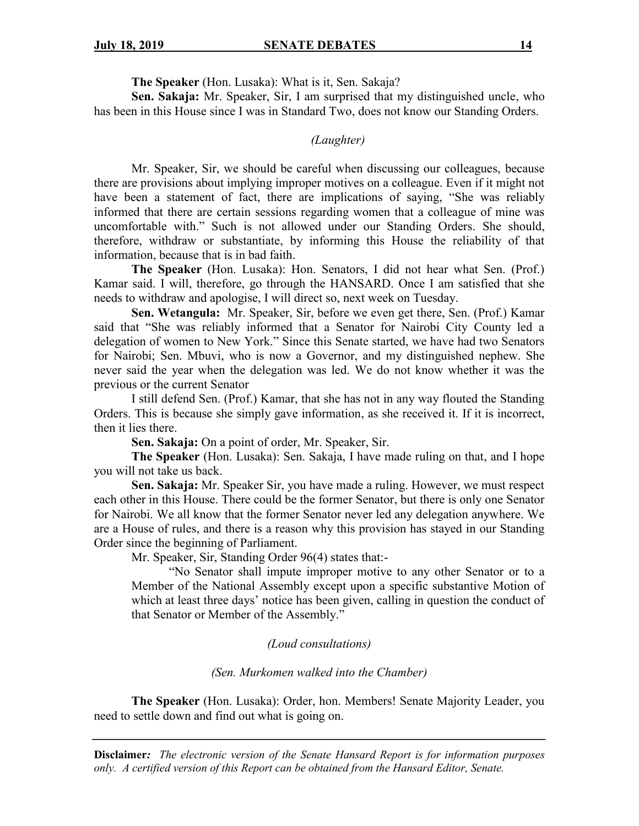**The Speaker** (Hon. Lusaka): What is it, Sen. Sakaja?

**Sen. Sakaja:** Mr. Speaker, Sir, I am surprised that my distinguished uncle, who has been in this House since I was in Standard Two, does not know our Standing Orders.

### *(Laughter)*

Mr. Speaker, Sir, we should be careful when discussing our colleagues, because there are provisions about implying improper motives on a colleague. Even if it might not have been a statement of fact, there are implications of saying, "She was reliably informed that there are certain sessions regarding women that a colleague of mine was uncomfortable with." Such is not allowed under our Standing Orders. She should, therefore, withdraw or substantiate, by informing this House the reliability of that information, because that is in bad faith.

**The Speaker** (Hon. Lusaka): Hon. Senators, I did not hear what Sen. (Prof.) Kamar said. I will, therefore, go through the HANSARD. Once I am satisfied that she needs to withdraw and apologise, I will direct so, next week on Tuesday.

**Sen. Wetangula:** Mr. Speaker, Sir, before we even get there, Sen. (Prof.) Kamar said that "She was reliably informed that a Senator for Nairobi City County led a delegation of women to New York." Since this Senate started, we have had two Senators for Nairobi; Sen. Mbuvi, who is now a Governor, and my distinguished nephew. She never said the year when the delegation was led. We do not know whether it was the previous or the current Senator

I still defend Sen. (Prof.) Kamar, that she has not in any way flouted the Standing Orders. This is because she simply gave information, as she received it. If it is incorrect, then it lies there.

**Sen. Sakaja:** On a point of order, Mr. Speaker, Sir.

**The Speaker** (Hon. Lusaka): Sen. Sakaja, I have made ruling on that, and I hope you will not take us back.

**Sen. Sakaja:** Mr. Speaker Sir, you have made a ruling. However, we must respect each other in this House. There could be the former Senator, but there is only one Senator for Nairobi. We all know that the former Senator never led any delegation anywhere. We are a House of rules, and there is a reason why this provision has stayed in our Standing Order since the beginning of Parliament.

Mr. Speaker, Sir, Standing Order 96(4) states that:-

"No Senator shall impute improper motive to any other Senator or to a Member of the National Assembly except upon a specific substantive Motion of which at least three days' notice has been given, calling in question the conduct of that Senator or Member of the Assembly."

#### *(Loud consultations)*

#### *(Sen. Murkomen walked into the Chamber)*

**The Speaker** (Hon. Lusaka): Order, hon. Members! Senate Majority Leader, you need to settle down and find out what is going on.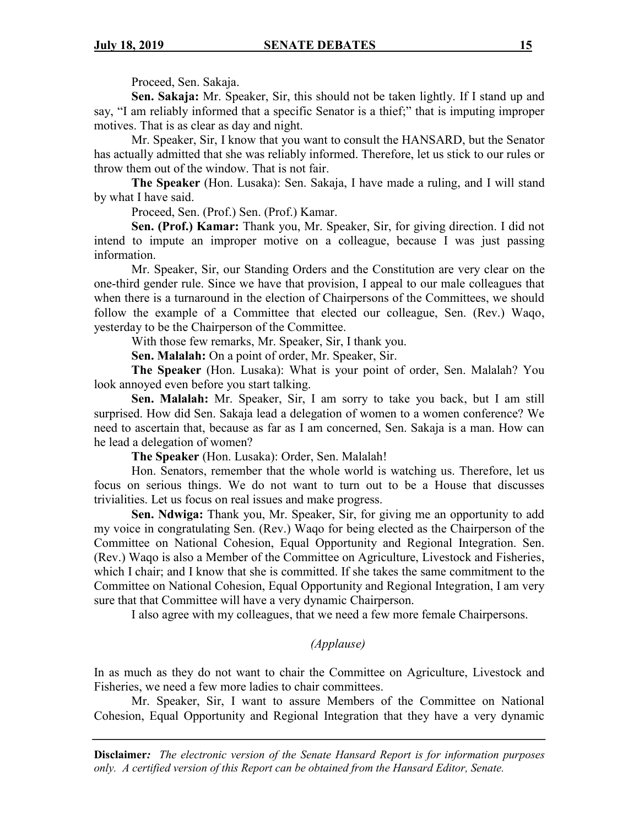Proceed, Sen. Sakaja.

**Sen. Sakaja:** Mr. Speaker, Sir, this should not be taken lightly. If I stand up and say, "I am reliably informed that a specific Senator is a thief;" that is imputing improper motives. That is as clear as day and night.

Mr. Speaker, Sir, I know that you want to consult the HANSARD, but the Senator has actually admitted that she was reliably informed. Therefore, let us stick to our rules or throw them out of the window. That is not fair.

**The Speaker** (Hon. Lusaka): Sen. Sakaja, I have made a ruling, and I will stand by what I have said.

Proceed, Sen. (Prof.) Sen. (Prof.) Kamar.

**Sen. (Prof.) Kamar:** Thank you, Mr. Speaker, Sir, for giving direction. I did not intend to impute an improper motive on a colleague, because I was just passing information.

Mr. Speaker, Sir, our Standing Orders and the Constitution are very clear on the one-third gender rule. Since we have that provision, I appeal to our male colleagues that when there is a turnaround in the election of Chairpersons of the Committees, we should follow the example of a Committee that elected our colleague, Sen. (Rev.) Waqo, yesterday to be the Chairperson of the Committee.

With those few remarks, Mr. Speaker, Sir, I thank you.

**Sen. Malalah:** On a point of order, Mr. Speaker, Sir.

**The Speaker** (Hon. Lusaka): What is your point of order, Sen. Malalah? You look annoyed even before you start talking.

**Sen. Malalah:** Mr. Speaker, Sir, I am sorry to take you back, but I am still surprised. How did Sen. Sakaja lead a delegation of women to a women conference? We need to ascertain that, because as far as I am concerned, Sen. Sakaja is a man. How can he lead a delegation of women?

**The Speaker** (Hon. Lusaka): Order, Sen. Malalah!

Hon. Senators, remember that the whole world is watching us. Therefore, let us focus on serious things. We do not want to turn out to be a House that discusses trivialities. Let us focus on real issues and make progress.

**Sen. Ndwiga:** Thank you, Mr. Speaker, Sir, for giving me an opportunity to add my voice in congratulating Sen. (Rev.) Waqo for being elected as the Chairperson of the Committee on National Cohesion, Equal Opportunity and Regional Integration. Sen. (Rev.) Waqo is also a Member of the Committee on Agriculture, Livestock and Fisheries, which I chair; and I know that she is committed. If she takes the same commitment to the Committee on National Cohesion, Equal Opportunity and Regional Integration, I am very sure that that Committee will have a very dynamic Chairperson.

I also agree with my colleagues, that we need a few more female Chairpersons.

#### *(Applause)*

In as much as they do not want to chair the Committee on Agriculture, Livestock and Fisheries, we need a few more ladies to chair committees.

Mr. Speaker, Sir, I want to assure Members of the Committee on National Cohesion, Equal Opportunity and Regional Integration that they have a very dynamic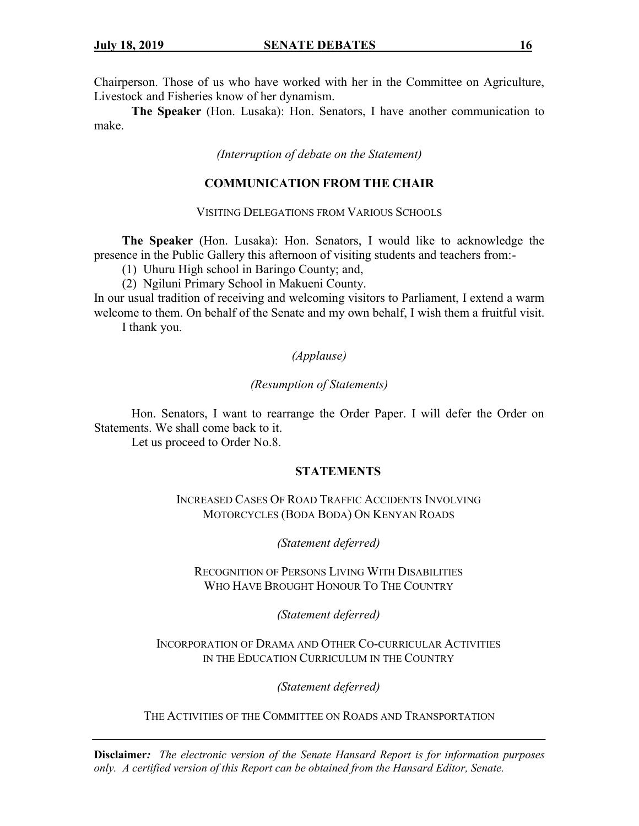Chairperson. Those of us who have worked with her in the Committee on Agriculture, Livestock and Fisheries know of her dynamism.

**The Speaker** (Hon. Lusaka): Hon. Senators, I have another communication to make.

*(Interruption of debate on the Statement)*

### **COMMUNICATION FROM THE CHAIR**

VISITING DELEGATIONS FROM VARIOUS SCHOOLS

**The Speaker** (Hon. Lusaka): Hon. Senators, I would like to acknowledge the presence in the Public Gallery this afternoon of visiting students and teachers from:-

(1) Uhuru High school in Baringo County; and,

(2) Ngiluni Primary School in Makueni County.

In our usual tradition of receiving and welcoming visitors to Parliament, I extend a warm welcome to them. On behalf of the Senate and my own behalf, I wish them a fruitful visit. I thank you.

*(Applause)*

#### *(Resumption of Statements)*

Hon. Senators, I want to rearrange the Order Paper. I will defer the Order on Statements. We shall come back to it.

Let us proceed to Order No.8.

#### **STATEMENTS**

INCREASED CASES OF ROAD TRAFFIC ACCIDENTS INVOLVING MOTORCYCLES (BODA BODA) ON KENYAN ROADS

*(Statement deferred)*

RECOGNITION OF PERSONS LIVING WITH DISABILITIES WHO HAVE BROUGHT HONOUR TO THE COUNTRY

*(Statement deferred)*

### INCORPORATION OF DRAMA AND OTHER CO-CURRICULAR ACTIVITIES IN THE EDUCATION CURRICULUM IN THE COUNTRY

*(Statement deferred)*

THE ACTIVITIES OF THE COMMITTEE ON ROADS AND TRANSPORTATION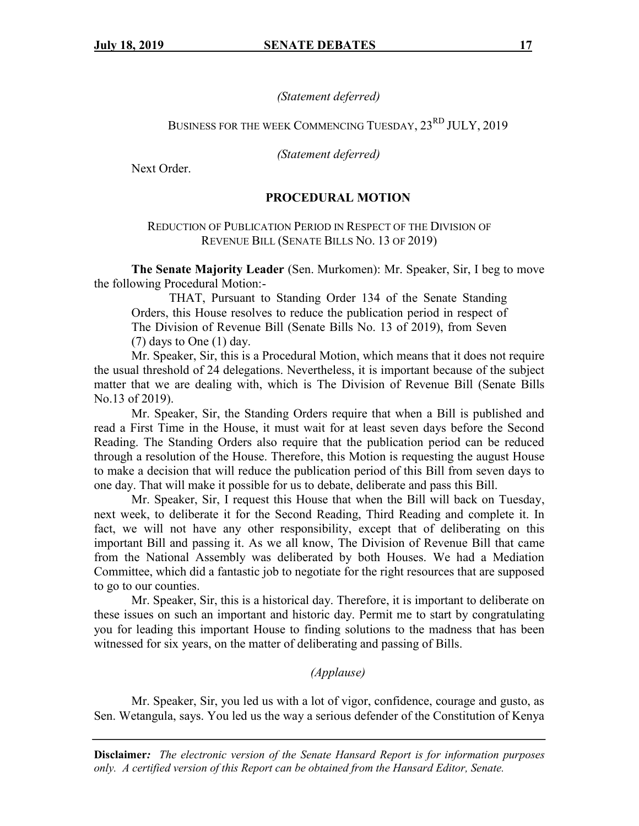### *(Statement deferred)*

# BUSINESS FOR THE WEEK COMMENCING TUESDAY,  $23^{RD}$  JULY, 2019

*(Statement deferred)*

Next Order.

### **PROCEDURAL MOTION**

### REDUCTION OF PUBLICATION PERIOD IN RESPECT OF THE DIVISION OF REVENUE BILL (SENATE BILLS NO. 13 OF 2019)

**The Senate Majority Leader** (Sen. Murkomen): Mr. Speaker, Sir, I beg to move the following Procedural Motion:-

THAT, Pursuant to Standing Order 134 of the Senate Standing Orders, this House resolves to reduce the publication period in respect of The Division of Revenue Bill (Senate Bills No. 13 of 2019), from Seven  $(7)$  days to One  $(1)$  day.

Mr. Speaker, Sir, this is a Procedural Motion, which means that it does not require the usual threshold of 24 delegations. Nevertheless, it is important because of the subject matter that we are dealing with, which is The Division of Revenue Bill (Senate Bills No.13 of 2019).

Mr. Speaker, Sir, the Standing Orders require that when a Bill is published and read a First Time in the House, it must wait for at least seven days before the Second Reading. The Standing Orders also require that the publication period can be reduced through a resolution of the House. Therefore, this Motion is requesting the august House to make a decision that will reduce the publication period of this Bill from seven days to one day. That will make it possible for us to debate, deliberate and pass this Bill.

Mr. Speaker, Sir, I request this House that when the Bill will back on Tuesday, next week, to deliberate it for the Second Reading, Third Reading and complete it. In fact, we will not have any other responsibility, except that of deliberating on this important Bill and passing it. As we all know, The Division of Revenue Bill that came from the National Assembly was deliberated by both Houses. We had a Mediation Committee, which did a fantastic job to negotiate for the right resources that are supposed to go to our counties.

Mr. Speaker, Sir, this is a historical day. Therefore, it is important to deliberate on these issues on such an important and historic day. Permit me to start by congratulating you for leading this important House to finding solutions to the madness that has been witnessed for six years, on the matter of deliberating and passing of Bills.

### *(Applause)*

Mr. Speaker, Sir, you led us with a lot of vigor, confidence, courage and gusto, as Sen. Wetangula, says. You led us the way a serious defender of the Constitution of Kenya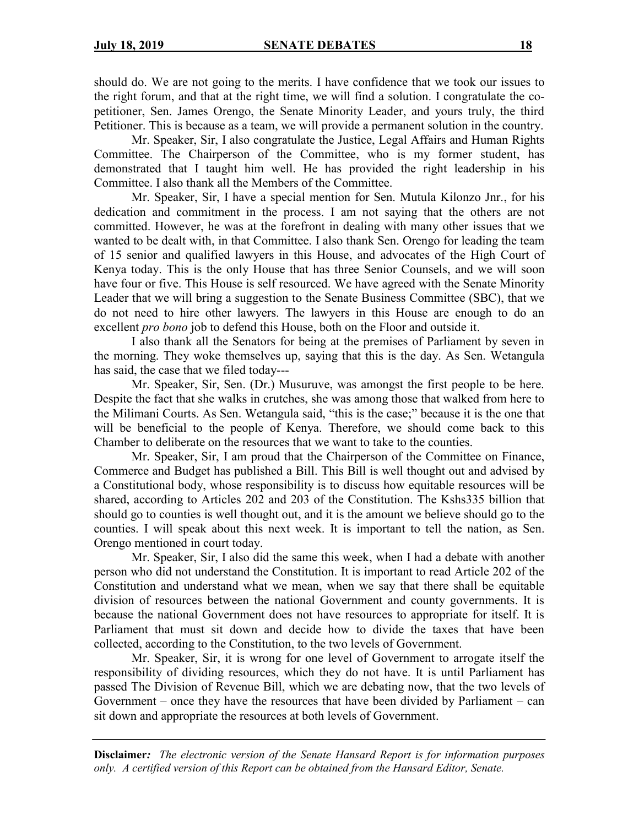should do. We are not going to the merits. I have confidence that we took our issues to the right forum, and that at the right time, we will find a solution. I congratulate the copetitioner, Sen. James Orengo, the Senate Minority Leader, and yours truly, the third Petitioner. This is because as a team, we will provide a permanent solution in the country.

Mr. Speaker, Sir, I also congratulate the Justice, Legal Affairs and Human Rights Committee. The Chairperson of the Committee, who is my former student, has demonstrated that I taught him well. He has provided the right leadership in his Committee. I also thank all the Members of the Committee.

Mr. Speaker, Sir, I have a special mention for Sen. Mutula Kilonzo Jnr., for his dedication and commitment in the process. I am not saying that the others are not committed. However, he was at the forefront in dealing with many other issues that we wanted to be dealt with, in that Committee. I also thank Sen. Orengo for leading the team of 15 senior and qualified lawyers in this House, and advocates of the High Court of Kenya today. This is the only House that has three Senior Counsels, and we will soon have four or five. This House is self resourced. We have agreed with the Senate Minority Leader that we will bring a suggestion to the Senate Business Committee (SBC), that we do not need to hire other lawyers. The lawyers in this House are enough to do an excellent *pro bono* job to defend this House, both on the Floor and outside it.

I also thank all the Senators for being at the premises of Parliament by seven in the morning. They woke themselves up, saying that this is the day. As Sen. Wetangula has said, the case that we filed today---

Mr. Speaker, Sir, Sen. (Dr.) Musuruve, was amongst the first people to be here. Despite the fact that she walks in crutches, she was among those that walked from here to the Milimani Courts. As Sen. Wetangula said, "this is the case;" because it is the one that will be beneficial to the people of Kenya. Therefore, we should come back to this Chamber to deliberate on the resources that we want to take to the counties.

Mr. Speaker, Sir, I am proud that the Chairperson of the Committee on Finance, Commerce and Budget has published a Bill. This Bill is well thought out and advised by a Constitutional body, whose responsibility is to discuss how equitable resources will be shared, according to Articles 202 and 203 of the Constitution. The Kshs335 billion that should go to counties is well thought out, and it is the amount we believe should go to the counties. I will speak about this next week. It is important to tell the nation, as Sen. Orengo mentioned in court today.

Mr. Speaker, Sir, I also did the same this week, when I had a debate with another person who did not understand the Constitution. It is important to read Article 202 of the Constitution and understand what we mean, when we say that there shall be equitable division of resources between the national Government and county governments. It is because the national Government does not have resources to appropriate for itself. It is Parliament that must sit down and decide how to divide the taxes that have been collected, according to the Constitution, to the two levels of Government.

Mr. Speaker, Sir, it is wrong for one level of Government to arrogate itself the responsibility of dividing resources, which they do not have. It is until Parliament has passed The Division of Revenue Bill, which we are debating now, that the two levels of Government – once they have the resources that have been divided by Parliament – can sit down and appropriate the resources at both levels of Government.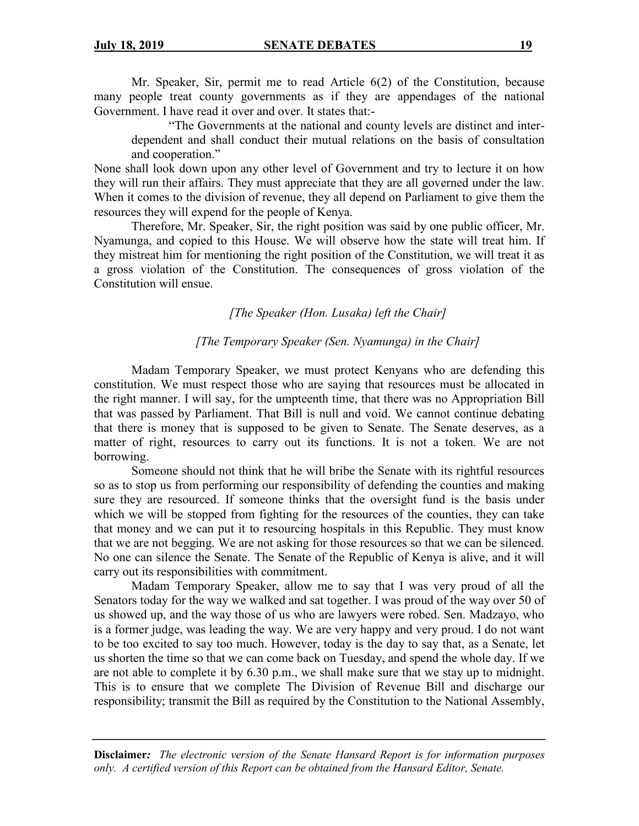Mr. Speaker, Sir, permit me to read Article 6(2) of the Constitution, because many people treat county governments as if they are appendages of the national Government. I have read it over and over. It states that:-

"The Governments at the national and county levels are distinct and interdependent and shall conduct their mutual relations on the basis of consultation and cooperation."

None shall look down upon any other level of Government and try to lecture it on how they will run their affairs. They must appreciate that they are all governed under the law. When it comes to the division of revenue, they all depend on Parliament to give them the resources they will expend for the people of Kenya.

Therefore, Mr. Speaker, Sir, the right position was said by one public officer, Mr. Nyamunga, and copied to this House. We will observe how the state will treat him. If they mistreat him for mentioning the right position of the Constitution, we will treat it as a gross violation of the Constitution. The consequences of gross violation of the Constitution will ensue.

### *[The Speaker (Hon. Lusaka) left the Chair]*

#### *[The Temporary Speaker (Sen. Nyamunga) in the Chair]*

Madam Temporary Speaker, we must protect Kenyans who are defending this constitution. We must respect those who are saying that resources must be allocated in the right manner. I will say, for the umpteenth time, that there was no Appropriation Bill that was passed by Parliament. That Bill is null and void. We cannot continue debating that there is money that is supposed to be given to Senate. The Senate deserves, as a matter of right, resources to carry out its functions. It is not a token. We are not borrowing.

Someone should not think that he will bribe the Senate with its rightful resources so as to stop us from performing our responsibility of defending the counties and making sure they are resourced. If someone thinks that the oversight fund is the basis under which we will be stopped from fighting for the resources of the counties, they can take that money and we can put it to resourcing hospitals in this Republic. They must know that we are not begging. We are not asking for those resources so that we can be silenced. No one can silence the Senate. The Senate of the Republic of Kenya is alive, and it will carry out its responsibilities with commitment.

Madam Temporary Speaker, allow me to say that I was very proud of all the Senators today for the way we walked and sat together. I was proud of the way over 50 of us showed up, and the way those of us who are lawyers were robed. Sen. Madzayo, who is a former judge, was leading the way. We are very happy and very proud. I do not want to be too excited to say too much. However, today is the day to say that, as a Senate, let us shorten the time so that we can come back on Tuesday, and spend the whole day. If we are not able to complete it by 6.30 p.m., we shall make sure that we stay up to midnight. This is to ensure that we complete The Division of Revenue Bill and discharge our responsibility; transmit the Bill as required by the Constitution to the National Assembly,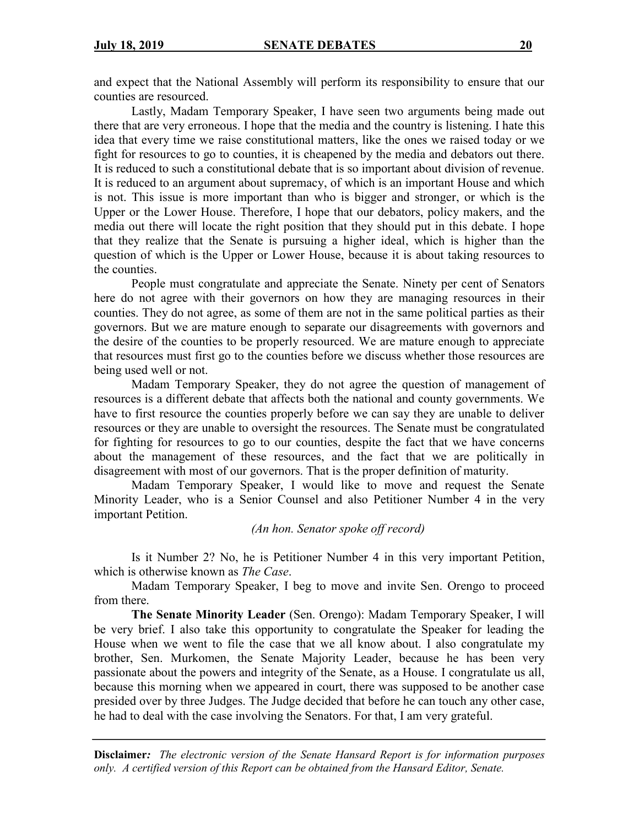and expect that the National Assembly will perform its responsibility to ensure that our counties are resourced.

Lastly, Madam Temporary Speaker, I have seen two arguments being made out there that are very erroneous. I hope that the media and the country is listening. I hate this idea that every time we raise constitutional matters, like the ones we raised today or we fight for resources to go to counties, it is cheapened by the media and debators out there. It is reduced to such a constitutional debate that is so important about division of revenue. It is reduced to an argument about supremacy, of which is an important House and which is not. This issue is more important than who is bigger and stronger, or which is the Upper or the Lower House. Therefore, I hope that our debators, policy makers, and the media out there will locate the right position that they should put in this debate. I hope that they realize that the Senate is pursuing a higher ideal, which is higher than the question of which is the Upper or Lower House, because it is about taking resources to the counties.

People must congratulate and appreciate the Senate. Ninety per cent of Senators here do not agree with their governors on how they are managing resources in their counties. They do not agree, as some of them are not in the same political parties as their governors. But we are mature enough to separate our disagreements with governors and the desire of the counties to be properly resourced. We are mature enough to appreciate that resources must first go to the counties before we discuss whether those resources are being used well or not.

Madam Temporary Speaker, they do not agree the question of management of resources is a different debate that affects both the national and county governments. We have to first resource the counties properly before we can say they are unable to deliver resources or they are unable to oversight the resources. The Senate must be congratulated for fighting for resources to go to our counties, despite the fact that we have concerns about the management of these resources, and the fact that we are politically in disagreement with most of our governors. That is the proper definition of maturity.

Madam Temporary Speaker, I would like to move and request the Senate Minority Leader, who is a Senior Counsel and also Petitioner Number 4 in the very important Petition.

*(An hon. Senator spoke off record)*

Is it Number 2? No, he is Petitioner Number 4 in this very important Petition, which is otherwise known as *The Case*.

Madam Temporary Speaker, I beg to move and invite Sen. Orengo to proceed from there.

**The Senate Minority Leader** (Sen. Orengo): Madam Temporary Speaker, I will be very brief. I also take this opportunity to congratulate the Speaker for leading the House when we went to file the case that we all know about. I also congratulate my brother, Sen. Murkomen, the Senate Majority Leader, because he has been very passionate about the powers and integrity of the Senate, as a House. I congratulate us all, because this morning when we appeared in court, there was supposed to be another case presided over by three Judges. The Judge decided that before he can touch any other case, he had to deal with the case involving the Senators. For that, I am very grateful.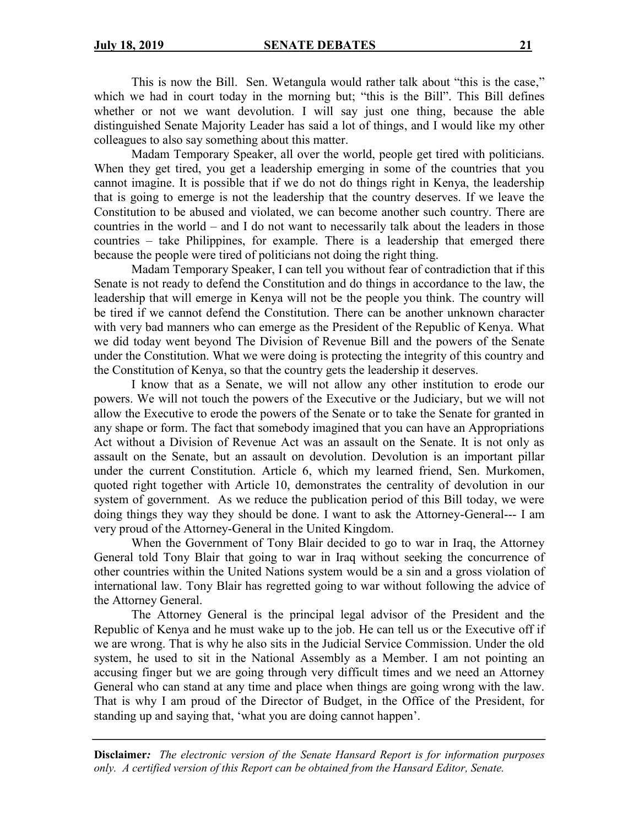This is now the Bill. Sen. Wetangula would rather talk about "this is the case," which we had in court today in the morning but; "this is the Bill". This Bill defines whether or not we want devolution. I will say just one thing, because the able distinguished Senate Majority Leader has said a lot of things, and I would like my other colleagues to also say something about this matter.

Madam Temporary Speaker, all over the world, people get tired with politicians. When they get tired, you get a leadership emerging in some of the countries that you cannot imagine. It is possible that if we do not do things right in Kenya, the leadership that is going to emerge is not the leadership that the country deserves. If we leave the Constitution to be abused and violated, we can become another such country. There are countries in the world – and I do not want to necessarily talk about the leaders in those countries – take Philippines, for example. There is a leadership that emerged there because the people were tired of politicians not doing the right thing.

Madam Temporary Speaker, I can tell you without fear of contradiction that if this Senate is not ready to defend the Constitution and do things in accordance to the law, the leadership that will emerge in Kenya will not be the people you think. The country will be tired if we cannot defend the Constitution. There can be another unknown character with very bad manners who can emerge as the President of the Republic of Kenya. What we did today went beyond The Division of Revenue Bill and the powers of the Senate under the Constitution. What we were doing is protecting the integrity of this country and the Constitution of Kenya, so that the country gets the leadership it deserves.

I know that as a Senate, we will not allow any other institution to erode our powers. We will not touch the powers of the Executive or the Judiciary, but we will not allow the Executive to erode the powers of the Senate or to take the Senate for granted in any shape or form. The fact that somebody imagined that you can have an Appropriations Act without a Division of Revenue Act was an assault on the Senate. It is not only as assault on the Senate, but an assault on devolution. Devolution is an important pillar under the current Constitution. Article 6, which my learned friend, Sen. Murkomen, quoted right together with Article 10, demonstrates the centrality of devolution in our system of government. As we reduce the publication period of this Bill today, we were doing things they way they should be done. I want to ask the Attorney-General--- I am very proud of the Attorney-General in the United Kingdom.

When the Government of Tony Blair decided to go to war in Iraq, the Attorney General told Tony Blair that going to war in Iraq without seeking the concurrence of other countries within the United Nations system would be a sin and a gross violation of international law. Tony Blair has regretted going to war without following the advice of the Attorney General.

The Attorney General is the principal legal advisor of the President and the Republic of Kenya and he must wake up to the job. He can tell us or the Executive off if we are wrong. That is why he also sits in the Judicial Service Commission. Under the old system, he used to sit in the National Assembly as a Member. I am not pointing an accusing finger but we are going through very difficult times and we need an Attorney General who can stand at any time and place when things are going wrong with the law. That is why I am proud of the Director of Budget, in the Office of the President, for standing up and saying that, 'what you are doing cannot happen'.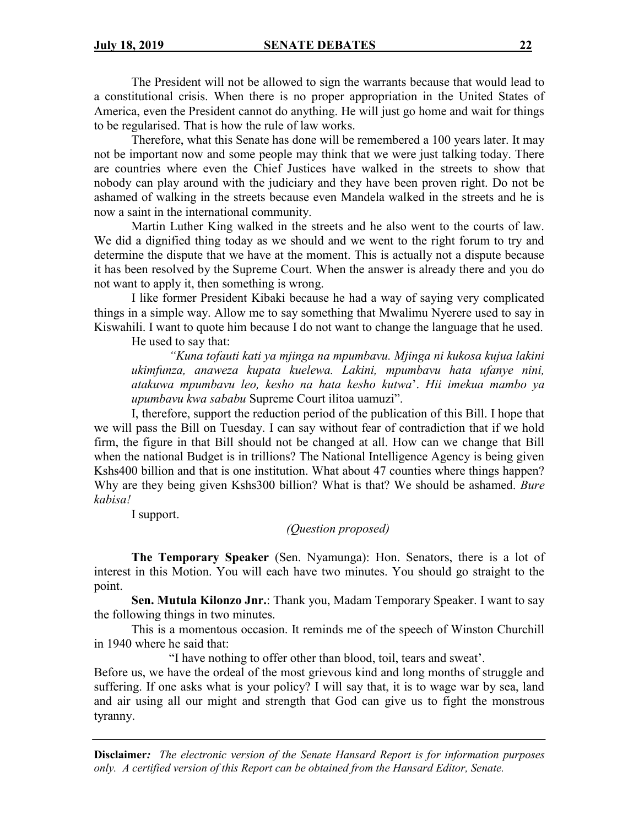The President will not be allowed to sign the warrants because that would lead to a constitutional crisis. When there is no proper appropriation in the United States of America, even the President cannot do anything. He will just go home and wait for things to be regularised. That is how the rule of law works.

Therefore, what this Senate has done will be remembered a 100 years later. It may not be important now and some people may think that we were just talking today. There are countries where even the Chief Justices have walked in the streets to show that nobody can play around with the judiciary and they have been proven right. Do not be ashamed of walking in the streets because even Mandela walked in the streets and he is now a saint in the international community.

Martin Luther King walked in the streets and he also went to the courts of law. We did a dignified thing today as we should and we went to the right forum to try and determine the dispute that we have at the moment. This is actually not a dispute because it has been resolved by the Supreme Court. When the answer is already there and you do not want to apply it, then something is wrong.

I like former President Kibaki because he had a way of saying very complicated things in a simple way. Allow me to say something that Mwalimu Nyerere used to say in Kiswahili. I want to quote him because I do not want to change the language that he used.

He used to say that:

*"Kuna tofauti kati ya mjinga na mpumbavu. Mjinga ni kukosa kujua lakini ukimfunza, anaweza kupata kuelewa. Lakini, mpumbavu hata ufanye nini, atakuwa mpumbavu leo, kesho na hata kesho kutwa*'. *Hii imekua mambo ya upumbavu kwa sababu* Supreme Court ilitoa uamuzi".

I, therefore, support the reduction period of the publication of this Bill. I hope that we will pass the Bill on Tuesday. I can say without fear of contradiction that if we hold firm, the figure in that Bill should not be changed at all. How can we change that Bill when the national Budget is in trillions? The National Intelligence Agency is being given Kshs400 billion and that is one institution. What about 47 counties where things happen? Why are they being given Kshs300 billion? What is that? We should be ashamed. *Bure kabisa!*

I support.

*(Question proposed)*

**The Temporary Speaker** (Sen. Nyamunga): Hon. Senators, there is a lot of interest in this Motion. You will each have two minutes. You should go straight to the point.

**Sen. Mutula Kilonzo Jnr.**: Thank you, Madam Temporary Speaker. I want to say the following things in two minutes.

This is a momentous occasion. It reminds me of the speech of Winston Churchill in 1940 where he said that:

"I have nothing to offer other than blood, toil, tears and sweat'.

Before us, we have the ordeal of the most grievous kind and long months of struggle and suffering. If one asks what is your policy? I will say that, it is to wage war by sea, land and air using all our might and strength that God can give us to fight the monstrous tyranny.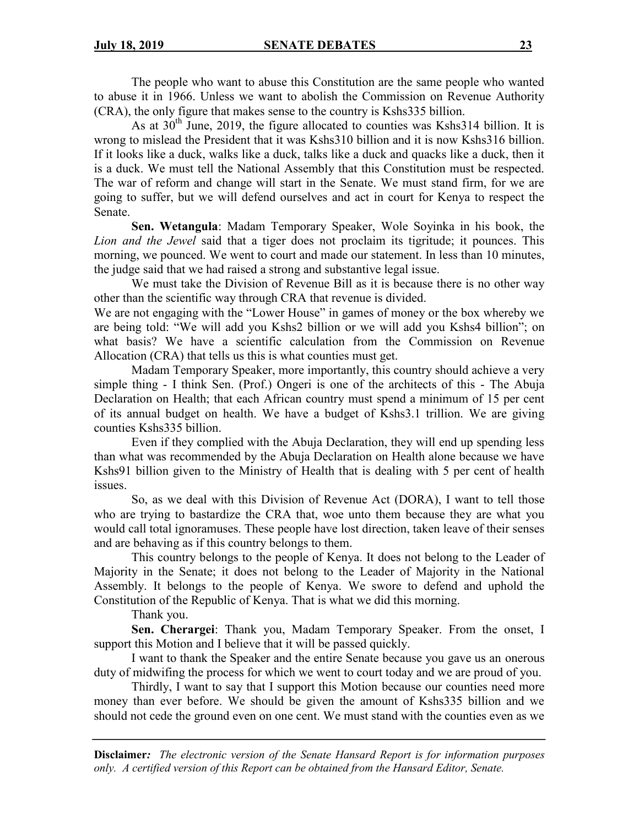The people who want to abuse this Constitution are the same people who wanted to abuse it in 1966. Unless we want to abolish the Commission on Revenue Authority (CRA), the only figure that makes sense to the country is Kshs335 billion.

As at  $30<sup>th</sup>$  June, 2019, the figure allocated to counties was Kshs 314 billion. It is wrong to mislead the President that it was Kshs310 billion and it is now Kshs316 billion. If it looks like a duck, walks like a duck, talks like a duck and quacks like a duck, then it is a duck. We must tell the National Assembly that this Constitution must be respected. The war of reform and change will start in the Senate. We must stand firm, for we are going to suffer, but we will defend ourselves and act in court for Kenya to respect the Senate.

**Sen. Wetangula**: Madam Temporary Speaker, Wole Soyinka in his book, the *Lion and the Jewel* said that a tiger does not proclaim its tigritude; it pounces. This morning, we pounced. We went to court and made our statement. In less than 10 minutes, the judge said that we had raised a strong and substantive legal issue.

We must take the Division of Revenue Bill as it is because there is no other way other than the scientific way through CRA that revenue is divided.

We are not engaging with the "Lower House" in games of money or the box whereby we are being told: "We will add you Kshs2 billion or we will add you Kshs4 billion"; on what basis? We have a scientific calculation from the Commission on Revenue Allocation (CRA) that tells us this is what counties must get.

Madam Temporary Speaker, more importantly, this country should achieve a very simple thing - I think Sen. (Prof.) Ongeri is one of the architects of this - The Abuja Declaration on Health; that each African country must spend a minimum of 15 per cent of its annual budget on health. We have a budget of Kshs3.1 trillion. We are giving counties Kshs335 billion.

Even if they complied with the Abuja Declaration, they will end up spending less than what was recommended by the Abuja Declaration on Health alone because we have Kshs91 billion given to the Ministry of Health that is dealing with 5 per cent of health issues.

So, as we deal with this Division of Revenue Act (DORA), I want to tell those who are trying to bastardize the CRA that, woe unto them because they are what you would call total ignoramuses. These people have lost direction, taken leave of their senses and are behaving as if this country belongs to them.

This country belongs to the people of Kenya. It does not belong to the Leader of Majority in the Senate; it does not belong to the Leader of Majority in the National Assembly. It belongs to the people of Kenya. We swore to defend and uphold the Constitution of the Republic of Kenya. That is what we did this morning.

Thank you.

**Sen. Cherargei**: Thank you, Madam Temporary Speaker. From the onset, I support this Motion and I believe that it will be passed quickly.

I want to thank the Speaker and the entire Senate because you gave us an onerous duty of midwifing the process for which we went to court today and we are proud of you.

Thirdly, I want to say that I support this Motion because our counties need more money than ever before. We should be given the amount of Kshs335 billion and we should not cede the ground even on one cent. We must stand with the counties even as we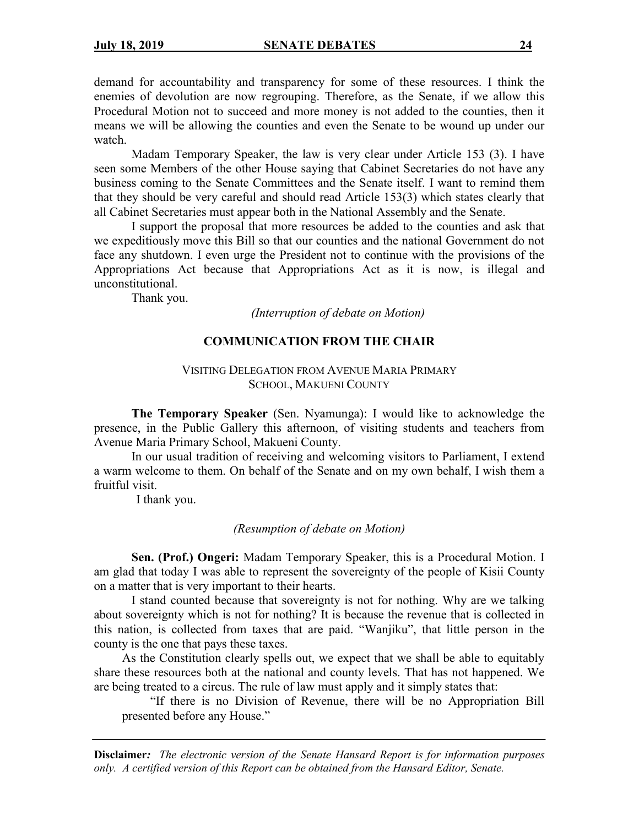demand for accountability and transparency for some of these resources. I think the enemies of devolution are now regrouping. Therefore, as the Senate, if we allow this Procedural Motion not to succeed and more money is not added to the counties, then it means we will be allowing the counties and even the Senate to be wound up under our watch.

Madam Temporary Speaker, the law is very clear under Article 153 (3). I have seen some Members of the other House saying that Cabinet Secretaries do not have any business coming to the Senate Committees and the Senate itself. I want to remind them that they should be very careful and should read Article 153(3) which states clearly that all Cabinet Secretaries must appear both in the National Assembly and the Senate.

I support the proposal that more resources be added to the counties and ask that we expeditiously move this Bill so that our counties and the national Government do not face any shutdown. I even urge the President not to continue with the provisions of the Appropriations Act because that Appropriations Act as it is now, is illegal and unconstitutional.

Thank you.

*(Interruption of debate on Motion)*

### **COMMUNICATION FROM THE CHAIR**

### VISITING DELEGATION FROM AVENUE MARIA PRIMARY SCHOOL, MAKUENI COUNTY

**The Temporary Speaker** (Sen. Nyamunga): I would like to acknowledge the presence, in the Public Gallery this afternoon, of visiting students and teachers from Avenue Maria Primary School, Makueni County.

In our usual tradition of receiving and welcoming visitors to Parliament, I extend a warm welcome to them. On behalf of the Senate and on my own behalf, I wish them a fruitful visit.

I thank you.

#### *(Resumption of debate on Motion)*

**Sen. (Prof.) Ongeri:** Madam Temporary Speaker, this is a Procedural Motion. I am glad that today I was able to represent the sovereignty of the people of Kisii County on a matter that is very important to their hearts.

I stand counted because that sovereignty is not for nothing. Why are we talking about sovereignty which is not for nothing? It is because the revenue that is collected in this nation, is collected from taxes that are paid. "Wanjiku", that little person in the county is the one that pays these taxes.

As the Constitution clearly spells out, we expect that we shall be able to equitably share these resources both at the national and county levels. That has not happened. We are being treated to a circus. The rule of law must apply and it simply states that:

"If there is no Division of Revenue, there will be no Appropriation Bill presented before any House."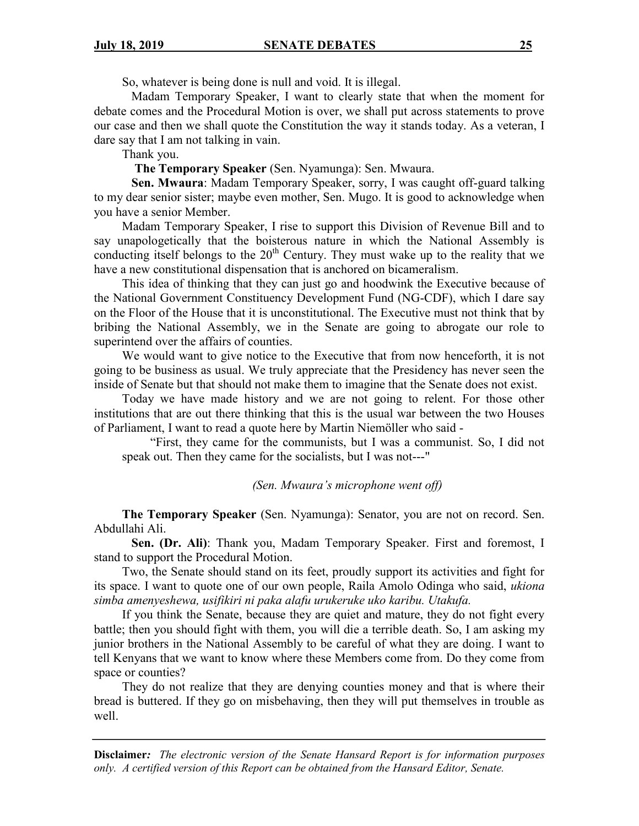So, whatever is being done is null and void. It is illegal.

Madam Temporary Speaker, I want to clearly state that when the moment for debate comes and the Procedural Motion is over, we shall put across statements to prove our case and then we shall quote the Constitution the way it stands today. As a veteran, I dare say that I am not talking in vain.

Thank you.

**The Temporary Speaker** (Sen. Nyamunga): Sen. Mwaura.

**Sen. Mwaura**: Madam Temporary Speaker, sorry, I was caught off-guard talking to my dear senior sister; maybe even mother, Sen. Mugo. It is good to acknowledge when you have a senior Member.

Madam Temporary Speaker, I rise to support this Division of Revenue Bill and to say unapologetically that the boisterous nature in which the National Assembly is conducting itself belongs to the  $20<sup>th</sup>$  Century. They must wake up to the reality that we have a new constitutional dispensation that is anchored on bicameralism.

This idea of thinking that they can just go and hoodwink the Executive because of the National Government Constituency Development Fund (NG-CDF), which I dare say on the Floor of the House that it is unconstitutional. The Executive must not think that by bribing the National Assembly, we in the Senate are going to abrogate our role to superintend over the affairs of counties.

We would want to give notice to the Executive that from now henceforth, it is not going to be business as usual. We truly appreciate that the Presidency has never seen the inside of Senate but that should not make them to imagine that the Senate does not exist.

Today we have made history and we are not going to relent. For those other institutions that are out there thinking that this is the usual war between the two Houses of Parliament, I want to read a quote here by Martin Niemöller who said -

"First, they came for the communists, but I was a communist. So, I did not speak out. Then they came for the socialists, but I was not---"

*(Sen. Mwaura's microphone went off)*

**The Temporary Speaker** (Sen. Nyamunga): Senator, you are not on record. Sen. Abdullahi Ali.

**Sen. (Dr. Ali)**: Thank you, Madam Temporary Speaker. First and foremost, I stand to support the Procedural Motion.

Two, the Senate should stand on its feet, proudly support its activities and fight for its space. I want to quote one of our own people, Raila Amolo Odinga who said, *ukiona simba amenyeshewa, usifikiri ni paka alafu urukeruke uko karibu. Utakufa.*

If you think the Senate, because they are quiet and mature, they do not fight every battle; then you should fight with them, you will die a terrible death. So, I am asking my junior brothers in the National Assembly to be careful of what they are doing. I want to tell Kenyans that we want to know where these Members come from. Do they come from space or counties?

They do not realize that they are denying counties money and that is where their bread is buttered. If they go on misbehaving, then they will put themselves in trouble as well.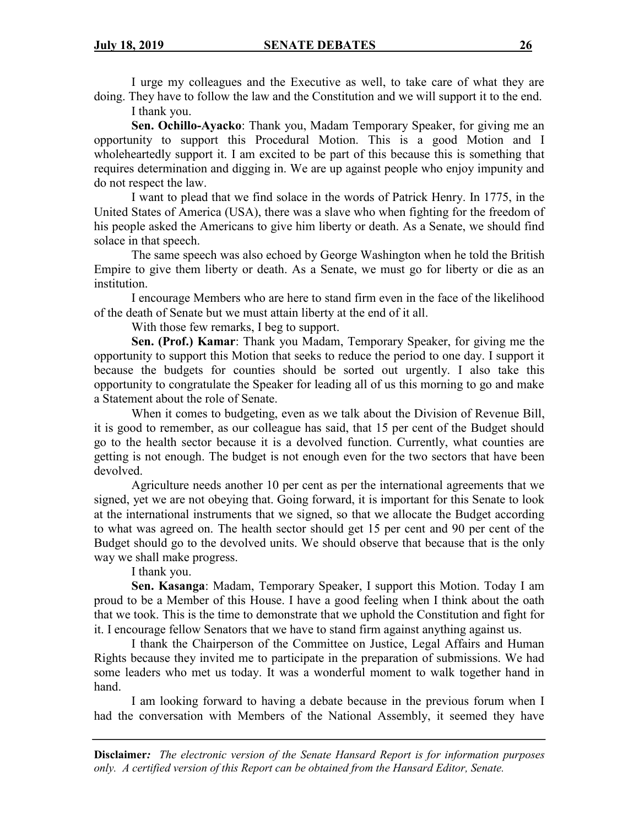I urge my colleagues and the Executive as well, to take care of what they are doing. They have to follow the law and the Constitution and we will support it to the end.

I thank you.

**Sen. Ochillo-Ayacko**: Thank you, Madam Temporary Speaker, for giving me an opportunity to support this Procedural Motion. This is a good Motion and I wholeheartedly support it. I am excited to be part of this because this is something that requires determination and digging in. We are up against people who enjoy impunity and do not respect the law.

I want to plead that we find solace in the words of Patrick Henry. In 1775, in the United States of America (USA), there was a slave who when fighting for the freedom of his people asked the Americans to give him liberty or death. As a Senate, we should find solace in that speech.

The same speech was also echoed by George Washington when he told the British Empire to give them liberty or death. As a Senate, we must go for liberty or die as an institution.

I encourage Members who are here to stand firm even in the face of the likelihood of the death of Senate but we must attain liberty at the end of it all.

With those few remarks, I beg to support.

**Sen. (Prof.) Kamar**: Thank you Madam, Temporary Speaker, for giving me the opportunity to support this Motion that seeks to reduce the period to one day. I support it because the budgets for counties should be sorted out urgently. I also take this opportunity to congratulate the Speaker for leading all of us this morning to go and make a Statement about the role of Senate.

When it comes to budgeting, even as we talk about the Division of Revenue Bill, it is good to remember, as our colleague has said, that 15 per cent of the Budget should go to the health sector because it is a devolved function. Currently, what counties are getting is not enough. The budget is not enough even for the two sectors that have been devolved.

Agriculture needs another 10 per cent as per the international agreements that we signed, yet we are not obeying that. Going forward, it is important for this Senate to look at the international instruments that we signed, so that we allocate the Budget according to what was agreed on. The health sector should get 15 per cent and 90 per cent of the Budget should go to the devolved units. We should observe that because that is the only way we shall make progress.

I thank you.

**Sen. Kasanga**: Madam, Temporary Speaker, I support this Motion. Today I am proud to be a Member of this House. I have a good feeling when I think about the oath that we took. This is the time to demonstrate that we uphold the Constitution and fight for it. I encourage fellow Senators that we have to stand firm against anything against us.

I thank the Chairperson of the Committee on Justice, Legal Affairs and Human Rights because they invited me to participate in the preparation of submissions. We had some leaders who met us today. It was a wonderful moment to walk together hand in hand.

I am looking forward to having a debate because in the previous forum when I had the conversation with Members of the National Assembly, it seemed they have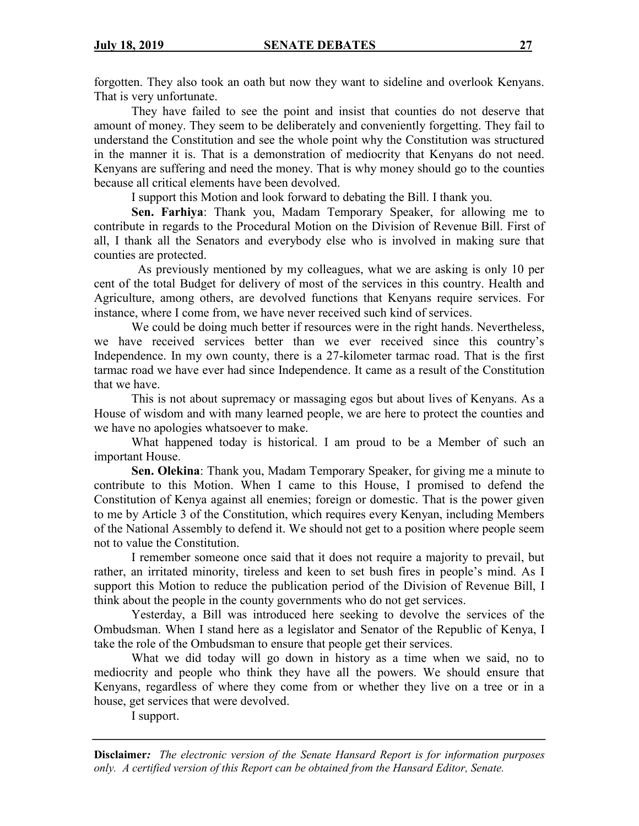forgotten. They also took an oath but now they want to sideline and overlook Kenyans. That is very unfortunate.

They have failed to see the point and insist that counties do not deserve that amount of money. They seem to be deliberately and conveniently forgetting. They fail to understand the Constitution and see the whole point why the Constitution was structured in the manner it is. That is a demonstration of mediocrity that Kenyans do not need. Kenyans are suffering and need the money. That is why money should go to the counties because all critical elements have been devolved.

I support this Motion and look forward to debating the Bill. I thank you.

**Sen. Farhiya**: Thank you, Madam Temporary Speaker, for allowing me to contribute in regards to the Procedural Motion on the Division of Revenue Bill. First of all, I thank all the Senators and everybody else who is involved in making sure that counties are protected.

 As previously mentioned by my colleagues, what we are asking is only 10 per cent of the total Budget for delivery of most of the services in this country. Health and Agriculture, among others, are devolved functions that Kenyans require services. For instance, where I come from, we have never received such kind of services.

We could be doing much better if resources were in the right hands. Nevertheless, we have received services better than we ever received since this country's Independence. In my own county, there is a 27-kilometer tarmac road. That is the first tarmac road we have ever had since Independence. It came as a result of the Constitution that we have.

This is not about supremacy or massaging egos but about lives of Kenyans. As a House of wisdom and with many learned people, we are here to protect the counties and we have no apologies whatsoever to make.

What happened today is historical. I am proud to be a Member of such an important House.

**Sen. Olekina**: Thank you, Madam Temporary Speaker, for giving me a minute to contribute to this Motion. When I came to this House, I promised to defend the Constitution of Kenya against all enemies; foreign or domestic. That is the power given to me by Article 3 of the Constitution, which requires every Kenyan, including Members of the National Assembly to defend it. We should not get to a position where people seem not to value the Constitution.

I remember someone once said that it does not require a majority to prevail, but rather, an irritated minority, tireless and keen to set bush fires in people's mind. As I support this Motion to reduce the publication period of the Division of Revenue Bill, I think about the people in the county governments who do not get services.

Yesterday, a Bill was introduced here seeking to devolve the services of the Ombudsman. When I stand here as a legislator and Senator of the Republic of Kenya, I take the role of the Ombudsman to ensure that people get their services.

What we did today will go down in history as a time when we said, no to mediocrity and people who think they have all the powers. We should ensure that Kenyans, regardless of where they come from or whether they live on a tree or in a house, get services that were devolved.

I support.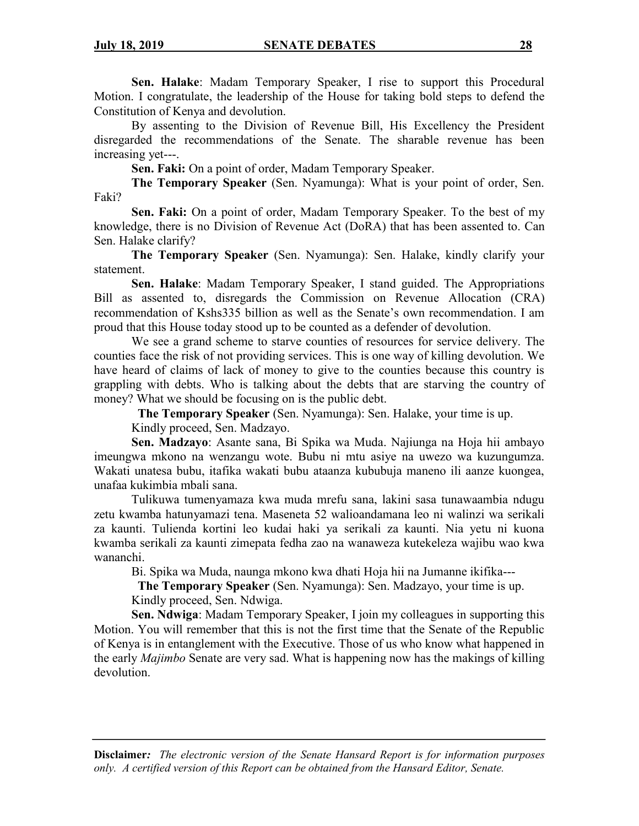**Sen. Halake**: Madam Temporary Speaker, I rise to support this Procedural Motion. I congratulate, the leadership of the House for taking bold steps to defend the Constitution of Kenya and devolution.

By assenting to the Division of Revenue Bill, His Excellency the President disregarded the recommendations of the Senate. The sharable revenue has been increasing yet---.

**Sen. Faki:** On a point of order, Madam Temporary Speaker.

**The Temporary Speaker** (Sen. Nyamunga): What is your point of order, Sen. Faki?

**Sen. Faki:** On a point of order, Madam Temporary Speaker. To the best of my knowledge, there is no Division of Revenue Act (DoRA) that has been assented to. Can Sen. Halake clarify?

**The Temporary Speaker** (Sen. Nyamunga): Sen. Halake, kindly clarify your statement.

**Sen. Halake**: Madam Temporary Speaker, I stand guided. The Appropriations Bill as assented to, disregards the Commission on Revenue Allocation (CRA) recommendation of Kshs335 billion as well as the Senate's own recommendation. I am proud that this House today stood up to be counted as a defender of devolution.

We see a grand scheme to starve counties of resources for service delivery. The counties face the risk of not providing services. This is one way of killing devolution. We have heard of claims of lack of money to give to the counties because this country is grappling with debts. Who is talking about the debts that are starving the country of money? What we should be focusing on is the public debt.

**The Temporary Speaker** (Sen. Nyamunga): Sen. Halake, your time is up.

Kindly proceed, Sen. Madzayo.

**Sen. Madzayo**: Asante sana, Bi Spika wa Muda. Najiunga na Hoja hii ambayo imeungwa mkono na wenzangu wote. Bubu ni mtu asiye na uwezo wa kuzungumza. Wakati unatesa bubu, itafika wakati bubu ataanza kububuja maneno ili aanze kuongea, unafaa kukimbia mbali sana.

Tulikuwa tumenyamaza kwa muda mrefu sana, lakini sasa tunawaambia ndugu zetu kwamba hatunyamazi tena. Maseneta 52 walioandamana leo ni walinzi wa serikali za kaunti. Tulienda kortini leo kudai haki ya serikali za kaunti. Nia yetu ni kuona kwamba serikali za kaunti zimepata fedha zao na wanaweza kutekeleza wajibu wao kwa wananchi.

Bi. Spika wa Muda, naunga mkono kwa dhati Hoja hii na Jumanne ikifika---

 **The Temporary Speaker** (Sen. Nyamunga): Sen. Madzayo, your time is up. Kindly proceed, Sen. Ndwiga.

**Sen. Ndwiga**: Madam Temporary Speaker, I join my colleagues in supporting this Motion. You will remember that this is not the first time that the Senate of the Republic of Kenya is in entanglement with the Executive. Those of us who know what happened in the early *Majimbo* Senate are very sad. What is happening now has the makings of killing devolution.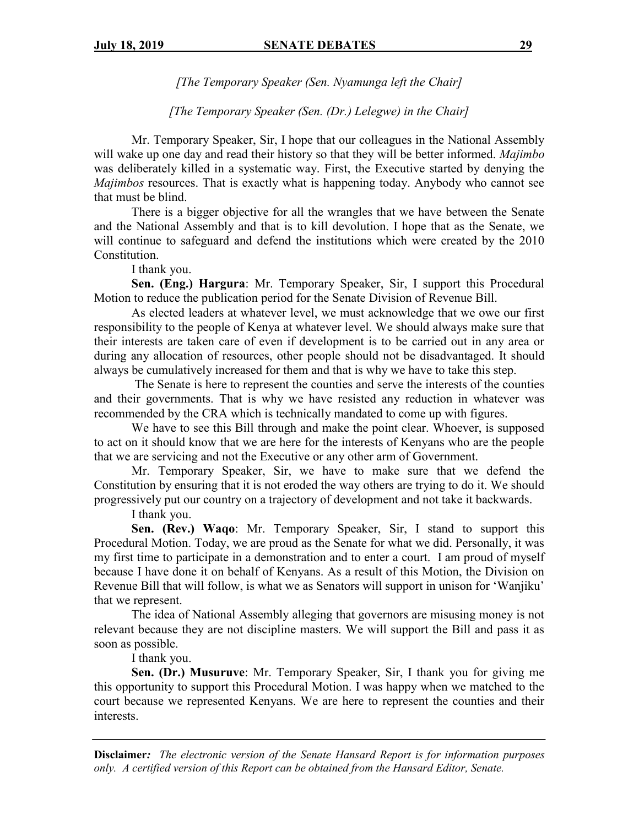*[The Temporary Speaker (Sen. Nyamunga left the Chair]*

*[The Temporary Speaker (Sen. (Dr.) Lelegwe) in the Chair]*

Mr. Temporary Speaker, Sir, I hope that our colleagues in the National Assembly will wake up one day and read their history so that they will be better informed. *Majimbo*  was deliberately killed in a systematic way. First, the Executive started by denying the *Majimbos* resources. That is exactly what is happening today. Anybody who cannot see that must be blind.

There is a bigger objective for all the wrangles that we have between the Senate and the National Assembly and that is to kill devolution. I hope that as the Senate, we will continue to safeguard and defend the institutions which were created by the 2010 Constitution.

I thank you.

**Sen. (Eng.) Hargura**: Mr. Temporary Speaker, Sir, I support this Procedural Motion to reduce the publication period for the Senate Division of Revenue Bill.

As elected leaders at whatever level, we must acknowledge that we owe our first responsibility to the people of Kenya at whatever level. We should always make sure that their interests are taken care of even if development is to be carried out in any area or during any allocation of resources, other people should not be disadvantaged. It should always be cumulatively increased for them and that is why we have to take this step.

The Senate is here to represent the counties and serve the interests of the counties and their governments. That is why we have resisted any reduction in whatever was recommended by the CRA which is technically mandated to come up with figures.

We have to see this Bill through and make the point clear. Whoever, is supposed to act on it should know that we are here for the interests of Kenyans who are the people that we are servicing and not the Executive or any other arm of Government.

Mr. Temporary Speaker, Sir, we have to make sure that we defend the Constitution by ensuring that it is not eroded the way others are trying to do it. We should progressively put our country on a trajectory of development and not take it backwards.

I thank you.

**Sen. (Rev.) Waqo**: Mr. Temporary Speaker, Sir, I stand to support this Procedural Motion. Today, we are proud as the Senate for what we did. Personally, it was my first time to participate in a demonstration and to enter a court. I am proud of myself because I have done it on behalf of Kenyans. As a result of this Motion, the Division on Revenue Bill that will follow, is what we as Senators will support in unison for 'Wanjiku' that we represent.

The idea of National Assembly alleging that governors are misusing money is not relevant because they are not discipline masters. We will support the Bill and pass it as soon as possible.

I thank you.

**Sen. (Dr.) Musuruve**: Mr. Temporary Speaker, Sir, I thank you for giving me this opportunity to support this Procedural Motion. I was happy when we matched to the court because we represented Kenyans. We are here to represent the counties and their interests.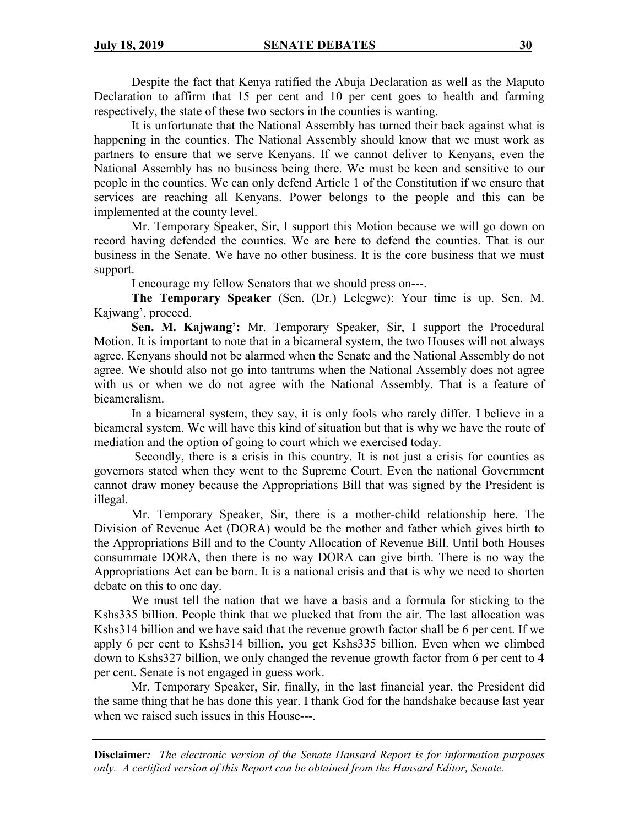Despite the fact that Kenya ratified the Abuja Declaration as well as the Maputo Declaration to affirm that 15 per cent and 10 per cent goes to health and farming respectively, the state of these two sectors in the counties is wanting.

It is unfortunate that the National Assembly has turned their back against what is happening in the counties. The National Assembly should know that we must work as partners to ensure that we serve Kenyans. If we cannot deliver to Kenyans, even the National Assembly has no business being there. We must be keen and sensitive to our people in the counties. We can only defend Article 1 of the Constitution if we ensure that services are reaching all Kenyans. Power belongs to the people and this can be implemented at the county level.

Mr. Temporary Speaker, Sir, I support this Motion because we will go down on record having defended the counties. We are here to defend the counties. That is our business in the Senate. We have no other business. It is the core business that we must support.

I encourage my fellow Senators that we should press on---.

**The Temporary Speaker** (Sen. (Dr.) Lelegwe): Your time is up. Sen. M. Kajwang', proceed.

**Sen. M. Kajwang':** Mr. Temporary Speaker, Sir, I support the Procedural Motion. It is important to note that in a bicameral system, the two Houses will not always agree. Kenyans should not be alarmed when the Senate and the National Assembly do not agree. We should also not go into tantrums when the National Assembly does not agree with us or when we do not agree with the National Assembly. That is a feature of bicameralism.

In a bicameral system, they say, it is only fools who rarely differ. I believe in a bicameral system. We will have this kind of situation but that is why we have the route of mediation and the option of going to court which we exercised today.

Secondly, there is a crisis in this country. It is not just a crisis for counties as governors stated when they went to the Supreme Court. Even the national Government cannot draw money because the Appropriations Bill that was signed by the President is illegal.

Mr. Temporary Speaker, Sir, there is a mother-child relationship here. The Division of Revenue Act (DORA) would be the mother and father which gives birth to the Appropriations Bill and to the County Allocation of Revenue Bill. Until both Houses consummate DORA, then there is no way DORA can give birth. There is no way the Appropriations Act can be born. It is a national crisis and that is why we need to shorten debate on this to one day.

We must tell the nation that we have a basis and a formula for sticking to the Kshs335 billion. People think that we plucked that from the air. The last allocation was Kshs314 billion and we have said that the revenue growth factor shall be 6 per cent. If we apply 6 per cent to Kshs314 billion, you get Kshs335 billion. Even when we climbed down to Kshs327 billion, we only changed the revenue growth factor from 6 per cent to 4 per cent. Senate is not engaged in guess work.

Mr. Temporary Speaker, Sir, finally, in the last financial year, the President did the same thing that he has done this year. I thank God for the handshake because last year when we raised such issues in this House---.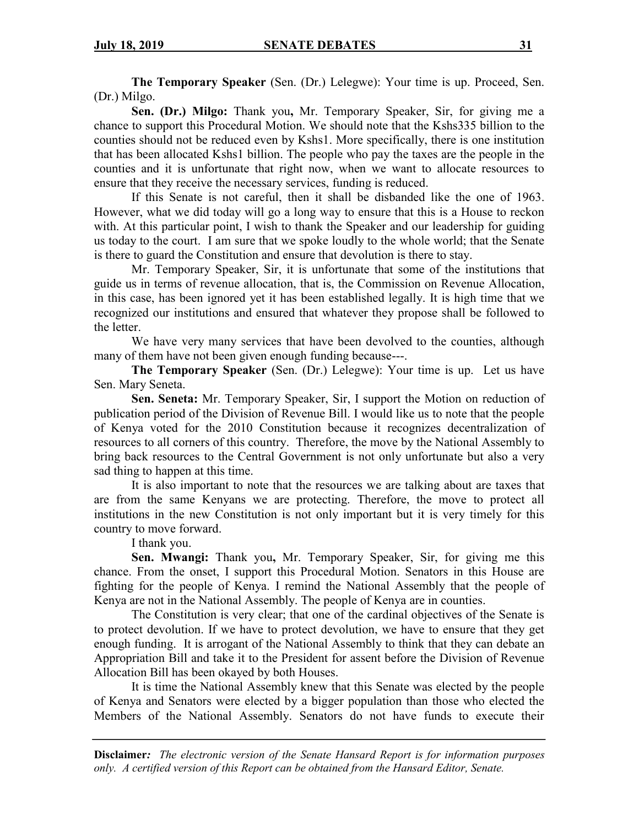**The Temporary Speaker** (Sen. (Dr.) Lelegwe): Your time is up. Proceed, Sen. (Dr.) Milgo.

**Sen. (Dr.) Milgo:** Thank you**,** Mr. Temporary Speaker, Sir, for giving me a chance to support this Procedural Motion. We should note that the Kshs335 billion to the counties should not be reduced even by Kshs1. More specifically, there is one institution that has been allocated Kshs1 billion. The people who pay the taxes are the people in the counties and it is unfortunate that right now, when we want to allocate resources to ensure that they receive the necessary services, funding is reduced.

If this Senate is not careful, then it shall be disbanded like the one of 1963. However, what we did today will go a long way to ensure that this is a House to reckon with. At this particular point, I wish to thank the Speaker and our leadership for guiding us today to the court. I am sure that we spoke loudly to the whole world; that the Senate is there to guard the Constitution and ensure that devolution is there to stay.

Mr. Temporary Speaker, Sir, it is unfortunate that some of the institutions that guide us in terms of revenue allocation, that is, the Commission on Revenue Allocation, in this case, has been ignored yet it has been established legally. It is high time that we recognized our institutions and ensured that whatever they propose shall be followed to the letter.

We have very many services that have been devolved to the counties, although many of them have not been given enough funding because---.

**The Temporary Speaker** (Sen. (Dr.) Lelegwe): Your time is up. Let us have Sen. Mary Seneta.

**Sen. Seneta:** Mr. Temporary Speaker, Sir, I support the Motion on reduction of publication period of the Division of Revenue Bill. I would like us to note that the people of Kenya voted for the 2010 Constitution because it recognizes decentralization of resources to all corners of this country. Therefore, the move by the National Assembly to bring back resources to the Central Government is not only unfortunate but also a very sad thing to happen at this time.

It is also important to note that the resources we are talking about are taxes that are from the same Kenyans we are protecting. Therefore, the move to protect all institutions in the new Constitution is not only important but it is very timely for this country to move forward.

I thank you.

**Sen. Mwangi:** Thank you**,** Mr. Temporary Speaker, Sir, for giving me this chance. From the onset, I support this Procedural Motion. Senators in this House are fighting for the people of Kenya. I remind the National Assembly that the people of Kenya are not in the National Assembly. The people of Kenya are in counties.

The Constitution is very clear; that one of the cardinal objectives of the Senate is to protect devolution. If we have to protect devolution, we have to ensure that they get enough funding. It is arrogant of the National Assembly to think that they can debate an Appropriation Bill and take it to the President for assent before the Division of Revenue Allocation Bill has been okayed by both Houses.

It is time the National Assembly knew that this Senate was elected by the people of Kenya and Senators were elected by a bigger population than those who elected the Members of the National Assembly. Senators do not have funds to execute their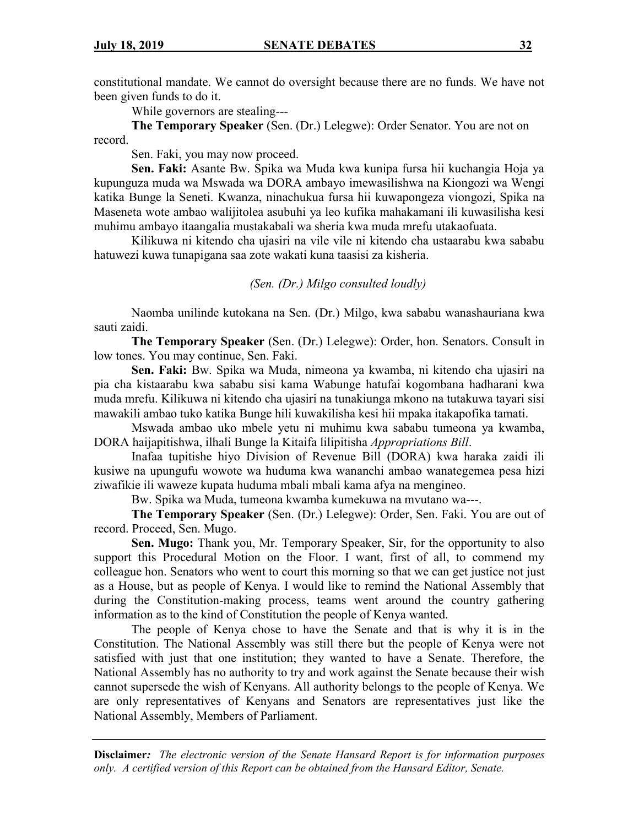constitutional mandate. We cannot do oversight because there are no funds. We have not been given funds to do it.

While governors are stealing---

**The Temporary Speaker** (Sen. (Dr.) Lelegwe): Order Senator. You are not on record.

Sen. Faki, you may now proceed.

**Sen. Faki:** Asante Bw. Spika wa Muda kwa kunipa fursa hii kuchangia Hoja ya kupunguza muda wa Mswada wa DORA ambayo imewasilishwa na Kiongozi wa Wengi katika Bunge la Seneti. Kwanza, ninachukua fursa hii kuwapongeza viongozi, Spika na Maseneta wote ambao walijitolea asubuhi ya leo kufika mahakamani ili kuwasilisha kesi muhimu ambayo itaangalia mustakabali wa sheria kwa muda mrefu utakaofuata.

Kilikuwa ni kitendo cha ujasiri na vile vile ni kitendo cha ustaarabu kwa sababu hatuwezi kuwa tunapigana saa zote wakati kuna taasisi za kisheria.

*(Sen. (Dr.) Milgo consulted loudly)*

Naomba unilinde kutokana na Sen. (Dr.) Milgo, kwa sababu wanashauriana kwa sauti zaidi.

**The Temporary Speaker** (Sen. (Dr.) Lelegwe): Order, hon. Senators. Consult in low tones. You may continue, Sen. Faki.

**Sen. Faki:** Bw. Spika wa Muda, nimeona ya kwamba, ni kitendo cha ujasiri na pia cha kistaarabu kwa sababu sisi kama Wabunge hatufai kogombana hadharani kwa muda mrefu. Kilikuwa ni kitendo cha ujasiri na tunakiunga mkono na tutakuwa tayari sisi mawakili ambao tuko katika Bunge hili kuwakilisha kesi hii mpaka itakapofika tamati.

Mswada ambao uko mbele yetu ni muhimu kwa sababu tumeona ya kwamba, DORA haijapitishwa, ilhali Bunge la Kitaifa lilipitisha *Appropriations Bill*.

Inafaa tupitishe hiyo Division of Revenue Bill (DORA) kwa haraka zaidi ili kusiwe na upungufu wowote wa huduma kwa wananchi ambao wanategemea pesa hizi ziwafikie ili waweze kupata huduma mbali mbali kama afya na mengineo.

Bw. Spika wa Muda, tumeona kwamba kumekuwa na mvutano wa---.

**The Temporary Speaker** (Sen. (Dr.) Lelegwe): Order, Sen. Faki. You are out of record. Proceed, Sen. Mugo.

**Sen. Mugo:** Thank you, Mr. Temporary Speaker, Sir, for the opportunity to also support this Procedural Motion on the Floor. I want, first of all, to commend my colleague hon. Senators who went to court this morning so that we can get justice not just as a House, but as people of Kenya. I would like to remind the National Assembly that during the Constitution-making process, teams went around the country gathering information as to the kind of Constitution the people of Kenya wanted.

The people of Kenya chose to have the Senate and that is why it is in the Constitution. The National Assembly was still there but the people of Kenya were not satisfied with just that one institution; they wanted to have a Senate. Therefore, the National Assembly has no authority to try and work against the Senate because their wish cannot supersede the wish of Kenyans. All authority belongs to the people of Kenya. We are only representatives of Kenyans and Senators are representatives just like the National Assembly, Members of Parliament.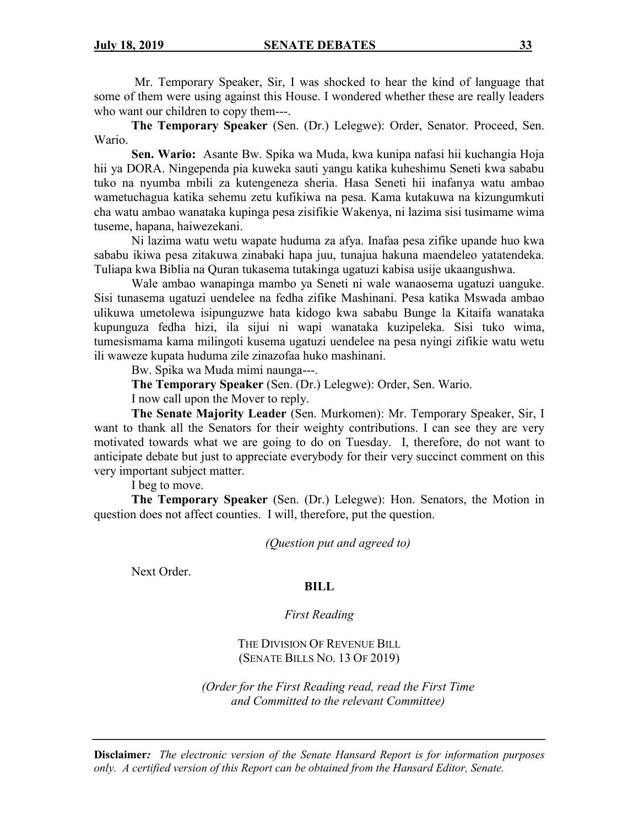Mr. Temporary Speaker, Sir, I was shocked to hear the kind of language that some of them were using against this House. I wondered whether these are really leaders who want our children to copy them---.

**The Temporary Speaker** (Sen. (Dr.) Lelegwe): Order, Senator. Proceed, Sen. Wario.

**Sen. Wario:** Asante Bw. Spika wa Muda, kwa kunipa nafasi hii kuchangia Hoja hii ya DORA. Ningependa pia kuweka sauti yangu katika kuheshimu Seneti kwa sababu tuko na nyumba mbili za kutengeneza sheria. Hasa Seneti hii inafanya watu ambao wametuchagua katika sehemu zetu kufikiwa na pesa. Kama kutakuwa na kizungumkuti cha watu ambao wanataka kupinga pesa zisifikie Wakenya, ni lazima sisi tusimame wima tuseme, hapana, haiwezekani.

Ni lazima watu wetu wapate huduma za afya. Inafaa pesa zifike upande huo kwa sababu ikiwa pesa zitakuwa zinabaki hapa juu, tunajua hakuna maendeleo yatatendeka. Tuliapa kwa Biblia na Quran tukasema tutakinga ugatuzi kabisa usije ukaangushwa.

Wale ambao wanapinga mambo ya Seneti ni wale wanaosema ugatuzi uanguke. Sisi tunasema ugatuzi uendelee na fedha zifike Mashinani. Pesa katika Mswada ambao ulikuwa umetolewa isipunguzwe hata kidogo kwa sababu Bunge la Kitaifa wanataka kupunguza fedha hizi, ila sijui ni wapi wanataka kuzipeleka. Sisi tuko wima, tumesismama kama milingoti kusema ugatuzi uendelee na pesa nyingi zifikie watu wetu ili waweze kupata huduma zile zinazofaa huko mashinani.

Bw. Spika wa Muda mimi naunga---.

**The Temporary Speaker** (Sen. (Dr.) Lelegwe): Order, Sen. Wario.

I now call upon the Mover to reply.

**The Senate Majority Leader** (Sen. Murkomen): Mr. Temporary Speaker, Sir, I want to thank all the Senators for their weighty contributions. I can see they are very motivated towards what we are going to do on Tuesday. I, therefore, do not want to anticipate debate but just to appreciate everybody for their very succinct comment on this very important subject matter.

I beg to move.

**The Temporary Speaker** (Sen. (Dr.) Lelegwe): Hon. Senators, the Motion in question does not affect counties. I will, therefore, put the question.

*(Question put and agreed to)*

Next Order.

## **BILL**

*First Reading*

THE DIVISION OF REVENUE BILL (SENATE BILLS NO. 13 OF 2019)

*(Order for the First Reading read, read the First Time and Committed to the relevant Committee)*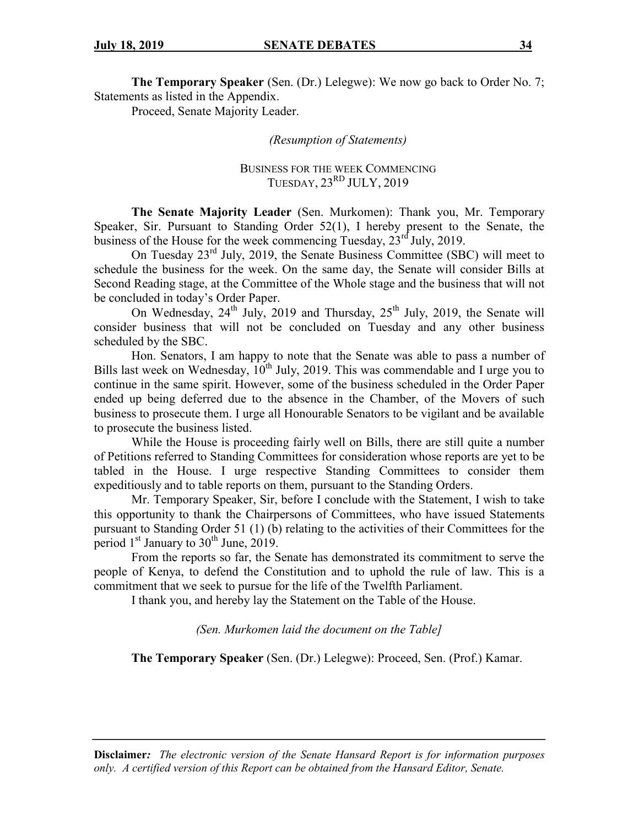**The Temporary Speaker** (Sen. (Dr.) Lelegwe): We now go back to Order No. 7; Statements as listed in the Appendix.

Proceed, Senate Majority Leader.

*(Resumption of Statements)*

BUSINESS FOR THE WEEK COMMENCING TUESDAY,  $23<sup>RD</sup> JULY, 2019$ 

**The Senate Majority Leader** (Sen. Murkomen): Thank you, Mr. Temporary Speaker, Sir. Pursuant to Standing Order 52(1), I hereby present to the Senate, the business of the House for the week commencing Tuesday,  $23^{\text{rd}}$  July, 2019.

On Tuesday 23rd July, 2019, the Senate Business Committee (SBC) will meet to schedule the business for the week. On the same day, the Senate will consider Bills at Second Reading stage, at the Committee of the Whole stage and the business that will not be concluded in today's Order Paper.

On Wednesday,  $24^{th}$  July, 2019 and Thursday,  $25^{th}$  July, 2019, the Senate will consider business that will not be concluded on Tuesday and any other business scheduled by the SBC.

Hon. Senators, I am happy to note that the Senate was able to pass a number of Bills last week on Wednesday,  $10^{th}$  July, 2019. This was commendable and I urge you to continue in the same spirit. However, some of the business scheduled in the Order Paper ended up being deferred due to the absence in the Chamber, of the Movers of such business to prosecute them. I urge all Honourable Senators to be vigilant and be available to prosecute the business listed.

While the House is proceeding fairly well on Bills, there are still quite a number of Petitions referred to Standing Committees for consideration whose reports are yet to be tabled in the House. I urge respective Standing Committees to consider them expeditiously and to table reports on them, pursuant to the Standing Orders.

Mr. Temporary Speaker, Sir, before I conclude with the Statement, I wish to take this opportunity to thank the Chairpersons of Committees, who have issued Statements pursuant to Standing Order 51 (1) (b) relating to the activities of their Committees for the period  $1<sup>st</sup>$  January to  $30<sup>th</sup>$  June, 2019.

From the reports so far, the Senate has demonstrated its commitment to serve the people of Kenya, to defend the Constitution and to uphold the rule of law. This is a commitment that we seek to pursue for the life of the Twelfth Parliament.

I thank you, and hereby lay the Statement on the Table of the House.

*(Sen. Murkomen laid the document on the Table]*

**The Temporary Speaker** (Sen. (Dr.) Lelegwe): Proceed, Sen. (Prof.) Kamar.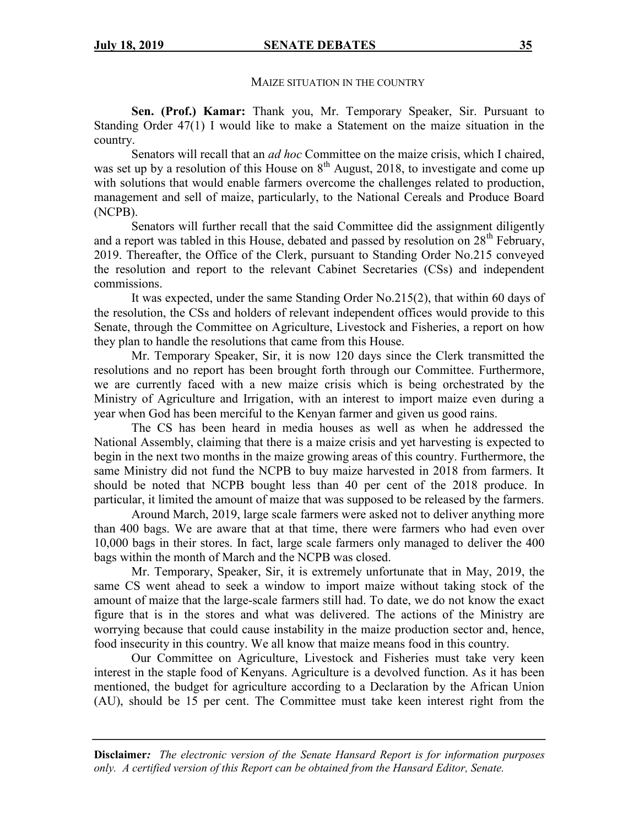#### MAIZE SITUATION IN THE COUNTRY

**Sen. (Prof.) Kamar:** Thank you, Mr. Temporary Speaker, Sir. Pursuant to Standing Order 47(1) I would like to make a Statement on the maize situation in the country.

Senators will recall that an *ad hoc* Committee on the maize crisis, which I chaired, was set up by a resolution of this House on  $8<sup>th</sup>$  August, 2018, to investigate and come up with solutions that would enable farmers overcome the challenges related to production, management and sell of maize, particularly, to the National Cereals and Produce Board (NCPB).

Senators will further recall that the said Committee did the assignment diligently and a report was tabled in this House, debated and passed by resolution on  $28<sup>th</sup>$  February, 2019. Thereafter, the Office of the Clerk, pursuant to Standing Order No.215 conveyed the resolution and report to the relevant Cabinet Secretaries (CSs) and independent commissions.

It was expected, under the same Standing Order No.215(2), that within 60 days of the resolution, the CSs and holders of relevant independent offices would provide to this Senate, through the Committee on Agriculture, Livestock and Fisheries, a report on how they plan to handle the resolutions that came from this House.

Mr. Temporary Speaker, Sir, it is now 120 days since the Clerk transmitted the resolutions and no report has been brought forth through our Committee. Furthermore, we are currently faced with a new maize crisis which is being orchestrated by the Ministry of Agriculture and Irrigation, with an interest to import maize even during a year when God has been merciful to the Kenyan farmer and given us good rains.

The CS has been heard in media houses as well as when he addressed the National Assembly, claiming that there is a maize crisis and yet harvesting is expected to begin in the next two months in the maize growing areas of this country. Furthermore, the same Ministry did not fund the NCPB to buy maize harvested in 2018 from farmers. It should be noted that NCPB bought less than 40 per cent of the 2018 produce. In particular, it limited the amount of maize that was supposed to be released by the farmers.

Around March, 2019, large scale farmers were asked not to deliver anything more than 400 bags. We are aware that at that time, there were farmers who had even over 10,000 bags in their stores. In fact, large scale farmers only managed to deliver the 400 bags within the month of March and the NCPB was closed.

Mr. Temporary, Speaker, Sir, it is extremely unfortunate that in May, 2019, the same CS went ahead to seek a window to import maize without taking stock of the amount of maize that the large-scale farmers still had. To date, we do not know the exact figure that is in the stores and what was delivered. The actions of the Ministry are worrying because that could cause instability in the maize production sector and, hence, food insecurity in this country. We all know that maize means food in this country.

Our Committee on Agriculture, Livestock and Fisheries must take very keen interest in the staple food of Kenyans. Agriculture is a devolved function. As it has been mentioned, the budget for agriculture according to a Declaration by the African Union (AU), should be 15 per cent. The Committee must take keen interest right from the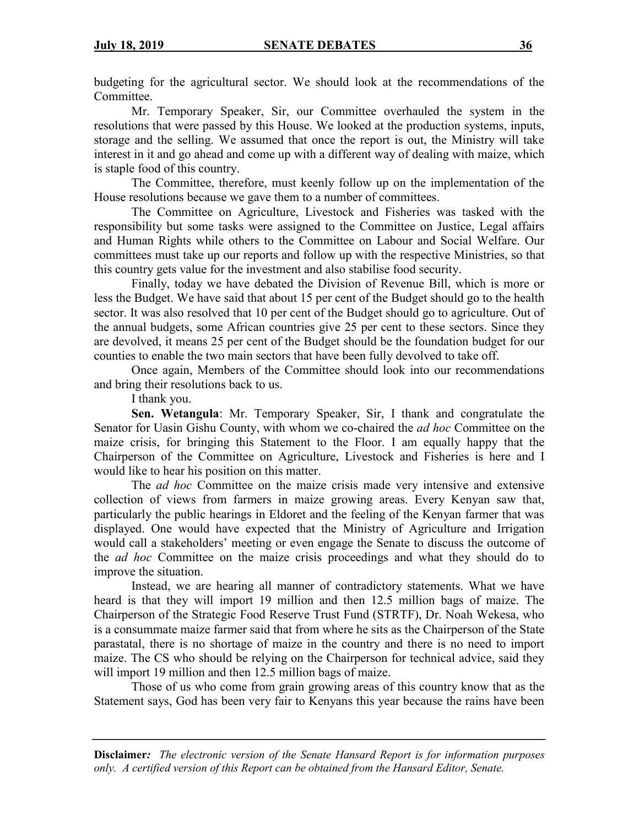budgeting for the agricultural sector. We should look at the recommendations of the Committee.

Mr. Temporary Speaker, Sir, our Committee overhauled the system in the resolutions that were passed by this House. We looked at the production systems, inputs, storage and the selling. We assumed that once the report is out, the Ministry will take interest in it and go ahead and come up with a different way of dealing with maize, which is staple food of this country.

The Committee, therefore, must keenly follow up on the implementation of the House resolutions because we gave them to a number of committees.

The Committee on Agriculture, Livestock and Fisheries was tasked with the responsibility but some tasks were assigned to the Committee on Justice, Legal affairs and Human Rights while others to the Committee on Labour and Social Welfare. Our committees must take up our reports and follow up with the respective Ministries, so that this country gets value for the investment and also stabilise food security.

Finally, today we have debated the Division of Revenue Bill, which is more or less the Budget. We have said that about 15 per cent of the Budget should go to the health sector. It was also resolved that 10 per cent of the Budget should go to agriculture. Out of the annual budgets, some African countries give 25 per cent to these sectors. Since they are devolved, it means 25 per cent of the Budget should be the foundation budget for our counties to enable the two main sectors that have been fully devolved to take off.

Once again, Members of the Committee should look into our recommendations and bring their resolutions back to us.

I thank you.

**Sen. Wetangula**: Mr. Temporary Speaker, Sir, I thank and congratulate the Senator for Uasin Gishu County, with whom we co-chaired the *ad hoc* Committee on the maize crisis, for bringing this Statement to the Floor. I am equally happy that the Chairperson of the Committee on Agriculture, Livestock and Fisheries is here and I would like to hear his position on this matter.

The *ad hoc* Committee on the maize crisis made very intensive and extensive collection of views from farmers in maize growing areas. Every Kenyan saw that, particularly the public hearings in Eldoret and the feeling of the Kenyan farmer that was displayed. One would have expected that the Ministry of Agriculture and Irrigation would call a stakeholders' meeting or even engage the Senate to discuss the outcome of the *ad hoc* Committee on the maize crisis proceedings and what they should do to improve the situation.

Instead, we are hearing all manner of contradictory statements. What we have heard is that they will import 19 million and then 12.5 million bags of maize. The Chairperson of the Strategic Food Reserve Trust Fund (STRTF), Dr. Noah Wekesa, who is a consummate maize farmer said that from where he sits as the Chairperson of the State parastatal, there is no shortage of maize in the country and there is no need to import maize. The CS who should be relying on the Chairperson for technical advice, said they will import 19 million and then 12.5 million bags of maize.

Those of us who come from grain growing areas of this country know that as the Statement says, God has been very fair to Kenyans this year because the rains have been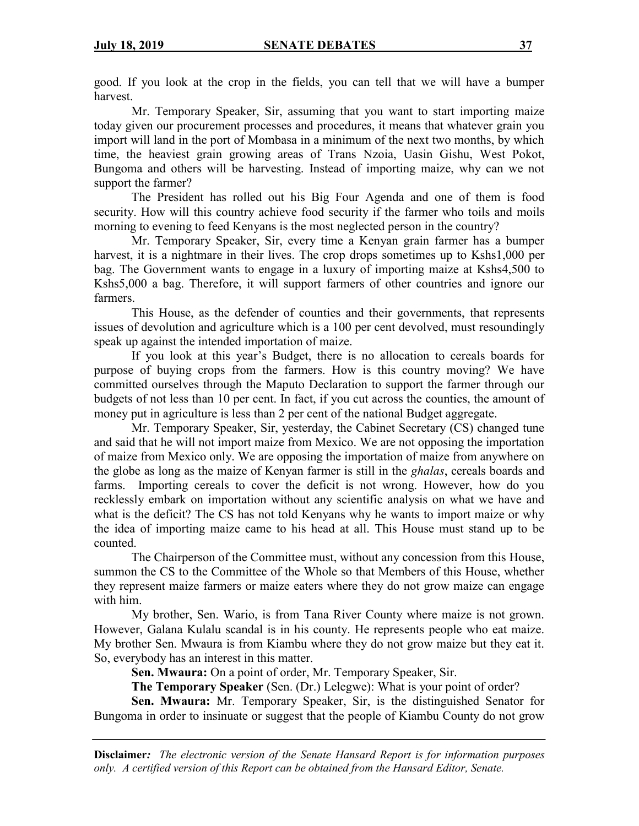good. If you look at the crop in the fields, you can tell that we will have a bumper harvest.

Mr. Temporary Speaker, Sir, assuming that you want to start importing maize today given our procurement processes and procedures, it means that whatever grain you import will land in the port of Mombasa in a minimum of the next two months, by which time, the heaviest grain growing areas of Trans Nzoia, Uasin Gishu, West Pokot, Bungoma and others will be harvesting. Instead of importing maize, why can we not support the farmer?

The President has rolled out his Big Four Agenda and one of them is food security. How will this country achieve food security if the farmer who toils and moils morning to evening to feed Kenyans is the most neglected person in the country?

Mr. Temporary Speaker, Sir, every time a Kenyan grain farmer has a bumper harvest, it is a nightmare in their lives. The crop drops sometimes up to Kshs1,000 per bag. The Government wants to engage in a luxury of importing maize at Kshs4,500 to Kshs5,000 a bag. Therefore, it will support farmers of other countries and ignore our farmers.

This House, as the defender of counties and their governments, that represents issues of devolution and agriculture which is a 100 per cent devolved, must resoundingly speak up against the intended importation of maize.

If you look at this year's Budget, there is no allocation to cereals boards for purpose of buying crops from the farmers. How is this country moving? We have committed ourselves through the Maputo Declaration to support the farmer through our budgets of not less than 10 per cent. In fact, if you cut across the counties, the amount of money put in agriculture is less than 2 per cent of the national Budget aggregate.

Mr. Temporary Speaker, Sir, yesterday, the Cabinet Secretary (CS) changed tune and said that he will not import maize from Mexico. We are not opposing the importation of maize from Mexico only. We are opposing the importation of maize from anywhere on the globe as long as the maize of Kenyan farmer is still in the *ghalas*, cereals boards and farms. Importing cereals to cover the deficit is not wrong. However, how do you recklessly embark on importation without any scientific analysis on what we have and what is the deficit? The CS has not told Kenyans why he wants to import maize or why the idea of importing maize came to his head at all. This House must stand up to be counted.

The Chairperson of the Committee must, without any concession from this House, summon the CS to the Committee of the Whole so that Members of this House, whether they represent maize farmers or maize eaters where they do not grow maize can engage with him.

My brother, Sen. Wario, is from Tana River County where maize is not grown. However, Galana Kulalu scandal is in his county. He represents people who eat maize. My brother Sen. Mwaura is from Kiambu where they do not grow maize but they eat it. So, everybody has an interest in this matter.

**Sen. Mwaura:** On a point of order, Mr. Temporary Speaker, Sir.

**The Temporary Speaker** (Sen. (Dr.) Lelegwe): What is your point of order?

**Sen. Mwaura:** Mr. Temporary Speaker, Sir, is the distinguished Senator for Bungoma in order to insinuate or suggest that the people of Kiambu County do not grow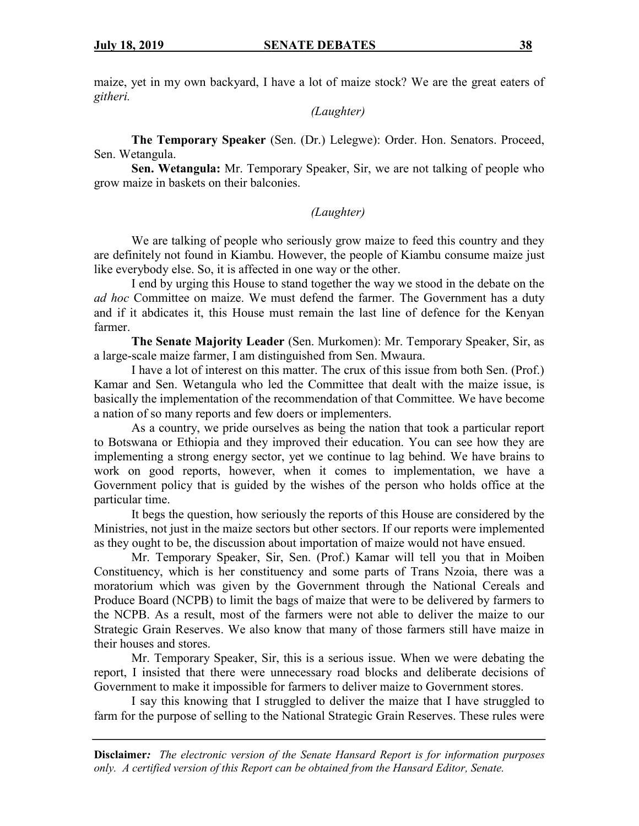maize, yet in my own backyard, I have a lot of maize stock? We are the great eaters of *githeri.*

*(Laughter)*

**The Temporary Speaker** (Sen. (Dr.) Lelegwe): Order. Hon. Senators. Proceed, Sen. Wetangula.

**Sen. Wetangula:** Mr. Temporary Speaker, Sir, we are not talking of people who grow maize in baskets on their balconies.

### *(Laughter)*

We are talking of people who seriously grow maize to feed this country and they are definitely not found in Kiambu. However, the people of Kiambu consume maize just like everybody else. So, it is affected in one way or the other.

I end by urging this House to stand together the way we stood in the debate on the *ad hoc* Committee on maize. We must defend the farmer. The Government has a duty and if it abdicates it, this House must remain the last line of defence for the Kenyan farmer.

**The Senate Majority Leader** (Sen. Murkomen): Mr. Temporary Speaker, Sir, as a large-scale maize farmer, I am distinguished from Sen. Mwaura.

I have a lot of interest on this matter. The crux of this issue from both Sen. (Prof.) Kamar and Sen. Wetangula who led the Committee that dealt with the maize issue, is basically the implementation of the recommendation of that Committee. We have become a nation of so many reports and few doers or implementers.

As a country, we pride ourselves as being the nation that took a particular report to Botswana or Ethiopia and they improved their education. You can see how they are implementing a strong energy sector, yet we continue to lag behind. We have brains to work on good reports, however, when it comes to implementation, we have a Government policy that is guided by the wishes of the person who holds office at the particular time.

It begs the question, how seriously the reports of this House are considered by the Ministries, not just in the maize sectors but other sectors. If our reports were implemented as they ought to be, the discussion about importation of maize would not have ensued.

Mr. Temporary Speaker, Sir, Sen. (Prof.) Kamar will tell you that in Moiben Constituency, which is her constituency and some parts of Trans Nzoia, there was a moratorium which was given by the Government through the National Cereals and Produce Board (NCPB) to limit the bags of maize that were to be delivered by farmers to the NCPB. As a result, most of the farmers were not able to deliver the maize to our Strategic Grain Reserves. We also know that many of those farmers still have maize in their houses and stores.

Mr. Temporary Speaker, Sir, this is a serious issue. When we were debating the report, I insisted that there were unnecessary road blocks and deliberate decisions of Government to make it impossible for farmers to deliver maize to Government stores.

I say this knowing that I struggled to deliver the maize that I have struggled to farm for the purpose of selling to the National Strategic Grain Reserves. These rules were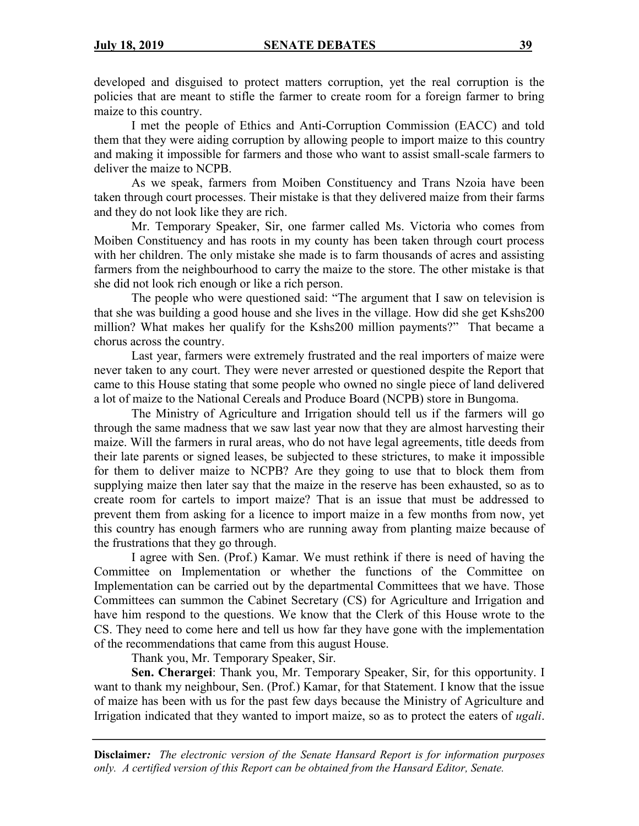developed and disguised to protect matters corruption, yet the real corruption is the policies that are meant to stifle the farmer to create room for a foreign farmer to bring maize to this country.

I met the people of Ethics and Anti-Corruption Commission (EACC) and told them that they were aiding corruption by allowing people to import maize to this country and making it impossible for farmers and those who want to assist small-scale farmers to deliver the maize to NCPB.

As we speak, farmers from Moiben Constituency and Trans Nzoia have been taken through court processes. Their mistake is that they delivered maize from their farms and they do not look like they are rich.

Mr. Temporary Speaker, Sir, one farmer called Ms. Victoria who comes from Moiben Constituency and has roots in my county has been taken through court process with her children. The only mistake she made is to farm thousands of acres and assisting farmers from the neighbourhood to carry the maize to the store. The other mistake is that she did not look rich enough or like a rich person.

The people who were questioned said: "The argument that I saw on television is that she was building a good house and she lives in the village. How did she get Kshs200 million? What makes her qualify for the Kshs200 million payments?" That became a chorus across the country.

Last year, farmers were extremely frustrated and the real importers of maize were never taken to any court. They were never arrested or questioned despite the Report that came to this House stating that some people who owned no single piece of land delivered a lot of maize to the National Cereals and Produce Board (NCPB) store in Bungoma.

The Ministry of Agriculture and Irrigation should tell us if the farmers will go through the same madness that we saw last year now that they are almost harvesting their maize. Will the farmers in rural areas, who do not have legal agreements, title deeds from their late parents or signed leases, be subjected to these strictures, to make it impossible for them to deliver maize to NCPB? Are they going to use that to block them from supplying maize then later say that the maize in the reserve has been exhausted, so as to create room for cartels to import maize? That is an issue that must be addressed to prevent them from asking for a licence to import maize in a few months from now, yet this country has enough farmers who are running away from planting maize because of the frustrations that they go through.

I agree with Sen. (Prof.) Kamar. We must rethink if there is need of having the Committee on Implementation or whether the functions of the Committee on Implementation can be carried out by the departmental Committees that we have. Those Committees can summon the Cabinet Secretary (CS) for Agriculture and Irrigation and have him respond to the questions. We know that the Clerk of this House wrote to the CS. They need to come here and tell us how far they have gone with the implementation of the recommendations that came from this august House.

Thank you, Mr. Temporary Speaker, Sir.

**Sen. Cherargei**: Thank you, Mr. Temporary Speaker, Sir, for this opportunity. I want to thank my neighbour, Sen. (Prof.) Kamar, for that Statement. I know that the issue of maize has been with us for the past few days because the Ministry of Agriculture and Irrigation indicated that they wanted to import maize, so as to protect the eaters of *ugali*.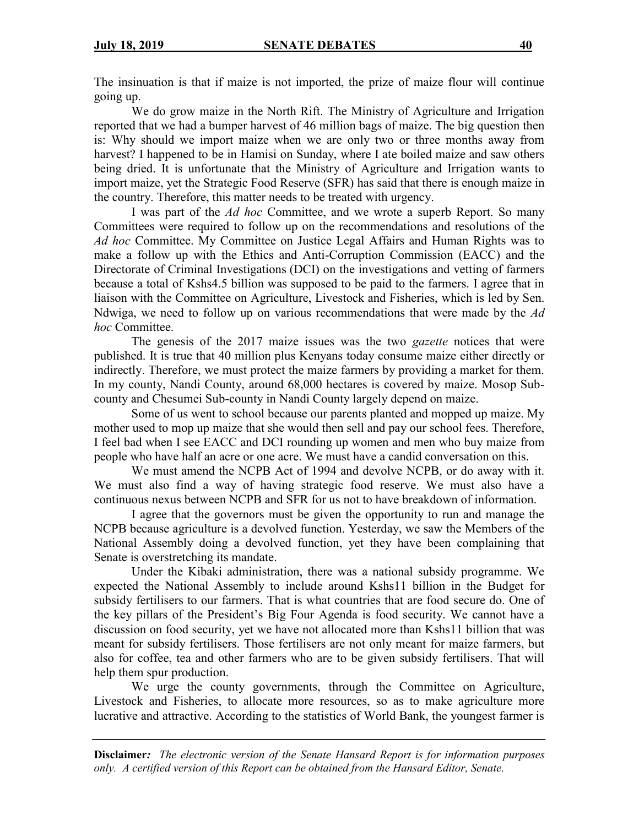The insinuation is that if maize is not imported, the prize of maize flour will continue going up.

We do grow maize in the North Rift. The Ministry of Agriculture and Irrigation reported that we had a bumper harvest of 46 million bags of maize. The big question then is: Why should we import maize when we are only two or three months away from harvest? I happened to be in Hamisi on Sunday, where I ate boiled maize and saw others being dried. It is unfortunate that the Ministry of Agriculture and Irrigation wants to import maize, yet the Strategic Food Reserve (SFR) has said that there is enough maize in the country. Therefore, this matter needs to be treated with urgency.

I was part of the *Ad hoc* Committee, and we wrote a superb Report. So many Committees were required to follow up on the recommendations and resolutions of the *Ad hoc* Committee. My Committee on Justice Legal Affairs and Human Rights was to make a follow up with the Ethics and Anti-Corruption Commission (EACC) and the Directorate of Criminal Investigations (DCI) on the investigations and vetting of farmers because a total of Kshs4.5 billion was supposed to be paid to the farmers. I agree that in liaison with the Committee on Agriculture, Livestock and Fisheries, which is led by Sen. Ndwiga, we need to follow up on various recommendations that were made by the *Ad hoc* Committee.

The genesis of the 2017 maize issues was the two *gazette* notices that were published. It is true that 40 million plus Kenyans today consume maize either directly or indirectly. Therefore, we must protect the maize farmers by providing a market for them. In my county, Nandi County, around 68,000 hectares is covered by maize. Mosop Subcounty and Chesumei Sub-county in Nandi County largely depend on maize.

Some of us went to school because our parents planted and mopped up maize. My mother used to mop up maize that she would then sell and pay our school fees. Therefore, I feel bad when I see EACC and DCI rounding up women and men who buy maize from people who have half an acre or one acre. We must have a candid conversation on this.

We must amend the NCPB Act of 1994 and devolve NCPB, or do away with it. We must also find a way of having strategic food reserve. We must also have a continuous nexus between NCPB and SFR for us not to have breakdown of information.

I agree that the governors must be given the opportunity to run and manage the NCPB because agriculture is a devolved function. Yesterday, we saw the Members of the National Assembly doing a devolved function, yet they have been complaining that Senate is overstretching its mandate.

Under the Kibaki administration, there was a national subsidy programme. We expected the National Assembly to include around Kshs11 billion in the Budget for subsidy fertilisers to our farmers. That is what countries that are food secure do. One of the key pillars of the President's Big Four Agenda is food security. We cannot have a discussion on food security, yet we have not allocated more than Kshs11 billion that was meant for subsidy fertilisers. Those fertilisers are not only meant for maize farmers, but also for coffee, tea and other farmers who are to be given subsidy fertilisers. That will help them spur production.

We urge the county governments, through the Committee on Agriculture, Livestock and Fisheries, to allocate more resources, so as to make agriculture more lucrative and attractive. According to the statistics of World Bank, the youngest farmer is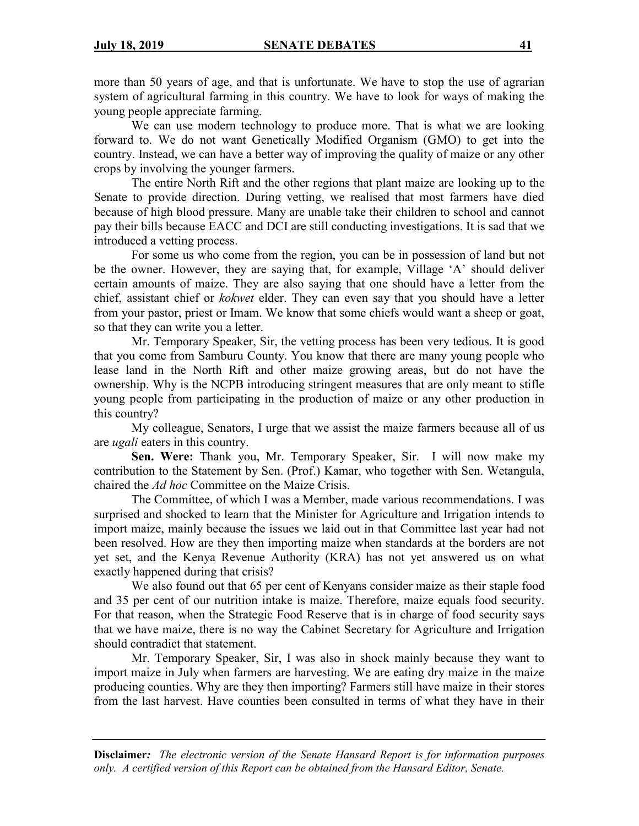more than 50 years of age, and that is unfortunate. We have to stop the use of agrarian system of agricultural farming in this country. We have to look for ways of making the young people appreciate farming.

We can use modern technology to produce more. That is what we are looking forward to. We do not want Genetically Modified Organism (GMO) to get into the country. Instead, we can have a better way of improving the quality of maize or any other crops by involving the younger farmers.

The entire North Rift and the other regions that plant maize are looking up to the Senate to provide direction. During vetting, we realised that most farmers have died because of high blood pressure. Many are unable take their children to school and cannot pay their bills because EACC and DCI are still conducting investigations. It is sad that we introduced a vetting process.

For some us who come from the region, you can be in possession of land but not be the owner. However, they are saying that, for example, Village 'A' should deliver certain amounts of maize. They are also saying that one should have a letter from the chief, assistant chief or *kokwet* elder. They can even say that you should have a letter from your pastor, priest or Imam. We know that some chiefs would want a sheep or goat, so that they can write you a letter.

Mr. Temporary Speaker, Sir, the vetting process has been very tedious. It is good that you come from Samburu County. You know that there are many young people who lease land in the North Rift and other maize growing areas, but do not have the ownership. Why is the NCPB introducing stringent measures that are only meant to stifle young people from participating in the production of maize or any other production in this country?

My colleague, Senators, I urge that we assist the maize farmers because all of us are *ugali* eaters in this country.

**Sen. Were:** Thank you, Mr. Temporary Speaker, Sir. I will now make my contribution to the Statement by Sen. (Prof.) Kamar, who together with Sen. Wetangula, chaired the *Ad hoc* Committee on the Maize Crisis.

The Committee, of which I was a Member, made various recommendations. I was surprised and shocked to learn that the Minister for Agriculture and Irrigation intends to import maize, mainly because the issues we laid out in that Committee last year had not been resolved. How are they then importing maize when standards at the borders are not yet set, and the Kenya Revenue Authority (KRA) has not yet answered us on what exactly happened during that crisis?

We also found out that 65 per cent of Kenyans consider maize as their staple food and 35 per cent of our nutrition intake is maize. Therefore, maize equals food security. For that reason, when the Strategic Food Reserve that is in charge of food security says that we have maize, there is no way the Cabinet Secretary for Agriculture and Irrigation should contradict that statement.

Mr. Temporary Speaker, Sir, I was also in shock mainly because they want to import maize in July when farmers are harvesting. We are eating dry maize in the maize producing counties. Why are they then importing? Farmers still have maize in their stores from the last harvest. Have counties been consulted in terms of what they have in their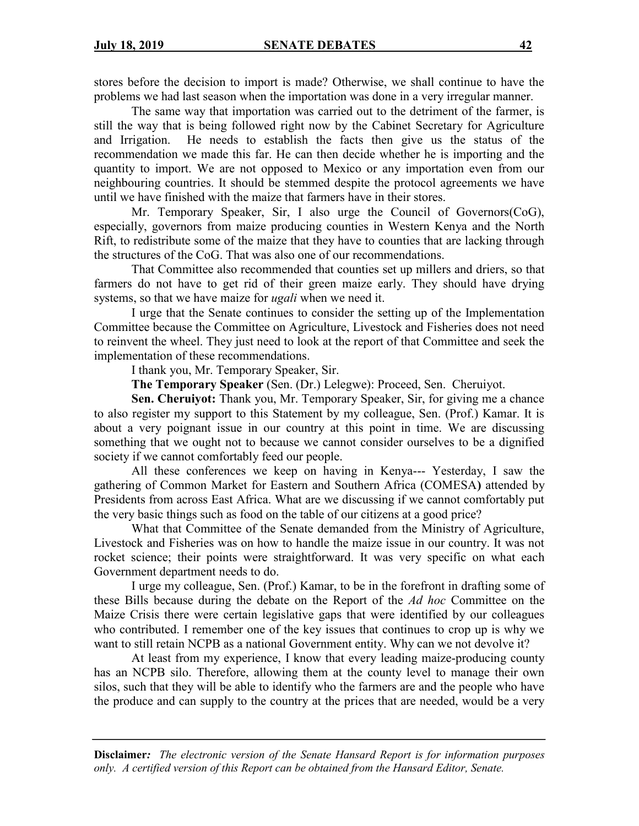stores before the decision to import is made? Otherwise, we shall continue to have the problems we had last season when the importation was done in a very irregular manner.

The same way that importation was carried out to the detriment of the farmer, is still the way that is being followed right now by the Cabinet Secretary for Agriculture and Irrigation. He needs to establish the facts then give us the status of the recommendation we made this far. He can then decide whether he is importing and the quantity to import. We are not opposed to Mexico or any importation even from our neighbouring countries. It should be stemmed despite the protocol agreements we have until we have finished with the maize that farmers have in their stores.

Mr. Temporary Speaker, Sir, I also urge the Council of Governors(CoG), especially, governors from maize producing counties in Western Kenya and the North Rift, to redistribute some of the maize that they have to counties that are lacking through the structures of the CoG. That was also one of our recommendations.

That Committee also recommended that counties set up millers and driers, so that farmers do not have to get rid of their green maize early. They should have drying systems, so that we have maize for *ugali* when we need it.

I urge that the Senate continues to consider the setting up of the Implementation Committee because the Committee on Agriculture, Livestock and Fisheries does not need to reinvent the wheel. They just need to look at the report of that Committee and seek the implementation of these recommendations.

I thank you, Mr. Temporary Speaker, Sir.

**The Temporary Speaker** (Sen. (Dr.) Lelegwe): Proceed, Sen. Cheruiyot.

**Sen. Cheruiyot:** Thank you, Mr. Temporary Speaker, Sir, for giving me a chance to also register my support to this Statement by my colleague, Sen. (Prof.) Kamar. It is about a very poignant issue in our country at this point in time. We are discussing something that we ought not to because we cannot consider ourselves to be a dignified society if we cannot comfortably feed our people.

All these conferences we keep on having in Kenya--- Yesterday, I saw the gathering of Common Market for Eastern and Southern Africa (COMESA**)** attended by Presidents from across East Africa. What are we discussing if we cannot comfortably put the very basic things such as food on the table of our citizens at a good price?

What that Committee of the Senate demanded from the Ministry of Agriculture, Livestock and Fisheries was on how to handle the maize issue in our country. It was not rocket science; their points were straightforward. It was very specific on what each Government department needs to do.

I urge my colleague, Sen. (Prof.) Kamar, to be in the forefront in drafting some of these Bills because during the debate on the Report of the *Ad hoc* Committee on the Maize Crisis there were certain legislative gaps that were identified by our colleagues who contributed. I remember one of the key issues that continues to crop up is why we want to still retain NCPB as a national Government entity. Why can we not devolve it?

At least from my experience, I know that every leading maize-producing county has an NCPB silo. Therefore, allowing them at the county level to manage their own silos, such that they will be able to identify who the farmers are and the people who have the produce and can supply to the country at the prices that are needed, would be a very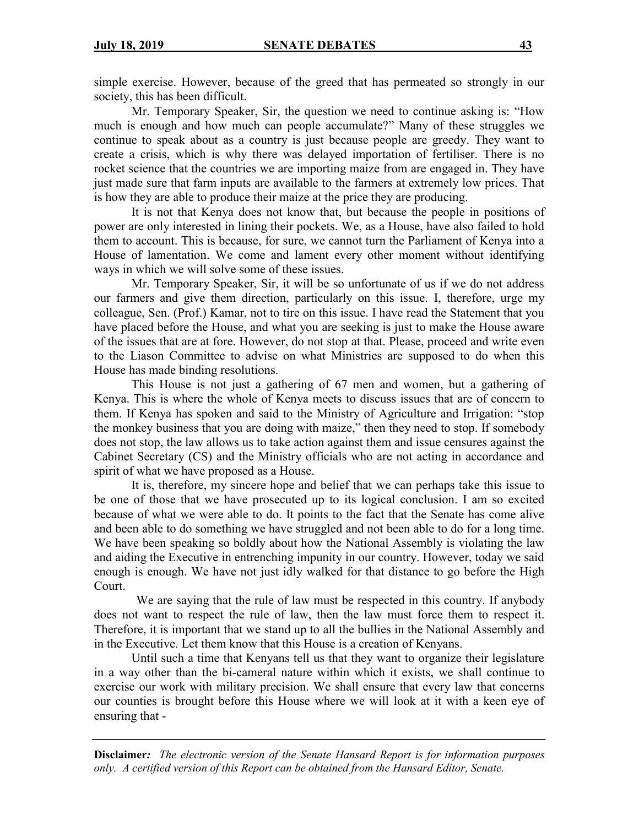simple exercise. However, because of the greed that has permeated so strongly in our society, this has been difficult.

Mr. Temporary Speaker, Sir, the question we need to continue asking is: "How much is enough and how much can people accumulate?" Many of these struggles we continue to speak about as a country is just because people are greedy. They want to create a crisis, which is why there was delayed importation of fertiliser. There is no rocket science that the countries we are importing maize from are engaged in. They have just made sure that farm inputs are available to the farmers at extremely low prices. That is how they are able to produce their maize at the price they are producing.

It is not that Kenya does not know that, but because the people in positions of power are only interested in lining their pockets. We, as a House, have also failed to hold them to account. This is because, for sure, we cannot turn the Parliament of Kenya into a House of lamentation. We come and lament every other moment without identifying ways in which we will solve some of these issues.

Mr. Temporary Speaker, Sir, it will be so unfortunate of us if we do not address our farmers and give them direction, particularly on this issue. I, therefore, urge my colleague, Sen. (Prof.) Kamar, not to tire on this issue. I have read the Statement that you have placed before the House, and what you are seeking is just to make the House aware of the issues that are at fore. However, do not stop at that. Please, proceed and write even to the Liason Committee to advise on what Ministries are supposed to do when this House has made binding resolutions.

This House is not just a gathering of 67 men and women, but a gathering of Kenya. This is where the whole of Kenya meets to discuss issues that are of concern to them. If Kenya has spoken and said to the Ministry of Agriculture and Irrigation: "stop the monkey business that you are doing with maize," then they need to stop. If somebody does not stop, the law allows us to take action against them and issue censures against the Cabinet Secretary (CS) and the Ministry officials who are not acting in accordance and spirit of what we have proposed as a House.

It is, therefore, my sincere hope and belief that we can perhaps take this issue to be one of those that we have prosecuted up to its logical conclusion. I am so excited because of what we were able to do. It points to the fact that the Senate has come alive and been able to do something we have struggled and not been able to do for a long time. We have been speaking so boldly about how the National Assembly is violating the law and aiding the Executive in entrenching impunity in our country. However, today we said enough is enough. We have not just idly walked for that distance to go before the High Court.

We are saying that the rule of law must be respected in this country. If anybody does not want to respect the rule of law, then the law must force them to respect it. Therefore, it is important that we stand up to all the bullies in the National Assembly and in the Executive. Let them know that this House is a creation of Kenyans.

Until such a time that Kenyans tell us that they want to organize their legislature in a way other than the bi-cameral nature within which it exists, we shall continue to exercise our work with military precision. We shall ensure that every law that concerns our counties is brought before this House where we will look at it with a keen eye of ensuring that -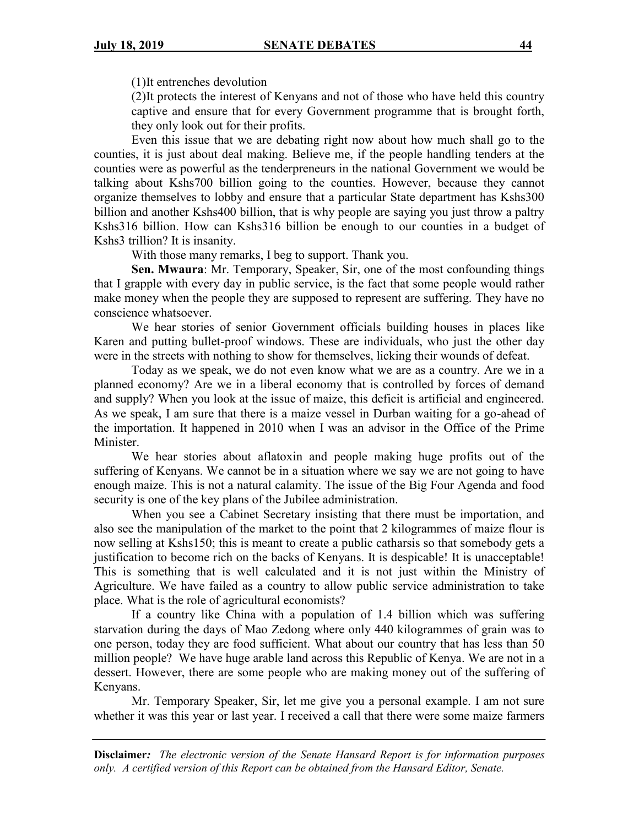(1)It entrenches devolution

(2)It protects the interest of Kenyans and not of those who have held this country captive and ensure that for every Government programme that is brought forth, they only look out for their profits.

Even this issue that we are debating right now about how much shall go to the counties, it is just about deal making. Believe me, if the people handling tenders at the counties were as powerful as the tenderpreneurs in the national Government we would be talking about Kshs700 billion going to the counties. However, because they cannot organize themselves to lobby and ensure that a particular State department has Kshs300 billion and another Kshs400 billion, that is why people are saying you just throw a paltry Kshs316 billion. How can Kshs316 billion be enough to our counties in a budget of Kshs3 trillion? It is insanity.

With those many remarks, I beg to support. Thank you.

**Sen. Mwaura**: Mr. Temporary, Speaker, Sir, one of the most confounding things that I grapple with every day in public service, is the fact that some people would rather make money when the people they are supposed to represent are suffering. They have no conscience whatsoever.

We hear stories of senior Government officials building houses in places like Karen and putting bullet-proof windows. These are individuals, who just the other day were in the streets with nothing to show for themselves, licking their wounds of defeat.

Today as we speak, we do not even know what we are as a country. Are we in a planned economy? Are we in a liberal economy that is controlled by forces of demand and supply? When you look at the issue of maize, this deficit is artificial and engineered. As we speak, I am sure that there is a maize vessel in Durban waiting for a go-ahead of the importation. It happened in 2010 when I was an advisor in the Office of the Prime Minister.

We hear stories about aflatoxin and people making huge profits out of the suffering of Kenyans. We cannot be in a situation where we say we are not going to have enough maize. This is not a natural calamity. The issue of the Big Four Agenda and food security is one of the key plans of the Jubilee administration.

When you see a Cabinet Secretary insisting that there must be importation, and also see the manipulation of the market to the point that 2 kilogrammes of maize flour is now selling at Kshs150; this is meant to create a public catharsis so that somebody gets a justification to become rich on the backs of Kenyans. It is despicable! It is unacceptable! This is something that is well calculated and it is not just within the Ministry of Agriculture. We have failed as a country to allow public service administration to take place. What is the role of agricultural economists?

If a country like China with a population of 1.4 billion which was suffering starvation during the days of Mao Zedong where only 440 kilogrammes of grain was to one person, today they are food sufficient. What about our country that has less than 50 million people? We have huge arable land across this Republic of Kenya. We are not in a dessert. However, there are some people who are making money out of the suffering of Kenyans.

Mr. Temporary Speaker, Sir, let me give you a personal example. I am not sure whether it was this year or last year. I received a call that there were some maize farmers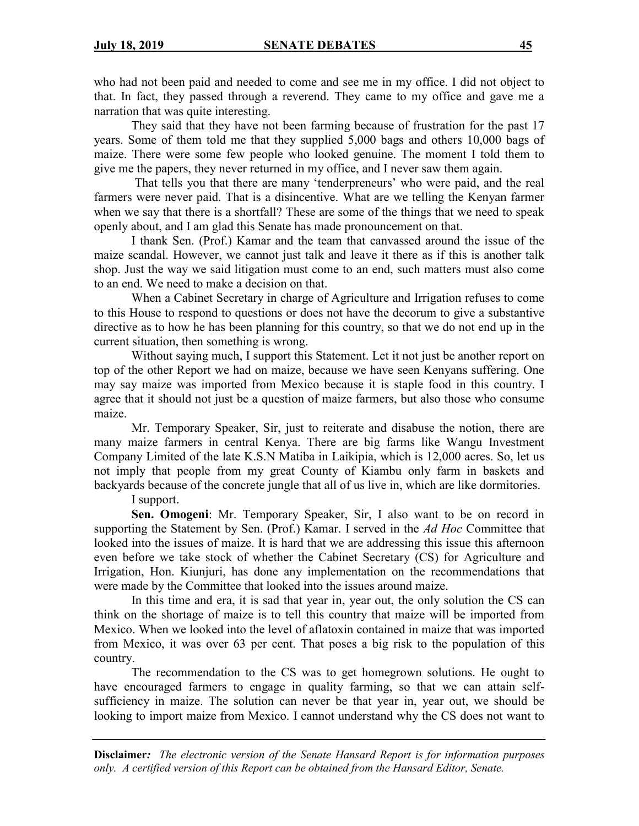who had not been paid and needed to come and see me in my office. I did not object to that. In fact, they passed through a reverend. They came to my office and gave me a narration that was quite interesting.

They said that they have not been farming because of frustration for the past 17 years. Some of them told me that they supplied 5,000 bags and others 10,000 bags of maize. There were some few people who looked genuine. The moment I told them to give me the papers, they never returned in my office, and I never saw them again.

That tells you that there are many 'tenderpreneurs' who were paid, and the real farmers were never paid. That is a disincentive. What are we telling the Kenyan farmer when we say that there is a shortfall? These are some of the things that we need to speak openly about, and I am glad this Senate has made pronouncement on that.

I thank Sen. (Prof.) Kamar and the team that canvassed around the issue of the maize scandal. However, we cannot just talk and leave it there as if this is another talk shop. Just the way we said litigation must come to an end, such matters must also come to an end. We need to make a decision on that.

When a Cabinet Secretary in charge of Agriculture and Irrigation refuses to come to this House to respond to questions or does not have the decorum to give a substantive directive as to how he has been planning for this country, so that we do not end up in the current situation, then something is wrong.

Without saying much, I support this Statement. Let it not just be another report on top of the other Report we had on maize, because we have seen Kenyans suffering. One may say maize was imported from Mexico because it is staple food in this country. I agree that it should not just be a question of maize farmers, but also those who consume maize.

Mr. Temporary Speaker, Sir, just to reiterate and disabuse the notion, there are many maize farmers in central Kenya. There are big farms like Wangu Investment Company Limited of the late K.S.N Matiba in Laikipia, which is 12,000 acres. So, let us not imply that people from my great County of Kiambu only farm in baskets and backyards because of the concrete jungle that all of us live in, which are like dormitories.

I support.

**Sen. Omogeni**: Mr. Temporary Speaker, Sir, I also want to be on record in supporting the Statement by Sen. (Prof.) Kamar. I served in the *Ad Hoc* Committee that looked into the issues of maize. It is hard that we are addressing this issue this afternoon even before we take stock of whether the Cabinet Secretary (CS) for Agriculture and Irrigation, Hon. Kiunjuri, has done any implementation on the recommendations that were made by the Committee that looked into the issues around maize.

In this time and era, it is sad that year in, year out, the only solution the CS can think on the shortage of maize is to tell this country that maize will be imported from Mexico. When we looked into the level of aflatoxin contained in maize that was imported from Mexico, it was over 63 per cent. That poses a big risk to the population of this country.

The recommendation to the CS was to get homegrown solutions. He ought to have encouraged farmers to engage in quality farming, so that we can attain selfsufficiency in maize. The solution can never be that year in, year out, we should be looking to import maize from Mexico. I cannot understand why the CS does not want to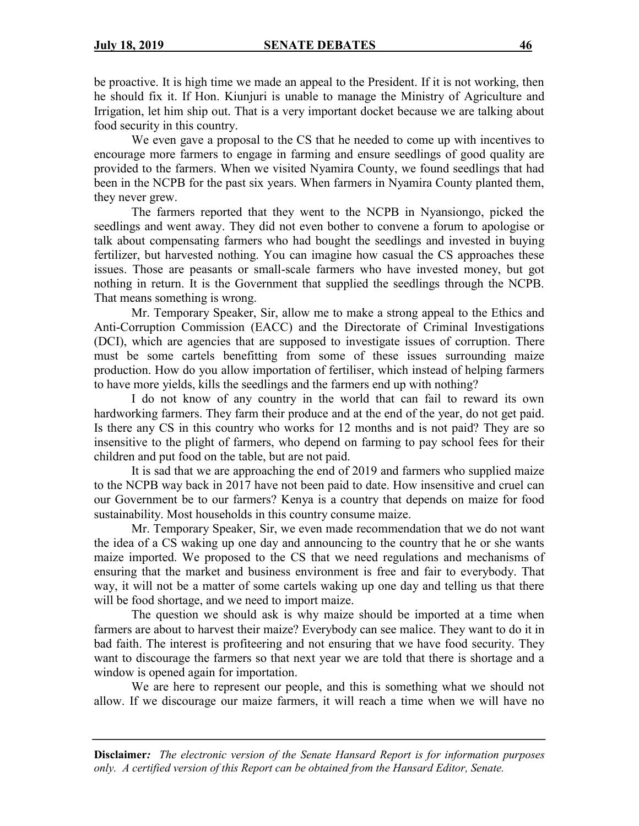be proactive. It is high time we made an appeal to the President. If it is not working, then he should fix it. If Hon. Kiunjuri is unable to manage the Ministry of Agriculture and Irrigation, let him ship out. That is a very important docket because we are talking about food security in this country.

We even gave a proposal to the CS that he needed to come up with incentives to encourage more farmers to engage in farming and ensure seedlings of good quality are provided to the farmers. When we visited Nyamira County, we found seedlings that had been in the NCPB for the past six years. When farmers in Nyamira County planted them, they never grew.

The farmers reported that they went to the NCPB in Nyansiongo, picked the seedlings and went away. They did not even bother to convene a forum to apologise or talk about compensating farmers who had bought the seedlings and invested in buying fertilizer, but harvested nothing. You can imagine how casual the CS approaches these issues. Those are peasants or small-scale farmers who have invested money, but got nothing in return. It is the Government that supplied the seedlings through the NCPB. That means something is wrong.

Mr. Temporary Speaker, Sir, allow me to make a strong appeal to the Ethics and Anti-Corruption Commission (EACC) and the Directorate of Criminal Investigations (DCI), which are agencies that are supposed to investigate issues of corruption. There must be some cartels benefitting from some of these issues surrounding maize production. How do you allow importation of fertiliser, which instead of helping farmers to have more yields, kills the seedlings and the farmers end up with nothing?

I do not know of any country in the world that can fail to reward its own hardworking farmers. They farm their produce and at the end of the year, do not get paid. Is there any CS in this country who works for 12 months and is not paid? They are so insensitive to the plight of farmers, who depend on farming to pay school fees for their children and put food on the table, but are not paid.

It is sad that we are approaching the end of 2019 and farmers who supplied maize to the NCPB way back in 2017 have not been paid to date. How insensitive and cruel can our Government be to our farmers? Kenya is a country that depends on maize for food sustainability. Most households in this country consume maize.

Mr. Temporary Speaker, Sir, we even made recommendation that we do not want the idea of a CS waking up one day and announcing to the country that he or she wants maize imported. We proposed to the CS that we need regulations and mechanisms of ensuring that the market and business environment is free and fair to everybody. That way, it will not be a matter of some cartels waking up one day and telling us that there will be food shortage, and we need to import maize.

The question we should ask is why maize should be imported at a time when farmers are about to harvest their maize? Everybody can see malice. They want to do it in bad faith. The interest is profiteering and not ensuring that we have food security. They want to discourage the farmers so that next year we are told that there is shortage and a window is opened again for importation.

We are here to represent our people, and this is something what we should not allow. If we discourage our maize farmers, it will reach a time when we will have no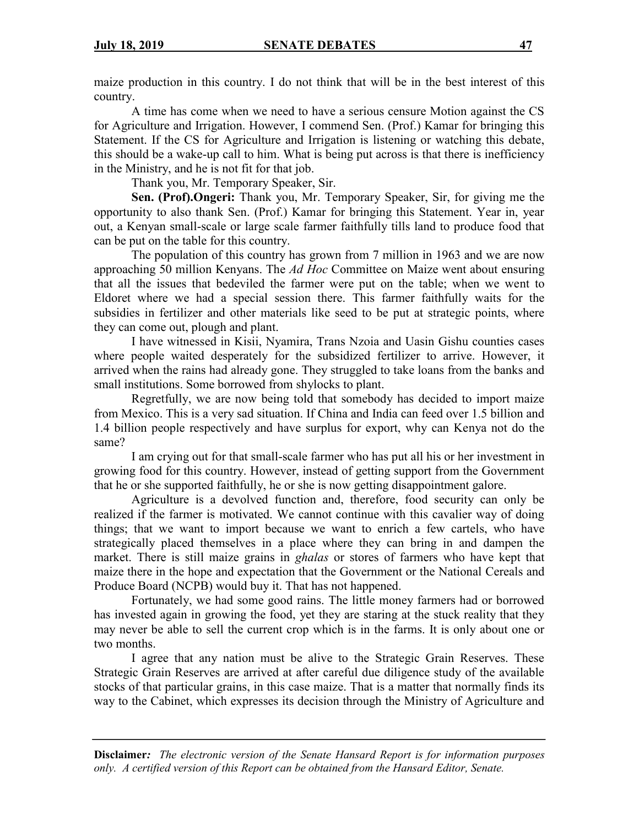maize production in this country. I do not think that will be in the best interest of this country.

A time has come when we need to have a serious censure Motion against the CS for Agriculture and Irrigation. However, I commend Sen. (Prof.) Kamar for bringing this Statement. If the CS for Agriculture and Irrigation is listening or watching this debate, this should be a wake-up call to him. What is being put across is that there is inefficiency in the Ministry, and he is not fit for that job.

Thank you, Mr. Temporary Speaker, Sir.

**Sen. (Prof).Ongeri:** Thank you, Mr. Temporary Speaker, Sir, for giving me the opportunity to also thank Sen. (Prof.) Kamar for bringing this Statement. Year in, year out, a Kenyan small-scale or large scale farmer faithfully tills land to produce food that can be put on the table for this country.

The population of this country has grown from 7 million in 1963 and we are now approaching 50 million Kenyans. The *Ad Hoc* Committee on Maize went about ensuring that all the issues that bedeviled the farmer were put on the table; when we went to Eldoret where we had a special session there. This farmer faithfully waits for the subsidies in fertilizer and other materials like seed to be put at strategic points, where they can come out, plough and plant.

I have witnessed in Kisii, Nyamira, Trans Nzoia and Uasin Gishu counties cases where people waited desperately for the subsidized fertilizer to arrive. However, it arrived when the rains had already gone. They struggled to take loans from the banks and small institutions. Some borrowed from shylocks to plant.

Regretfully, we are now being told that somebody has decided to import maize from Mexico. This is a very sad situation. If China and India can feed over 1.5 billion and 1.4 billion people respectively and have surplus for export, why can Kenya not do the same?

I am crying out for that small-scale farmer who has put all his or her investment in growing food for this country. However, instead of getting support from the Government that he or she supported faithfully, he or she is now getting disappointment galore.

Agriculture is a devolved function and, therefore, food security can only be realized if the farmer is motivated. We cannot continue with this cavalier way of doing things; that we want to import because we want to enrich a few cartels, who have strategically placed themselves in a place where they can bring in and dampen the market. There is still maize grains in *ghalas* or stores of farmers who have kept that maize there in the hope and expectation that the Government or the National Cereals and Produce Board (NCPB) would buy it. That has not happened.

Fortunately, we had some good rains. The little money farmers had or borrowed has invested again in growing the food, yet they are staring at the stuck reality that they may never be able to sell the current crop which is in the farms. It is only about one or two months.

I agree that any nation must be alive to the Strategic Grain Reserves. These Strategic Grain Reserves are arrived at after careful due diligence study of the available stocks of that particular grains, in this case maize. That is a matter that normally finds its way to the Cabinet, which expresses its decision through the Ministry of Agriculture and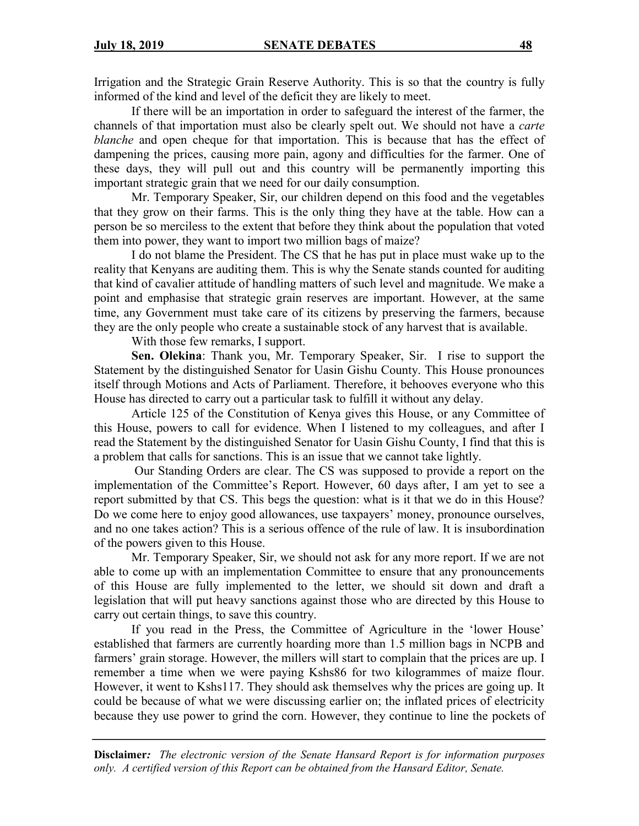Irrigation and the Strategic Grain Reserve Authority. This is so that the country is fully informed of the kind and level of the deficit they are likely to meet.

If there will be an importation in order to safeguard the interest of the farmer, the channels of that importation must also be clearly spelt out. We should not have a *carte blanche* and open cheque for that importation. This is because that has the effect of dampening the prices, causing more pain, agony and difficulties for the farmer. One of these days, they will pull out and this country will be permanently importing this important strategic grain that we need for our daily consumption.

Mr. Temporary Speaker, Sir, our children depend on this food and the vegetables that they grow on their farms. This is the only thing they have at the table. How can a person be so merciless to the extent that before they think about the population that voted them into power, they want to import two million bags of maize?

I do not blame the President. The CS that he has put in place must wake up to the reality that Kenyans are auditing them. This is why the Senate stands counted for auditing that kind of cavalier attitude of handling matters of such level and magnitude. We make a point and emphasise that strategic grain reserves are important. However, at the same time, any Government must take care of its citizens by preserving the farmers, because they are the only people who create a sustainable stock of any harvest that is available.

With those few remarks, I support.

**Sen. Olekina**: Thank you, Mr. Temporary Speaker, Sir. I rise to support the Statement by the distinguished Senator for Uasin Gishu County. This House pronounces itself through Motions and Acts of Parliament. Therefore, it behooves everyone who this House has directed to carry out a particular task to fulfill it without any delay.

Article 125 of the Constitution of Kenya gives this House, or any Committee of this House, powers to call for evidence. When I listened to my colleagues, and after I read the Statement by the distinguished Senator for Uasin Gishu County, I find that this is a problem that calls for sanctions. This is an issue that we cannot take lightly.

Our Standing Orders are clear. The CS was supposed to provide a report on the implementation of the Committee's Report. However, 60 days after, I am yet to see a report submitted by that CS. This begs the question: what is it that we do in this House? Do we come here to enjoy good allowances, use taxpayers' money, pronounce ourselves, and no one takes action? This is a serious offence of the rule of law. It is insubordination of the powers given to this House.

Mr. Temporary Speaker, Sir, we should not ask for any more report. If we are not able to come up with an implementation Committee to ensure that any pronouncements of this House are fully implemented to the letter, we should sit down and draft a legislation that will put heavy sanctions against those who are directed by this House to carry out certain things, to save this country.

If you read in the Press, the Committee of Agriculture in the 'lower House' established that farmers are currently hoarding more than 1.5 million bags in NCPB and farmers' grain storage. However, the millers will start to complain that the prices are up. I remember a time when we were paying Kshs86 for two kilogrammes of maize flour. However, it went to Kshs117. They should ask themselves why the prices are going up. It could be because of what we were discussing earlier on; the inflated prices of electricity because they use power to grind the corn. However, they continue to line the pockets of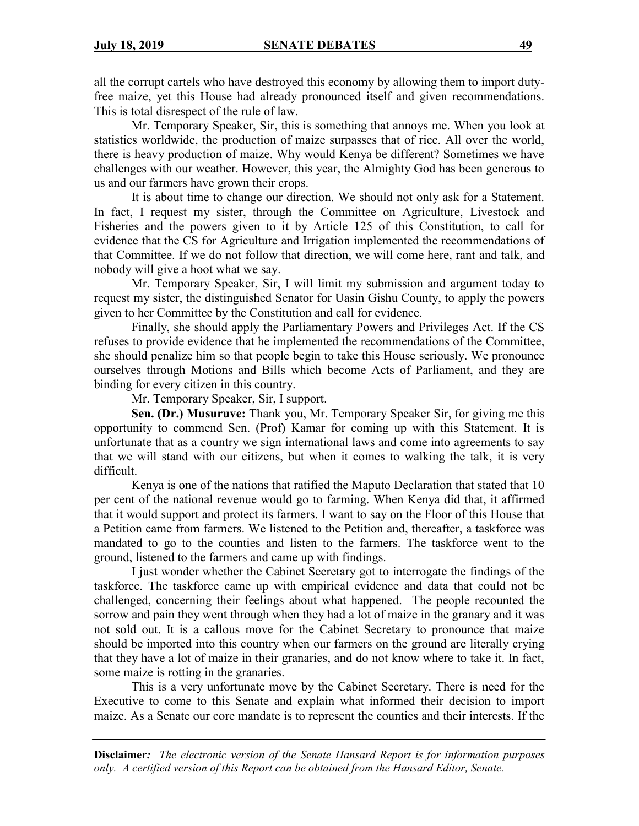all the corrupt cartels who have destroyed this economy by allowing them to import dutyfree maize, yet this House had already pronounced itself and given recommendations. This is total disrespect of the rule of law.

Mr. Temporary Speaker, Sir, this is something that annoys me. When you look at statistics worldwide, the production of maize surpasses that of rice. All over the world, there is heavy production of maize. Why would Kenya be different? Sometimes we have challenges with our weather. However, this year, the Almighty God has been generous to us and our farmers have grown their crops.

It is about time to change our direction. We should not only ask for a Statement. In fact, I request my sister, through the Committee on Agriculture, Livestock and Fisheries and the powers given to it by Article 125 of this Constitution, to call for evidence that the CS for Agriculture and Irrigation implemented the recommendations of that Committee. If we do not follow that direction, we will come here, rant and talk, and nobody will give a hoot what we say.

Mr. Temporary Speaker, Sir, I will limit my submission and argument today to request my sister, the distinguished Senator for Uasin Gishu County, to apply the powers given to her Committee by the Constitution and call for evidence.

Finally, she should apply the Parliamentary Powers and Privileges Act. If the CS refuses to provide evidence that he implemented the recommendations of the Committee, she should penalize him so that people begin to take this House seriously. We pronounce ourselves through Motions and Bills which become Acts of Parliament, and they are binding for every citizen in this country.

Mr. Temporary Speaker, Sir, I support.

**Sen. (Dr.) Musuruve:** Thank you, Mr. Temporary Speaker Sir, for giving me this opportunity to commend Sen. (Prof) Kamar for coming up with this Statement. It is unfortunate that as a country we sign international laws and come into agreements to say that we will stand with our citizens, but when it comes to walking the talk, it is very difficult.

Kenya is one of the nations that ratified the Maputo Declaration that stated that 10 per cent of the national revenue would go to farming. When Kenya did that, it affirmed that it would support and protect its farmers. I want to say on the Floor of this House that a Petition came from farmers. We listened to the Petition and, thereafter, a taskforce was mandated to go to the counties and listen to the farmers. The taskforce went to the ground, listened to the farmers and came up with findings.

I just wonder whether the Cabinet Secretary got to interrogate the findings of the taskforce. The taskforce came up with empirical evidence and data that could not be challenged, concerning their feelings about what happened. The people recounted the sorrow and pain they went through when they had a lot of maize in the granary and it was not sold out. It is a callous move for the Cabinet Secretary to pronounce that maize should be imported into this country when our farmers on the ground are literally crying that they have a lot of maize in their granaries, and do not know where to take it. In fact, some maize is rotting in the granaries.

This is a very unfortunate move by the Cabinet Secretary. There is need for the Executive to come to this Senate and explain what informed their decision to import maize. As a Senate our core mandate is to represent the counties and their interests. If the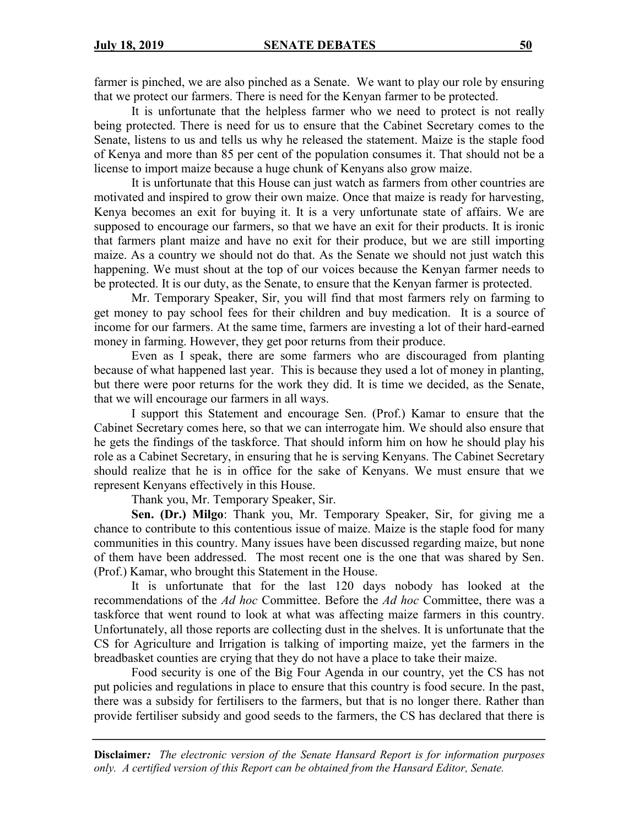farmer is pinched, we are also pinched as a Senate. We want to play our role by ensuring that we protect our farmers. There is need for the Kenyan farmer to be protected.

It is unfortunate that the helpless farmer who we need to protect is not really being protected. There is need for us to ensure that the Cabinet Secretary comes to the Senate, listens to us and tells us why he released the statement. Maize is the staple food of Kenya and more than 85 per cent of the population consumes it. That should not be a license to import maize because a huge chunk of Kenyans also grow maize.

It is unfortunate that this House can just watch as farmers from other countries are motivated and inspired to grow their own maize. Once that maize is ready for harvesting, Kenya becomes an exit for buying it. It is a very unfortunate state of affairs. We are supposed to encourage our farmers, so that we have an exit for their products. It is ironic that farmers plant maize and have no exit for their produce, but we are still importing maize. As a country we should not do that. As the Senate we should not just watch this happening. We must shout at the top of our voices because the Kenyan farmer needs to be protected. It is our duty, as the Senate, to ensure that the Kenyan farmer is protected.

Mr. Temporary Speaker, Sir, you will find that most farmers rely on farming to get money to pay school fees for their children and buy medication. It is a source of income for our farmers. At the same time, farmers are investing a lot of their hard-earned money in farming. However, they get poor returns from their produce.

Even as I speak, there are some farmers who are discouraged from planting because of what happened last year. This is because they used a lot of money in planting, but there were poor returns for the work they did. It is time we decided, as the Senate, that we will encourage our farmers in all ways.

I support this Statement and encourage Sen. (Prof.) Kamar to ensure that the Cabinet Secretary comes here, so that we can interrogate him. We should also ensure that he gets the findings of the taskforce. That should inform him on how he should play his role as a Cabinet Secretary, in ensuring that he is serving Kenyans. The Cabinet Secretary should realize that he is in office for the sake of Kenyans. We must ensure that we represent Kenyans effectively in this House.

Thank you, Mr. Temporary Speaker, Sir.

**Sen. (Dr.) Milgo**: Thank you, Mr. Temporary Speaker, Sir, for giving me a chance to contribute to this contentious issue of maize. Maize is the staple food for many communities in this country. Many issues have been discussed regarding maize, but none of them have been addressed. The most recent one is the one that was shared by Sen. (Prof.) Kamar, who brought this Statement in the House.

It is unfortunate that for the last 120 days nobody has looked at the recommendations of the *Ad hoc* Committee. Before the *Ad hoc* Committee, there was a taskforce that went round to look at what was affecting maize farmers in this country. Unfortunately, all those reports are collecting dust in the shelves. It is unfortunate that the CS for Agriculture and Irrigation is talking of importing maize, yet the farmers in the breadbasket counties are crying that they do not have a place to take their maize.

Food security is one of the Big Four Agenda in our country, yet the CS has not put policies and regulations in place to ensure that this country is food secure. In the past, there was a subsidy for fertilisers to the farmers, but that is no longer there. Rather than provide fertiliser subsidy and good seeds to the farmers, the CS has declared that there is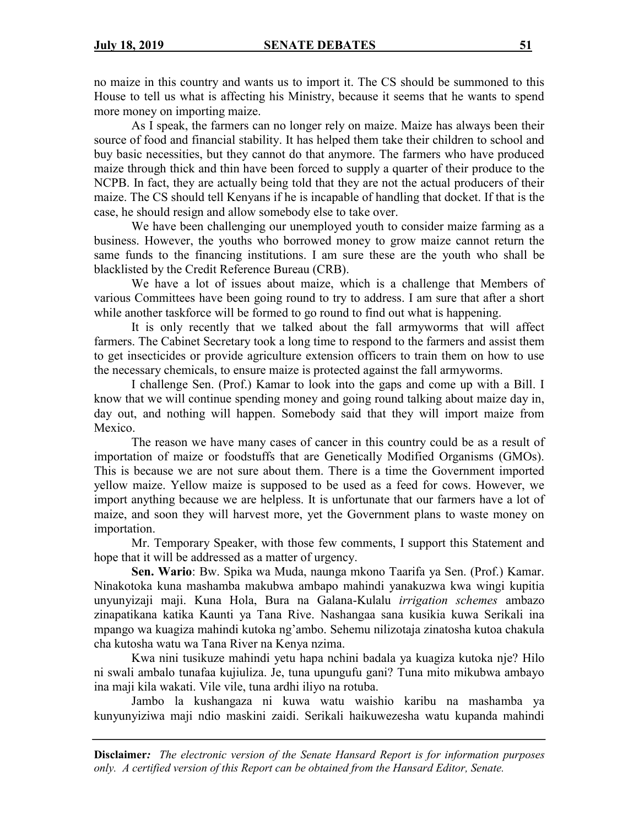no maize in this country and wants us to import it. The CS should be summoned to this House to tell us what is affecting his Ministry, because it seems that he wants to spend more money on importing maize.

As I speak, the farmers can no longer rely on maize. Maize has always been their source of food and financial stability. It has helped them take their children to school and buy basic necessities, but they cannot do that anymore. The farmers who have produced maize through thick and thin have been forced to supply a quarter of their produce to the NCPB. In fact, they are actually being told that they are not the actual producers of their maize. The CS should tell Kenyans if he is incapable of handling that docket. If that is the case, he should resign and allow somebody else to take over.

We have been challenging our unemployed youth to consider maize farming as a business. However, the youths who borrowed money to grow maize cannot return the same funds to the financing institutions. I am sure these are the youth who shall be blacklisted by the Credit Reference Bureau (CRB).

We have a lot of issues about maize, which is a challenge that Members of various Committees have been going round to try to address. I am sure that after a short while another taskforce will be formed to go round to find out what is happening.

It is only recently that we talked about the fall armyworms that will affect farmers. The Cabinet Secretary took a long time to respond to the farmers and assist them to get insecticides or provide agriculture extension officers to train them on how to use the necessary chemicals, to ensure maize is protected against the fall armyworms.

I challenge Sen. (Prof.) Kamar to look into the gaps and come up with a Bill. I know that we will continue spending money and going round talking about maize day in, day out, and nothing will happen. Somebody said that they will import maize from Mexico.

The reason we have many cases of cancer in this country could be as a result of importation of maize or foodstuffs that are Genetically Modified Organisms (GMOs). This is because we are not sure about them. There is a time the Government imported yellow maize. Yellow maize is supposed to be used as a feed for cows. However, we import anything because we are helpless. It is unfortunate that our farmers have a lot of maize, and soon they will harvest more, yet the Government plans to waste money on importation.

Mr. Temporary Speaker, with those few comments, I support this Statement and hope that it will be addressed as a matter of urgency.

**Sen. Wario**: Bw. Spika wa Muda, naunga mkono Taarifa ya Sen. (Prof.) Kamar. Ninakotoka kuna mashamba makubwa ambapo mahindi yanakuzwa kwa wingi kupitia unyunyizaji maji. Kuna Hola, Bura na Galana-Kulalu *irrigation schemes* ambazo zinapatikana katika Kaunti ya Tana Rive. Nashangaa sana kusikia kuwa Serikali ina mpango wa kuagiza mahindi kutoka ng'ambo. Sehemu nilizotaja zinatosha kutoa chakula cha kutosha watu wa Tana River na Kenya nzima.

Kwa nini tusikuze mahindi yetu hapa nchini badala ya kuagiza kutoka nje? Hilo ni swali ambalo tunafaa kujiuliza. Je, tuna upungufu gani? Tuna mito mikubwa ambayo ina maji kila wakati. Vile vile, tuna ardhi iliyo na rotuba.

Jambo la kushangaza ni kuwa watu waishio karibu na mashamba ya kunyunyiziwa maji ndio maskini zaidi. Serikali haikuwezesha watu kupanda mahindi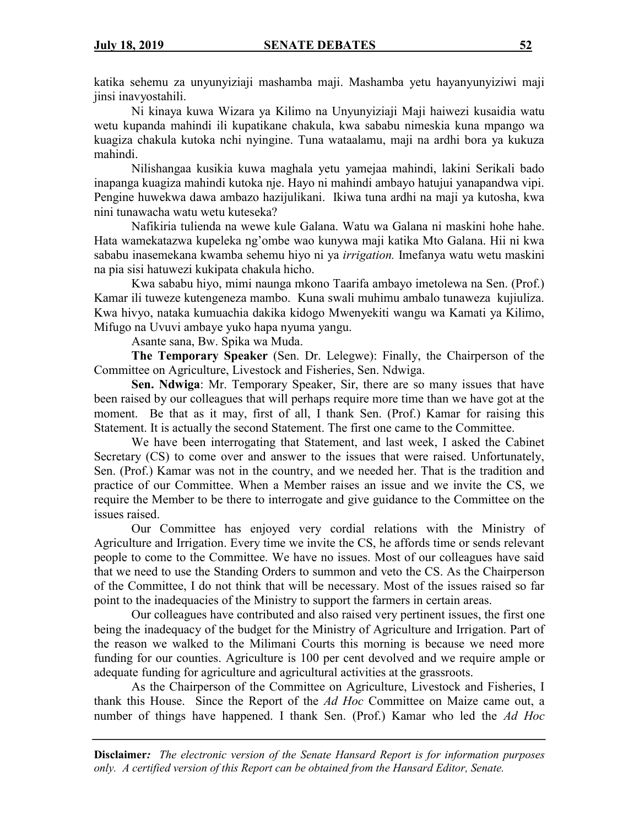katika sehemu za unyunyiziaji mashamba maji. Mashamba yetu hayanyunyiziwi maji jinsi inavyostahili.

Ni kinaya kuwa Wizara ya Kilimo na Unyunyiziaji Maji haiwezi kusaidia watu wetu kupanda mahindi ili kupatikane chakula, kwa sababu nimeskia kuna mpango wa kuagiza chakula kutoka nchi nyingine. Tuna wataalamu, maji na ardhi bora ya kukuza mahindi.

Nilishangaa kusikia kuwa maghala yetu yamejaa mahindi, lakini Serikali bado inapanga kuagiza mahindi kutoka nje. Hayo ni mahindi ambayo hatujui yanapandwa vipi. Pengine huwekwa dawa ambazo hazijulikani. Ikiwa tuna ardhi na maji ya kutosha, kwa nini tunawacha watu wetu kuteseka?

Nafikiria tulienda na wewe kule Galana. Watu wa Galana ni maskini hohe hahe. Hata wamekatazwa kupeleka ng'ombe wao kunywa maji katika Mto Galana. Hii ni kwa sababu inasemekana kwamba sehemu hiyo ni ya *irrigation.* Imefanya watu wetu maskini na pia sisi hatuwezi kukipata chakula hicho.

Kwa sababu hiyo, mimi naunga mkono Taarifa ambayo imetolewa na Sen. (Prof.) Kamar ili tuweze kutengeneza mambo. Kuna swali muhimu ambalo tunaweza kujiuliza. Kwa hivyo, nataka kumuachia dakika kidogo Mwenyekiti wangu wa Kamati ya Kilimo, Mifugo na Uvuvi ambaye yuko hapa nyuma yangu.

Asante sana, Bw. Spika wa Muda.

**The Temporary Speaker** (Sen. Dr. Lelegwe): Finally, the Chairperson of the Committee on Agriculture, Livestock and Fisheries, Sen. Ndwiga.

**Sen. Ndwiga**: Mr. Temporary Speaker, Sir, there are so many issues that have been raised by our colleagues that will perhaps require more time than we have got at the moment. Be that as it may, first of all, I thank Sen. (Prof.) Kamar for raising this Statement. It is actually the second Statement. The first one came to the Committee.

We have been interrogating that Statement, and last week, I asked the Cabinet Secretary (CS) to come over and answer to the issues that were raised. Unfortunately, Sen. (Prof.) Kamar was not in the country, and we needed her. That is the tradition and practice of our Committee. When a Member raises an issue and we invite the CS, we require the Member to be there to interrogate and give guidance to the Committee on the issues raised.

Our Committee has enjoyed very cordial relations with the Ministry of Agriculture and Irrigation. Every time we invite the CS, he affords time or sends relevant people to come to the Committee. We have no issues. Most of our colleagues have said that we need to use the Standing Orders to summon and veto the CS. As the Chairperson of the Committee, I do not think that will be necessary. Most of the issues raised so far point to the inadequacies of the Ministry to support the farmers in certain areas.

Our colleagues have contributed and also raised very pertinent issues, the first one being the inadequacy of the budget for the Ministry of Agriculture and Irrigation. Part of the reason we walked to the Milimani Courts this morning is because we need more funding for our counties. Agriculture is 100 per cent devolved and we require ample or adequate funding for agriculture and agricultural activities at the grassroots.

As the Chairperson of the Committee on Agriculture, Livestock and Fisheries, I thank this House. Since the Report of the *Ad Hoc* Committee on Maize came out, a number of things have happened. I thank Sen. (Prof.) Kamar who led the *Ad Hoc*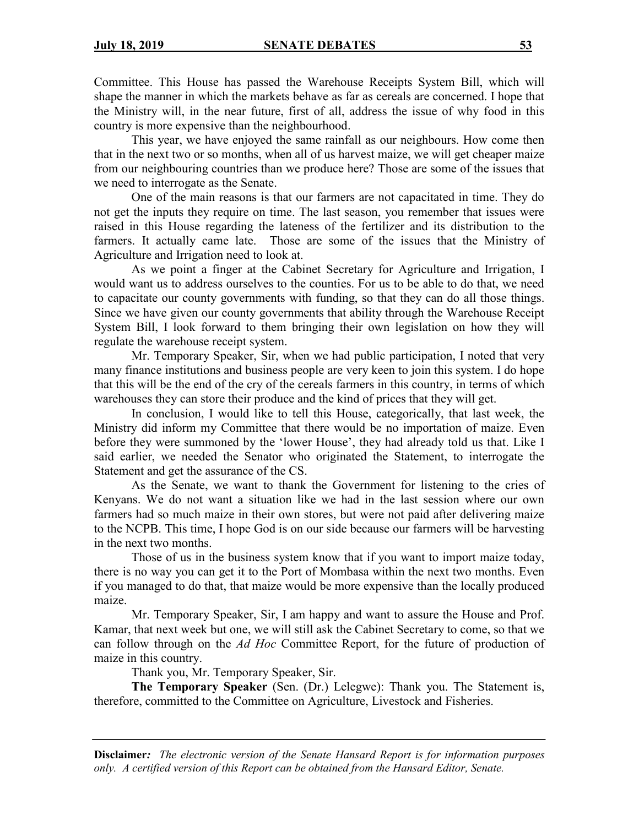Committee. This House has passed the Warehouse Receipts System Bill, which will shape the manner in which the markets behave as far as cereals are concerned. I hope that the Ministry will, in the near future, first of all, address the issue of why food in this country is more expensive than the neighbourhood.

This year, we have enjoyed the same rainfall as our neighbours. How come then that in the next two or so months, when all of us harvest maize, we will get cheaper maize from our neighbouring countries than we produce here? Those are some of the issues that we need to interrogate as the Senate.

One of the main reasons is that our farmers are not capacitated in time. They do not get the inputs they require on time. The last season, you remember that issues were raised in this House regarding the lateness of the fertilizer and its distribution to the farmers. It actually came late. Those are some of the issues that the Ministry of Agriculture and Irrigation need to look at.

As we point a finger at the Cabinet Secretary for Agriculture and Irrigation, I would want us to address ourselves to the counties. For us to be able to do that, we need to capacitate our county governments with funding, so that they can do all those things. Since we have given our county governments that ability through the Warehouse Receipt System Bill, I look forward to them bringing their own legislation on how they will regulate the warehouse receipt system.

Mr. Temporary Speaker, Sir, when we had public participation, I noted that very many finance institutions and business people are very keen to join this system. I do hope that this will be the end of the cry of the cereals farmers in this country, in terms of which warehouses they can store their produce and the kind of prices that they will get.

In conclusion, I would like to tell this House, categorically, that last week, the Ministry did inform my Committee that there would be no importation of maize. Even before they were summoned by the 'lower House', they had already told us that. Like I said earlier, we needed the Senator who originated the Statement, to interrogate the Statement and get the assurance of the CS.

As the Senate, we want to thank the Government for listening to the cries of Kenyans. We do not want a situation like we had in the last session where our own farmers had so much maize in their own stores, but were not paid after delivering maize to the NCPB. This time, I hope God is on our side because our farmers will be harvesting in the next two months.

Those of us in the business system know that if you want to import maize today, there is no way you can get it to the Port of Mombasa within the next two months. Even if you managed to do that, that maize would be more expensive than the locally produced maize.

Mr. Temporary Speaker, Sir, I am happy and want to assure the House and Prof. Kamar, that next week but one, we will still ask the Cabinet Secretary to come, so that we can follow through on the *Ad Hoc* Committee Report, for the future of production of maize in this country.

Thank you, Mr. Temporary Speaker, Sir.

**The Temporary Speaker** (Sen. (Dr.) Lelegwe): Thank you. The Statement is, therefore, committed to the Committee on Agriculture, Livestock and Fisheries.